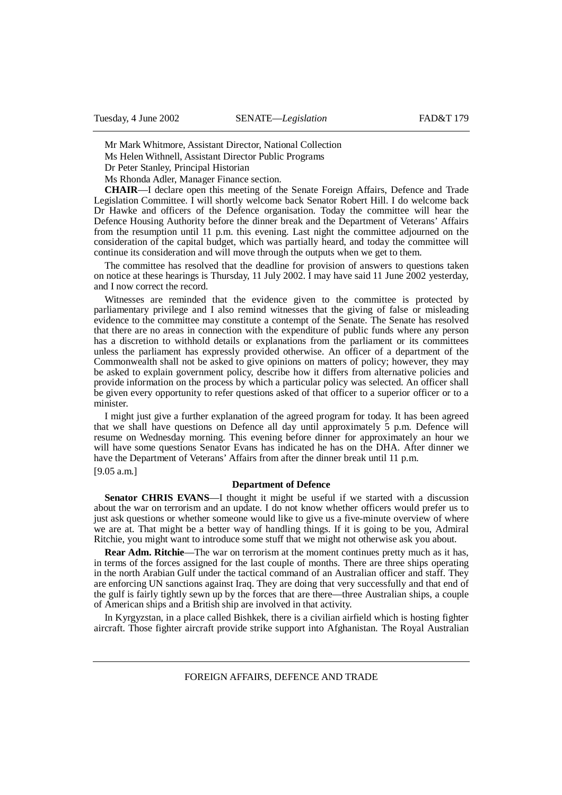Mr Mark Whitmore, Assistant Director, National Collection

Ms Helen Withnell, Assistant Director Public Programs

Dr Peter Stanley, Principal Historian

Ms Rhonda Adler, Manager Finance section.

**CHAIR**—I declare open this meeting of the Senate Foreign Affairs, Defence and Trade Legislation Committee. I will shortly welcome back Senator Robert Hill. I do welcome back Dr Hawke and officers of the Defence organisation. Today the committee will hear the Defence Housing Authority before the dinner break and the Department of Veterans' Affairs from the resumption until 11 p.m. this evening. Last night the committee adjourned on the consideration of the capital budget, which was partially heard, and today the committee will continue its consideration and will move through the outputs when we get to them.

The committee has resolved that the deadline for provision of answers to questions taken on notice at these hearings is Thursday, 11 July 2002. I may have said 11 June 2002 yesterday, and I now correct the record.

Witnesses are reminded that the evidence given to the committee is protected by parliamentary privilege and I also remind witnesses that the giving of false or misleading evidence to the committee may constitute a contempt of the Senate. The Senate has resolved that there are no areas in connection with the expenditure of public funds where any person has a discretion to withhold details or explanations from the parliament or its committees unless the parliament has expressly provided otherwise. An officer of a department of the Commonwealth shall not be asked to give opinions on matters of policy; however, they may be asked to explain government policy, describe how it differs from alternative policies and provide information on the process by which a particular policy was selected. An officer shall be given every opportunity to refer questions asked of that officer to a superior officer or to a minister.

I might just give a further explanation of the agreed program for today. It has been agreed that we shall have questions on Defence all day until approximately 5 p.m. Defence will resume on Wednesday morning. This evening before dinner for approximately an hour we will have some questions Senator Evans has indicated he has on the DHA. After dinner we have the Department of Veterans' Affairs from after the dinner break until 11 p.m. [9.05 a.m.]

### **Department of Defence**

**Senator CHRIS EVANS**—I thought it might be useful if we started with a discussion about the war on terrorism and an update. I do not know whether officers would prefer us to just ask questions or whether someone would like to give us a five-minute overview of where we are at. That might be a better way of handling things. If it is going to be you, Admiral Ritchie, you might want to introduce some stuff that we might not otherwise ask you about.

**Rear Adm. Ritchie**—The war on terrorism at the moment continues pretty much as it has, in terms of the forces assigned for the last couple of months. There are three ships operating in the north Arabian Gulf under the tactical command of an Australian officer and staff. They are enforcing UN sanctions against Iraq. They are doing that very successfully and that end of the gulf is fairly tightly sewn up by the forces that are there—three Australian ships, a couple of American ships and a British ship are involved in that activity.

In Kyrgyzstan, in a place called Bishkek, there is a civilian airfield which is hosting fighter aircraft. Those fighter aircraft provide strike support into Afghanistan. The Royal Australian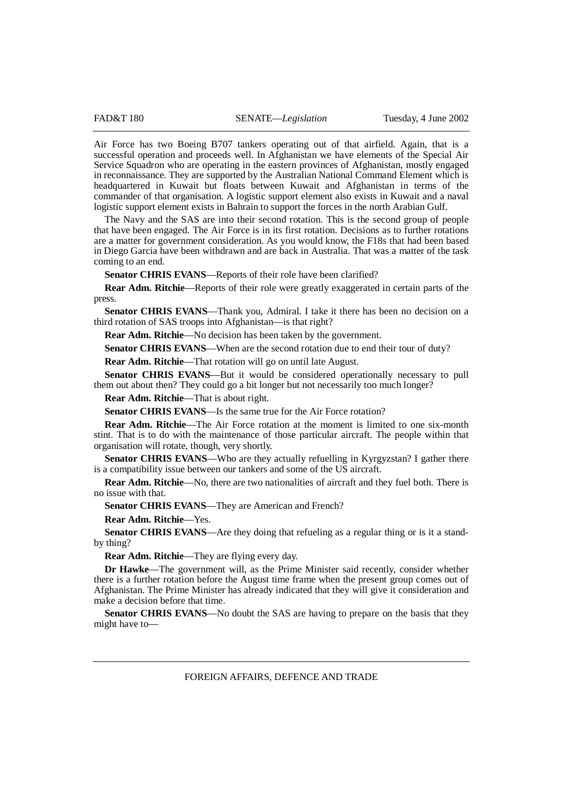Air Force has two Boeing B707 tankers operating out of that airfield. Again, that is a successful operation and proceeds well. In Afghanistan we have elements of the Special Air Service Squadron who are operating in the eastern provinces of Afghanistan, mostly engaged in reconnaissance. They are supported by the Australian National Command Element which is headquartered in Kuwait but floats between Kuwait and Afghanistan in terms of the commander of that organisation. A logistic support element also exists in Kuwait and a naval logistic support element exists in Bahrain to support the forces in the north Arabian Gulf.

The Navy and the SAS are into their second rotation. This is the second group of people that have been engaged. The Air Force is in its first rotation. Decisions as to further rotations are a matter for government consideration. As you would know, the F18s that had been based in Diego Garcia have been withdrawn and are back in Australia. That was a matter of the task coming to an end.

**Senator CHRIS EVANS**—Reports of their role have been clarified?

**Rear Adm. Ritchie**—Reports of their role were greatly exaggerated in certain parts of the press.

**Senator CHRIS EVANS**—Thank you, Admiral. I take it there has been no decision on a third rotation of SAS troops into Afghanistan—is that right?

**Rear Adm. Ritchie**—No decision has been taken by the government.

**Senator CHRIS EVANS—When are the second rotation due to end their tour of duty?** 

**Rear Adm. Ritchie**—That rotation will go on until late August.

**Senator CHRIS EVANS**—But it would be considered operationally necessary to pull them out about then? They could go a bit longer but not necessarily too much longer?

**Rear Adm. Ritchie**—That is about right.

**Senator CHRIS EVANS—Is the same true for the Air Force rotation?** 

**Rear Adm. Ritchie**—The Air Force rotation at the moment is limited to one six-month stint. That is to do with the maintenance of those particular aircraft. The people within that organisation will rotate, though, very shortly.

**Senator CHRIS EVANS—Who are they actually refuelling in Kyrgyzstan? I gather there** is a compatibility issue between our tankers and some of the US aircraft.

**Rear Adm. Ritchie**—No, there are two nationalities of aircraft and they fuel both. There is no issue with that.

**Senator CHRIS EVANS—They are American and French?** 

**Rear Adm. Ritchie**—Yes.

**Senator CHRIS EVANS—Are they doing that refueling as a regular thing or is it a stand**by thing?

**Rear Adm. Ritchie**—They are flying every day.

**Dr Hawke**—The government will, as the Prime Minister said recently, consider whether there is a further rotation before the August time frame when the present group comes out of Afghanistan. The Prime Minister has already indicated that they will give it consideration and make a decision before that time.

**Senator CHRIS EVANS**—No doubt the SAS are having to prepare on the basis that they might have to—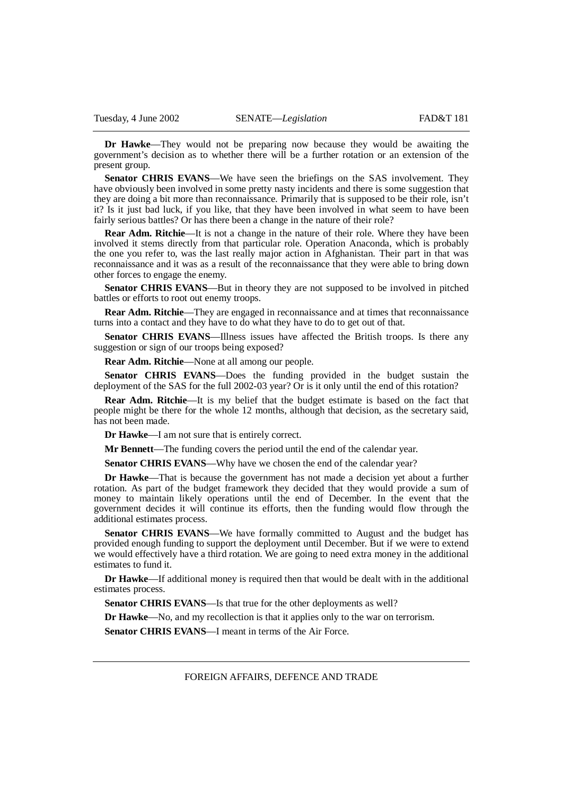**Dr Hawke**—They would not be preparing now because they would be awaiting the government's decision as to whether there will be a further rotation or an extension of the present group.

**Senator CHRIS EVANS**—We have seen the briefings on the SAS involvement. They have obviously been involved in some pretty nasty incidents and there is some suggestion that they are doing a bit more than reconnaissance. Primarily that is supposed to be their role, isn't it? Is it just bad luck, if you like, that they have been involved in what seem to have been fairly serious battles? Or has there been a change in the nature of their role?

**Rear Adm. Ritchie**—It is not a change in the nature of their role. Where they have been involved it stems directly from that particular role. Operation Anaconda, which is probably the one you refer to, was the last really major action in Afghanistan. Their part in that was reconnaissance and it was as a result of the reconnaissance that they were able to bring down other forces to engage the enemy.

**Senator CHRIS EVANS**—But in theory they are not supposed to be involved in pitched battles or efforts to root out enemy troops.

**Rear Adm. Ritchie—They are engaged in reconnaissance and at times that reconnaissance** turns into a contact and they have to do what they have to do to get out of that.

**Senator CHRIS EVANS**—Illness issues have affected the British troops. Is there any suggestion or sign of our troops being exposed?

**Rear Adm. Ritchie**—None at all among our people.

**Senator CHRIS EVANS**—Does the funding provided in the budget sustain the deployment of the SAS for the full 2002-03 year? Or is it only until the end of this rotation?

**Rear Adm. Ritchie**—It is my belief that the budget estimate is based on the fact that people might be there for the whole 12 months, although that decision, as the secretary said, has not been made.

**Dr Hawke**—I am not sure that is entirely correct.

**Mr Bennett**—The funding covers the period until the end of the calendar year.

**Senator CHRIS EVANS—Why have we chosen the end of the calendar year?** 

**Dr Hawke**—That is because the government has not made a decision yet about a further rotation. As part of the budget framework they decided that they would provide a sum of money to maintain likely operations until the end of December. In the event that the government decides it will continue its efforts, then the funding would flow through the additional estimates process.

**Senator CHRIS EVANS**—We have formally committed to August and the budget has provided enough funding to support the deployment until December. But if we were to extend we would effectively have a third rotation. We are going to need extra money in the additional estimates to fund it.

**Dr Hawke**—If additional money is required then that would be dealt with in the additional estimates process.

Senator CHRIS EVANS—Is that true for the other deployments as well?

**Dr Hawke**—No, and my recollection is that it applies only to the war on terrorism.

**Senator CHRIS EVANS**—I meant in terms of the Air Force.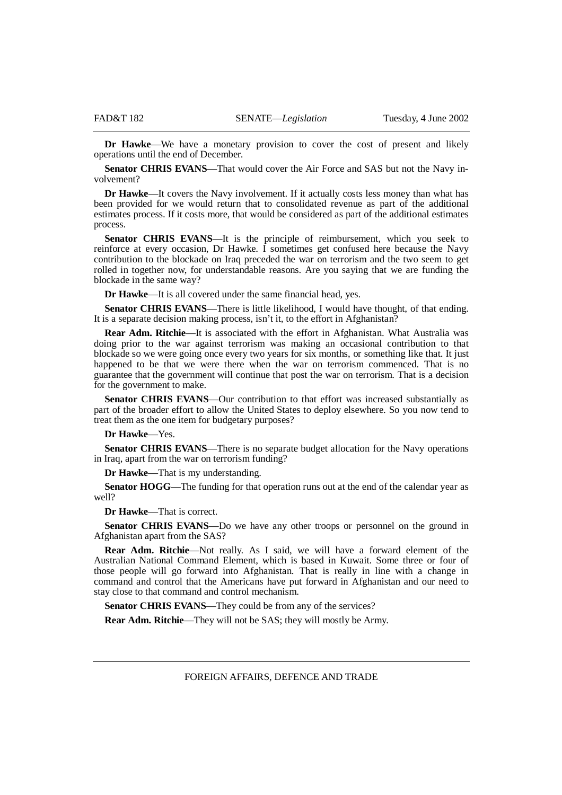**Dr Hawke**—We have a monetary provision to cover the cost of present and likely operations until the end of December.

**Senator CHRIS EVANS**—That would cover the Air Force and SAS but not the Navy involvement?

**Dr Hawke**—It covers the Navy involvement. If it actually costs less money than what has been provided for we would return that to consolidated revenue as part of the additional estimates process. If it costs more, that would be considered as part of the additional estimates process.

**Senator CHRIS EVANS**—It is the principle of reimbursement, which you seek to reinforce at every occasion, Dr Hawke. I sometimes get confused here because the Navy contribution to the blockade on Iraq preceded the war on terrorism and the two seem to get rolled in together now, for understandable reasons. Are you saying that we are funding the blockade in the same way?

**Dr Hawke**—It is all covered under the same financial head, yes.

**Senator CHRIS EVANS**—There is little likelihood, I would have thought, of that ending. It is a separate decision making process, isn't it, to the effort in Afghanistan?

**Rear Adm. Ritchie**—It is associated with the effort in Afghanistan. What Australia was doing prior to the war against terrorism was making an occasional contribution to that blockade so we were going once every two years for six months, or something like that. It just happened to be that we were there when the war on terrorism commenced. That is no guarantee that the government will continue that post the war on terrorism. That is a decision for the government to make.

**Senator CHRIS EVANS**—Our contribution to that effort was increased substantially as part of the broader effort to allow the United States to deploy elsewhere. So you now tend to treat them as the one item for budgetary purposes?

# **Dr Hawke**—Yes.

**Senator CHRIS EVANS—There is no separate budget allocation for the Navy operations** in Iraq, apart from the war on terrorism funding?

**Dr Hawke**—That is my understanding.

**Senator HOGG**—The funding for that operation runs out at the end of the calendar year as well?

**Dr Hawke**—That is correct.

**Senator CHRIS EVANS**—Do we have any other troops or personnel on the ground in Afghanistan apart from the SAS?

**Rear Adm. Ritchie**—Not really. As I said, we will have a forward element of the Australian National Command Element, which is based in Kuwait. Some three or four of those people will go forward into Afghanistan. That is really in line with a change in command and control that the Americans have put forward in Afghanistan and our need to stay close to that command and control mechanism.

**Senator CHRIS EVANS—They could be from any of the services?** 

**Rear Adm. Ritchie**—They will not be SAS; they will mostly be Army.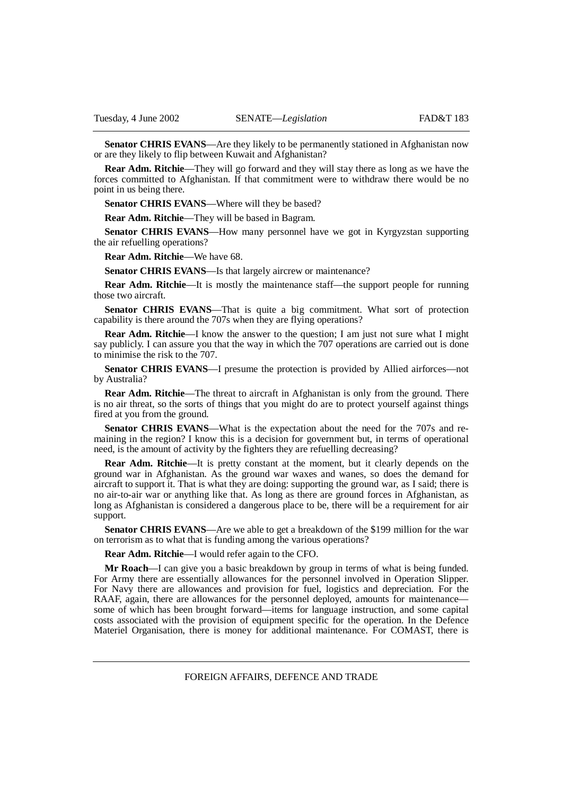**Senator CHRIS EVANS**—Are they likely to be permanently stationed in Afghanistan now or are they likely to flip between Kuwait and Afghanistan?

**Rear Adm. Ritchie—They will go forward and they will stay there as long as we have the** forces committed to Afghanistan. If that commitment were to withdraw there would be no point in us being there.

**Senator CHRIS EVANS—Where will they be based?** 

**Rear Adm. Ritchie**—They will be based in Bagram.

**Senator CHRIS EVANS**—How many personnel have we got in Kyrgyzstan supporting the air refuelling operations?

**Rear Adm. Ritchie**—We have 68.

**Senator CHRIS EVANS**—Is that largely aircrew or maintenance?

**Rear Adm. Ritchie—It** is mostly the maintenance staff—the support people for running those two aircraft.

**Senator CHRIS EVANS—That is quite a big commitment. What sort of protection** capability is there around the 707s when they are flying operations?

**Rear Adm. Ritchie—I** know the answer to the question; I am just not sure what I might say publicly. I can assure you that the way in which the 707 operations are carried out is done to minimise the risk to the 707.

**Senator CHRIS EVANS**—I presume the protection is provided by Allied airforces—not by Australia?

**Rear Adm. Ritchie—The threat to aircraft in Afghanistan is only from the ground. There** is no air threat, so the sorts of things that you might do are to protect yourself against things fired at you from the ground.

Senator CHRIS EVANS—What is the expectation about the need for the 707s and remaining in the region? I know this is a decision for government but, in terms of operational need, is the amount of activity by the fighters they are refuelling decreasing?

**Rear Adm. Ritchie**—It is pretty constant at the moment, but it clearly depends on the ground war in Afghanistan. As the ground war waxes and wanes, so does the demand for aircraft to support it. That is what they are doing: supporting the ground war, as I said; there is no air-to-air war or anything like that. As long as there are ground forces in Afghanistan, as long as Afghanistan is considered a dangerous place to be, there will be a requirement for air support.

**Senator CHRIS EVANS**—Are we able to get a breakdown of the \$199 million for the war on terrorism as to what that is funding among the various operations?

**Rear Adm. Ritchie**—I would refer again to the CFO.

**Mr Roach**—I can give you a basic breakdown by group in terms of what is being funded. For Army there are essentially allowances for the personnel involved in Operation Slipper. For Navy there are allowances and provision for fuel, logistics and depreciation. For the RAAF, again, there are allowances for the personnel deployed, amounts for maintenance some of which has been brought forward—items for language instruction, and some capital costs associated with the provision of equipment specific for the operation. In the Defence Materiel Organisation, there is money for additional maintenance. For COMAST, there is

FOREIGN AFFAIRS, DEFENCE AND TRADE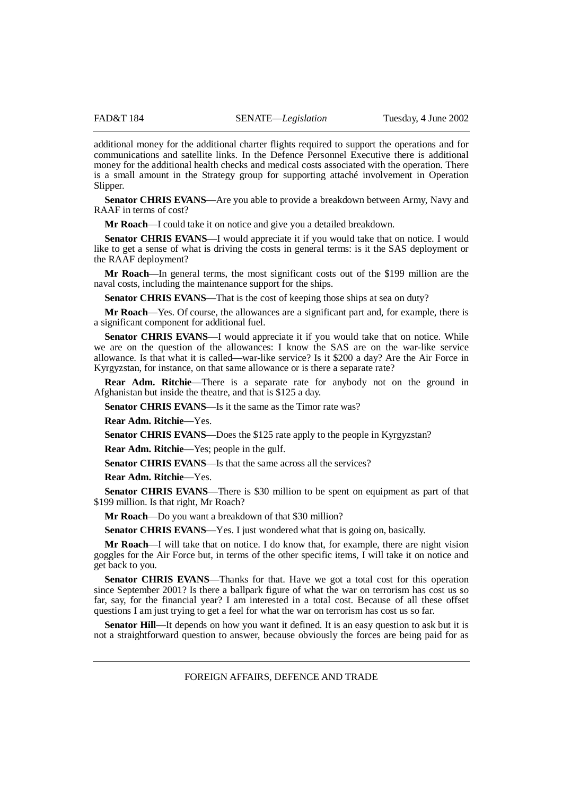additional money for the additional charter flights required to support the operations and for communications and satellite links. In the Defence Personnel Executive there is additional money for the additional health checks and medical costs associated with the operation. There is a small amount in the Strategy group for supporting attaché involvement in Operation Slipper.

**Senator CHRIS EVANS**—Are you able to provide a breakdown between Army, Navy and RAAF in terms of cost?

**Mr Roach**—I could take it on notice and give you a detailed breakdown.

**Senator CHRIS EVANS—I** would appreciate it if you would take that on notice. I would like to get a sense of what is driving the costs in general terms: is it the SAS deployment or the RAAF deployment?

**Mr Roach**—In general terms, the most significant costs out of the \$199 million are the naval costs, including the maintenance support for the ships.

**Senator CHRIS EVANS—That is the cost of keeping those ships at sea on duty?** 

**Mr Roach**—Yes. Of course, the allowances are a significant part and, for example, there is a significant component for additional fuel.

**Senator CHRIS EVANS**—I would appreciate it if you would take that on notice. While we are on the question of the allowances: I know the SAS are on the war-like service allowance. Is that what it is called—war-like service? Is it \$200 a day? Are the Air Force in Kyrgyzstan, for instance, on that same allowance or is there a separate rate?

**Rear Adm. Ritchie**—There is a separate rate for anybody not on the ground in Afghanistan but inside the theatre, and that is \$125 a day.

**Senator CHRIS EVANS**—Is it the same as the Timor rate was?

**Rear Adm. Ritchie**—Yes.

**Senator CHRIS EVANS—Does the \$125 rate apply to the people in Kyrgyzstan?** 

**Rear Adm. Ritchie**—Yes; people in the gulf.

**Senator CHRIS EVANS—Is that the same across all the services?** 

**Rear Adm. Ritchie**—Yes.

**Senator CHRIS EVANS**—There is \$30 million to be spent on equipment as part of that \$199 million. Is that right, Mr Roach?

**Mr Roach**—Do you want a breakdown of that \$30 million?

**Senator CHRIS EVANS**—Yes. I just wondered what that is going on, basically.

**Mr Roach**—I will take that on notice. I do know that, for example, there are night vision goggles for the Air Force but, in terms of the other specific items, I will take it on notice and get back to you.

**Senator CHRIS EVANS**—Thanks for that. Have we got a total cost for this operation since September 2001? Is there a ballpark figure of what the war on terrorism has cost us so far, say, for the financial year? I am interested in a total cost. Because of all these offset questions I am just trying to get a feel for what the war on terrorism has cost us so far.

**Senator Hill—It** depends on how you want it defined. It is an easy question to ask but it is not a straightforward question to answer, because obviously the forces are being paid for as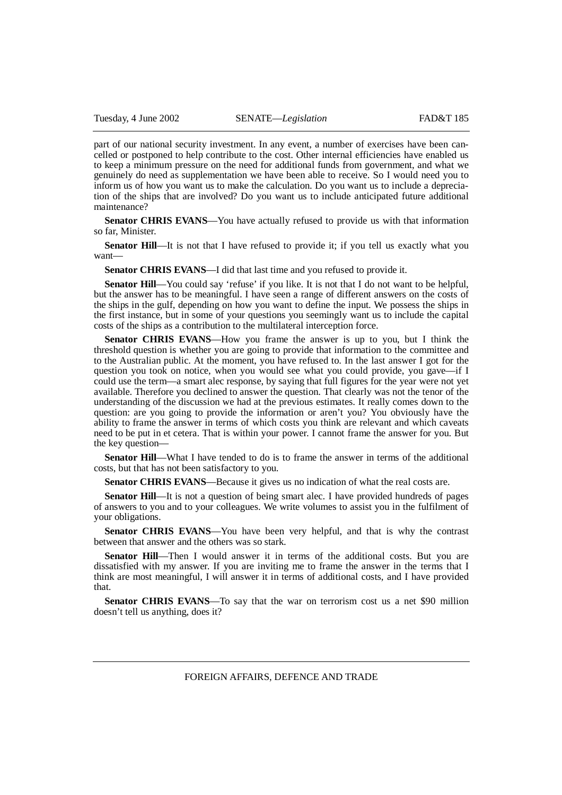part of our national security investment. In any event, a number of exercises have been cancelled or postponed to help contribute to the cost. Other internal efficiencies have enabled us to keep a minimum pressure on the need for additional funds from government, and what we genuinely do need as supplementation we have been able to receive. So I would need you to inform us of how you want us to make the calculation. Do you want us to include a depreciation of the ships that are involved? Do you want us to include anticipated future additional maintenance?

**Senator CHRIS EVANS**—You have actually refused to provide us with that information so far, Minister.

**Senator Hill—It** is not that I have refused to provide it; if you tell us exactly what you want—

**Senator CHRIS EVANS**—I did that last time and you refused to provide it.

**Senator Hill**—You could say 'refuse' if you like. It is not that I do not want to be helpful, but the answer has to be meaningful. I have seen a range of different answers on the costs of the ships in the gulf, depending on how you want to define the input. We possess the ships in the first instance, but in some of your questions you seemingly want us to include the capital costs of the ships as a contribution to the multilateral interception force.

**Senator CHRIS EVANS**—How you frame the answer is up to you, but I think the threshold question is whether you are going to provide that information to the committee and to the Australian public. At the moment, you have refused to. In the last answer I got for the question you took on notice, when you would see what you could provide, you gave—if I could use the term—a smart alec response, by saying that full figures for the year were not yet available. Therefore you declined to answer the question. That clearly was not the tenor of the understanding of the discussion we had at the previous estimates. It really comes down to the question: are you going to provide the information or aren't you? You obviously have the ability to frame the answer in terms of which costs you think are relevant and which caveats need to be put in et cetera. That is within your power. I cannot frame the answer for you. But the key question—

**Senator Hill**—What I have tended to do is to frame the answer in terms of the additional costs, but that has not been satisfactory to you.

**Senator CHRIS EVANS**—Because it gives us no indication of what the real costs are.

**Senator Hill**—It is not a question of being smart alec. I have provided hundreds of pages of answers to you and to your colleagues. We write volumes to assist you in the fulfilment of your obligations.

**Senator CHRIS EVANS**—You have been very helpful, and that is why the contrast between that answer and the others was so stark.

**Senator Hill**—Then I would answer it in terms of the additional costs. But you are dissatisfied with my answer. If you are inviting me to frame the answer in the terms that I think are most meaningful, I will answer it in terms of additional costs, and I have provided that.

**Senator CHRIS EVANS**—To say that the war on terrorism cost us a net \$90 million doesn't tell us anything, does it?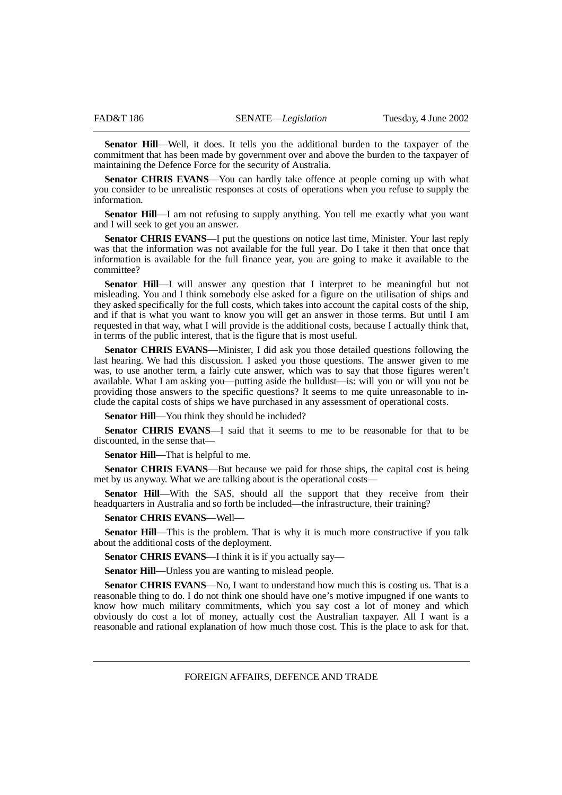**Senator Hill**—Well, it does. It tells you the additional burden to the taxpayer of the commitment that has been made by government over and above the burden to the taxpayer of maintaining the Defence Force for the security of Australia.

**Senator CHRIS EVANS**—You can hardly take offence at people coming up with what you consider to be unrealistic responses at costs of operations when you refuse to supply the information.

**Senator Hill—I** am not refusing to supply anything. You tell me exactly what you want and I will seek to get you an answer.

Senator CHRIS EVANS—I put the questions on notice last time, Minister. Your last reply was that the information was not available for the full year. Do I take it then that once that information is available for the full finance year, you are going to make it available to the committee?

**Senator Hill**—I will answer any question that I interpret to be meaningful but not misleading. You and I think somebody else asked for a figure on the utilisation of ships and they asked specifically for the full costs, which takes into account the capital costs of the ship, and if that is what you want to know you will get an answer in those terms. But until I am requested in that way, what I will provide is the additional costs, because I actually think that, in terms of the public interest, that is the figure that is most useful.

**Senator CHRIS EVANS**—Minister, I did ask you those detailed questions following the last hearing. We had this discussion. I asked you those questions. The answer given to me was, to use another term, a fairly cute answer, which was to say that those figures weren't available. What I am asking you—putting aside the bulldust—is: will you or will you not be providing those answers to the specific questions? It seems to me quite unreasonable to include the capital costs of ships we have purchased in any assessment of operational costs.

**Senator Hill**—You think they should be included?

**Senator CHRIS EVANS**—I said that it seems to me to be reasonable for that to be discounted, in the sense that—

**Senator Hill**—That is helpful to me.

**Senator CHRIS EVANS—But because we paid for those ships, the capital cost is being** met by us anyway. What we are talking about is the operational costs—

**Senator Hill**—With the SAS, should all the support that they receive from their headquarters in Australia and so forth be included—the infrastructure, their training?

### **Senator CHRIS EVANS**—Well—

**Senator Hill**—This is the problem. That is why it is much more constructive if you talk about the additional costs of the deployment.

**Senator CHRIS EVANS—I** think it is if you actually say—

**Senator Hill—Unless you are wanting to mislead people.** 

**Senator CHRIS EVANS**—No, I want to understand how much this is costing us. That is a reasonable thing to do. I do not think one should have one's motive impugned if one wants to know how much military commitments, which you say cost a lot of money and which obviously do cost a lot of money, actually cost the Australian taxpayer. All I want is a reasonable and rational explanation of how much those cost. This is the place to ask for that.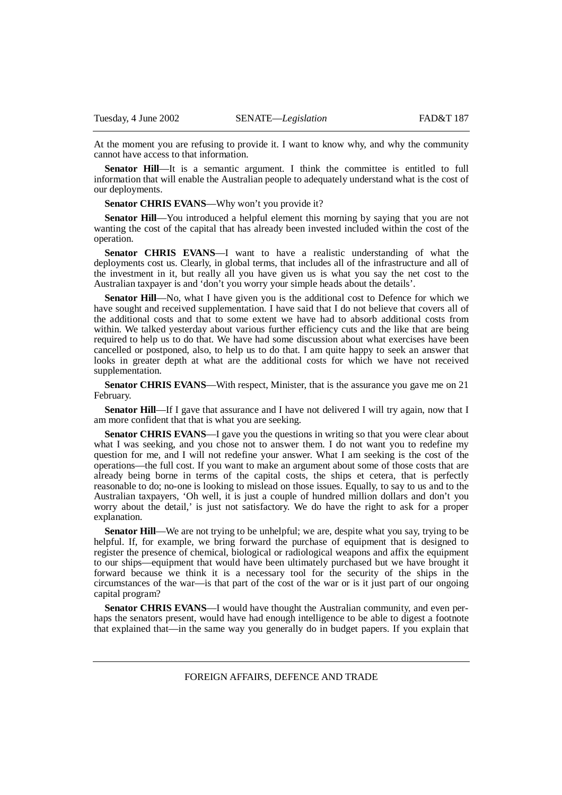At the moment you are refusing to provide it. I want to know why, and why the community cannot have access to that information.

**Senator Hill—It** is a semantic argument. I think the committee is entitled to full information that will enable the Australian people to adequately understand what is the cost of our deployments.

**Senator CHRIS EVANS—Why won't you provide it?** 

**Senator Hill**—You introduced a helpful element this morning by saying that you are not wanting the cost of the capital that has already been invested included within the cost of the operation.

**Senator CHRIS EVANS**—I want to have a realistic understanding of what the deployments cost us. Clearly, in global terms, that includes all of the infrastructure and all of the investment in it, but really all you have given us is what you say the net cost to the Australian taxpayer is and 'don't you worry your simple heads about the details'.

**Senator Hill—No,** what I have given you is the additional cost to Defence for which we have sought and received supplementation. I have said that I do not believe that covers all of the additional costs and that to some extent we have had to absorb additional costs from within. We talked yesterday about various further efficiency cuts and the like that are being required to help us to do that. We have had some discussion about what exercises have been cancelled or postponed, also, to help us to do that. I am quite happy to seek an answer that looks in greater depth at what are the additional costs for which we have not received supplementation.

**Senator CHRIS EVANS**—With respect, Minister, that is the assurance you gave me on 21 February.

**Senator Hill—If** I gave that assurance and I have not delivered I will try again, now that I am more confident that that is what you are seeking.

**Senator CHRIS EVANS—I** gave you the questions in writing so that you were clear about what I was seeking, and you chose not to answer them. I do not want you to redefine my question for me, and I will not redefine your answer. What I am seeking is the cost of the operations—the full cost. If you want to make an argument about some of those costs that are already being borne in terms of the capital costs, the ships et cetera, that is perfectly reasonable to do; no-one is looking to mislead on those issues. Equally, to say to us and to the Australian taxpayers, 'Oh well, it is just a couple of hundred million dollars and don't you worry about the detail,' is just not satisfactory. We do have the right to ask for a proper explanation.

**Senator Hill—We** are not trying to be unhelpful; we are, despite what you say, trying to be helpful. If, for example, we bring forward the purchase of equipment that is designed to register the presence of chemical, biological or radiological weapons and affix the equipment to our ships—equipment that would have been ultimately purchased but we have brought it forward because we think it is a necessary tool for the security of the ships in the circumstances of the war—is that part of the cost of the war or is it just part of our ongoing capital program?

**Senator CHRIS EVANS**—I would have thought the Australian community, and even perhaps the senators present, would have had enough intelligence to be able to digest a footnote that explained that—in the same way you generally do in budget papers. If you explain that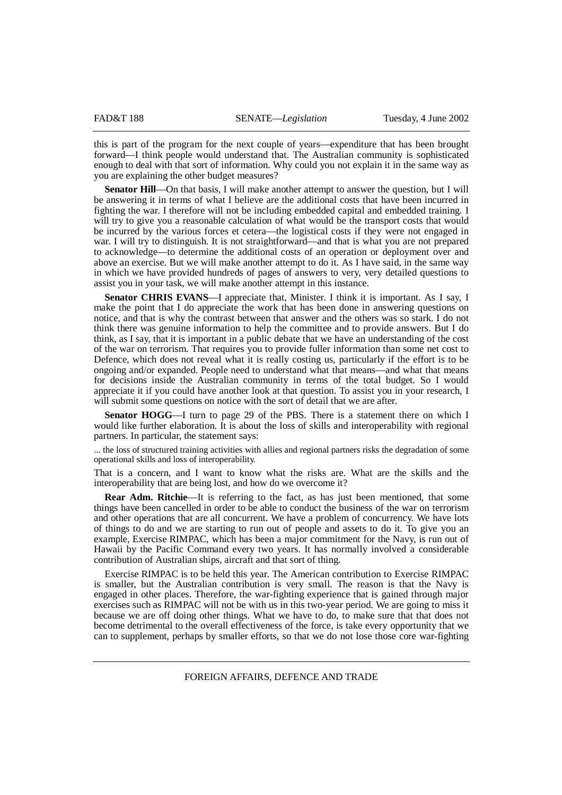this is part of the program for the next couple of years—expenditure that has been brought forward—I think people would understand that. The Australian community is sophisticated enough to deal with that sort of information. Why could you not explain it in the same way as you are explaining the other budget measures?

**Senator Hill**—On that basis, I will make another attempt to answer the question, but I will be answering it in terms of what I believe are the additional costs that have been incurred in fighting the war. I therefore will not be including embedded capital and embedded training. I will try to give you a reasonable calculation of what would be the transport costs that would be incurred by the various forces et cetera—the logistical costs if they were not engaged in war. I will try to distinguish. It is not straightforward—and that is what you are not prepared to acknowledge—to determine the additional costs of an operation or deployment over and above an exercise. But we will make another attempt to do it. As I have said, in the same way in which we have provided hundreds of pages of answers to very, very detailed questions to assist you in your task, we will make another attempt in this instance.

**Senator CHRIS EVANS**—I appreciate that, Minister. I think it is important. As I say, I make the point that I do appreciate the work that has been done in answering questions on notice, and that is why the contrast between that answer and the others was so stark. I do not think there was genuine information to help the committee and to provide answers. But I do think, as I say, that it is important in a public debate that we have an understanding of the cost of the war on terrorism. That requires you to provide fuller information than some net cost to Defence, which does not reveal what it is really costing us, particularly if the effort is to be ongoing and/or expanded. People need to understand what that means—and what that means for decisions inside the Australian community in terms of the total budget. So I would appreciate it if you could have another look at that question. To assist you in your research, I will submit some questions on notice with the sort of detail that we are after.

**Senator HOGG**—I turn to page 29 of the PBS. There is a statement there on which I would like further elaboration. It is about the loss of skills and interoperability with regional partners. In particular, the statement says:

... the loss of structured training activities with allies and regional partners risks the degradation of some operational skills and loss of interoperability.

That is a concern, and I want to know what the risks are. What are the skills and the interoperability that are being lost, and how do we overcome it?

**Rear Adm. Ritchie—It** is referring to the fact, as has just been mentioned, that some things have been cancelled in order to be able to conduct the business of the war on terrorism and other operations that are all concurrent. We have a problem of concurrency. We have lots of things to do and we are starting to run out of people and assets to do it. To give you an example, Exercise RIMPAC, which has been a major commitment for the Navy, is run out of Hawaii by the Pacific Command every two years. It has normally involved a considerable contribution of Australian ships, aircraft and that sort of thing.

Exercise RIMPAC is to be held this year. The American contribution to Exercise RIMPAC is smaller, but the Australian contribution is very small. The reason is that the Navy is engaged in other places. Therefore, the war-fighting experience that is gained through major exercises such as RIMPAC will not be with us in this two-year period. We are going to miss it because we are off doing other things. What we have to do, to make sure that that does not become detrimental to the overall effectiveness of the force, is take every opportunity that we can to supplement, perhaps by smaller efforts, so that we do not lose those core war-fighting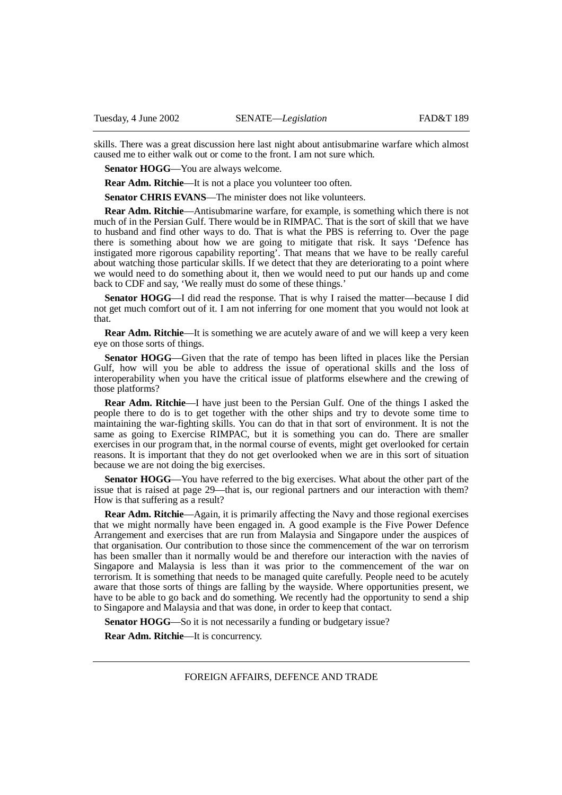skills. There was a great discussion here last night about antisubmarine warfare which almost caused me to either walk out or come to the front. I am not sure which.

**Senator HOGG**—You are always welcome.

**Rear Adm. Ritchie**—It is not a place you volunteer too often.

**Senator CHRIS EVANS—The minister does not like volunteers.** 

**Rear Adm. Ritchie**—Antisubmarine warfare, for example, is something which there is not much of in the Persian Gulf. There would be in RIMPAC. That is the sort of skill that we have to husband and find other ways to do. That is what the PBS is referring to. Over the page there is something about how we are going to mitigate that risk. It says 'Defence has instigated more rigorous capability reporting'. That means that we have to be really careful about watching those particular skills. If we detect that they are deteriorating to a point where we would need to do something about it, then we would need to put our hands up and come back to CDF and say, 'We really must do some of these things.'

**Senator HOGG**—I did read the response. That is why I raised the matter—because I did not get much comfort out of it. I am not inferring for one moment that you would not look at that.

**Rear Adm. Ritchie—It** is something we are acutely aware of and we will keep a very keen eye on those sorts of things.

**Senator HOGG—Given that the rate of tempo has been lifted in places like the Persian** Gulf, how will you be able to address the issue of operational skills and the loss of interoperability when you have the critical issue of platforms elsewhere and the crewing of those platforms?

**Rear Adm. Ritchie**—I have just been to the Persian Gulf. One of the things I asked the people there to do is to get together with the other ships and try to devote some time to maintaining the war-fighting skills. You can do that in that sort of environment. It is not the same as going to Exercise RIMPAC, but it is something you can do. There are smaller exercises in our program that, in the normal course of events, might get overlooked for certain reasons. It is important that they do not get overlooked when we are in this sort of situation because we are not doing the big exercises.

Senator HOGG—You have referred to the big exercises. What about the other part of the issue that is raised at page 29—that is, our regional partners and our interaction with them? How is that suffering as a result?

**Rear Adm. Ritchie**—Again, it is primarily affecting the Navy and those regional exercises that we might normally have been engaged in. A good example is the Five Power Defence Arrangement and exercises that are run from Malaysia and Singapore under the auspices of that organisation. Our contribution to those since the commencement of the war on terrorism has been smaller than it normally would be and therefore our interaction with the navies of Singapore and Malaysia is less than it was prior to the commencement of the war on terrorism. It is something that needs to be managed quite carefully. People need to be acutely aware that those sorts of things are falling by the wayside. Where opportunities present, we have to be able to go back and do something. We recently had the opportunity to send a ship to Singapore and Malaysia and that was done, in order to keep that contact.

**Senator HOGG—So** it is not necessarily a funding or budgetary issue?

**Rear Adm. Ritchie**—It is concurrency.

FOREIGN AFFAIRS, DEFENCE AND TRADE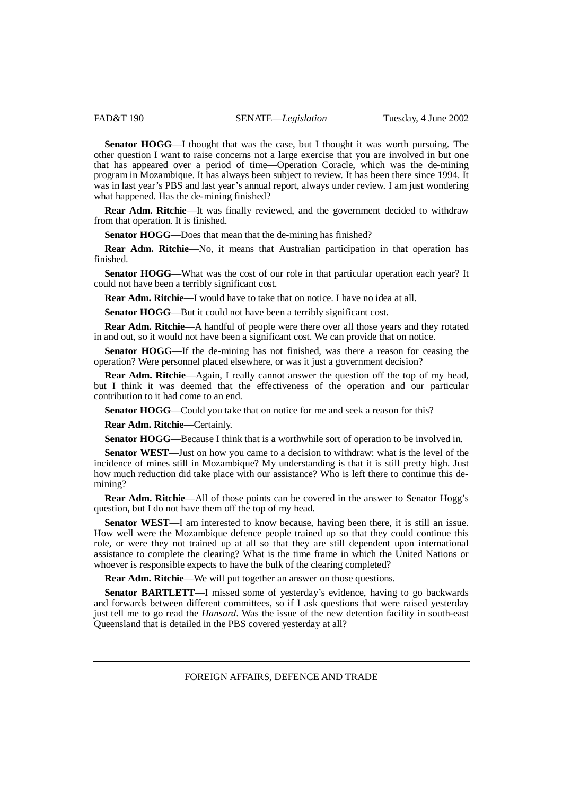**Senator HOGG**—I thought that was the case, but I thought it was worth pursuing. The other question I want to raise concerns not a large exercise that you are involved in but one that has appeared over a period of time—Operation Coracle, which was the de-mining program in Mozambique. It has always been subject to review. It has been there since 1994. It was in last year's PBS and last year's annual report, always under review. I am just wondering what happened. Has the de-mining finished?

**Rear Adm. Ritchie—It** was finally reviewed, and the government decided to withdraw from that operation. It is finished.

**Senator HOGG—Does that mean that the de-mining has finished?** 

**Rear Adm. Ritchie**—No, it means that Australian participation in that operation has finished.

**Senator HOGG—What was the cost of our role in that particular operation each year?** It could not have been a terribly significant cost.

**Rear Adm. Ritchie**—I would have to take that on notice. I have no idea at all.

**Senator HOGG—But it could not have been a terribly significant cost.** 

**Rear Adm. Ritchie**—A handful of people were there over all those years and they rotated in and out, so it would not have been a significant cost. We can provide that on notice.

**Senator HOGG**—If the de-mining has not finished, was there a reason for ceasing the operation? Were personnel placed elsewhere, or was it just a government decision?

**Rear Adm. Ritchie**—Again, I really cannot answer the question off the top of my head, but I think it was deemed that the effectiveness of the operation and our particular contribution to it had come to an end.

**Senator HOGG—Could you take that on notice for me and seek a reason for this?** 

**Rear Adm. Ritchie**—Certainly.

**Senator HOGG**—Because I think that is a worthwhile sort of operation to be involved in.

**Senator WEST**—Just on how you came to a decision to withdraw: what is the level of the incidence of mines still in Mozambique? My understanding is that it is still pretty high. Just how much reduction did take place with our assistance? Who is left there to continue this demining?

**Rear Adm. Ritchie—All of those points can be covered in the answer to Senator Hogg's** question, but I do not have them off the top of my head.

**Senator WEST**—I am interested to know because, having been there, it is still an issue. How well were the Mozambique defence people trained up so that they could continue this role, or were they not trained up at all so that they are still dependent upon international assistance to complete the clearing? What is the time frame in which the United Nations or whoever is responsible expects to have the bulk of the clearing completed?

**Rear Adm. Ritchie**—We will put together an answer on those questions.

**Senator BARTLETT**—I missed some of yesterday's evidence, having to go backwards and forwards between different committees, so if I ask questions that were raised yesterday just tell me to go read the *Hansard*. Was the issue of the new detention facility in south-east Queensland that is detailed in the PBS covered yesterday at all?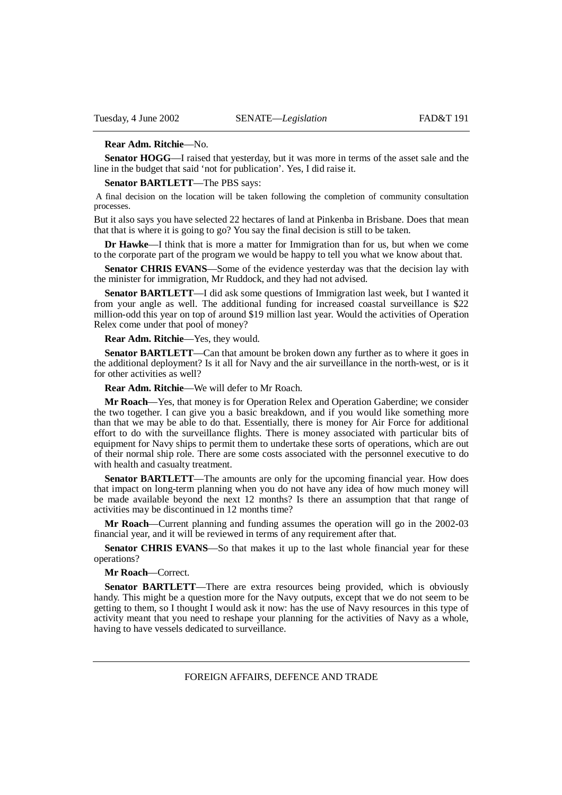## **Rear Adm. Ritchie**—No.

**Senator HOGG**—I raised that yesterday, but it was more in terms of the asset sale and the line in the budget that said 'not for publication'. Yes, I did raise it.

## **Senator BARTLETT**—The PBS says:

 A final decision on the location will be taken following the completion of community consultation processes.

But it also says you have selected 22 hectares of land at Pinkenba in Brisbane. Does that mean that that is where it is going to go? You say the final decision is still to be taken.

**Dr Hawke**—I think that is more a matter for Immigration than for us, but when we come to the corporate part of the program we would be happy to tell you what we know about that.

**Senator CHRIS EVANS**—Some of the evidence yesterday was that the decision lay with the minister for immigration, Mr Ruddock, and they had not advised.

**Senator BARTLETT**—I did ask some questions of Immigration last week, but I wanted it from your angle as well. The additional funding for increased coastal surveillance is \$22 million-odd this year on top of around \$19 million last year. Would the activities of Operation Relex come under that pool of money?

### **Rear Adm. Ritchie**—Yes, they would.

**Senator BARTLETT**—Can that amount be broken down any further as to where it goes in the additional deployment? Is it all for Navy and the air surveillance in the north-west, or is it for other activities as well?

**Rear Adm. Ritchie**—We will defer to Mr Roach.

**Mr Roach**—Yes, that money is for Operation Relex and Operation Gaberdine; we consider the two together. I can give you a basic breakdown, and if you would like something more than that we may be able to do that. Essentially, there is money for Air Force for additional effort to do with the surveillance flights. There is money associated with particular bits of equipment for Navy ships to permit them to undertake these sorts of operations, which are out of their normal ship role. There are some costs associated with the personnel executive to do with health and casualty treatment.

**Senator BARTLETT**—The amounts are only for the upcoming financial year. How does that impact on long-term planning when you do not have any idea of how much money will be made available beyond the next 12 months? Is there an assumption that that range of activities may be discontinued in 12 months time?

**Mr Roach**—Current planning and funding assumes the operation will go in the 2002-03 financial year, and it will be reviewed in terms of any requirement after that.

**Senator CHRIS EVANS**—So that makes it up to the last whole financial year for these operations?

# **Mr Roach**—Correct.

**Senator BARTLETT**—There are extra resources being provided, which is obviously handy. This might be a question more for the Navy outputs, except that we do not seem to be getting to them, so I thought I would ask it now: has the use of Navy resources in this type of activity meant that you need to reshape your planning for the activities of Navy as a whole, having to have vessels dedicated to surveillance.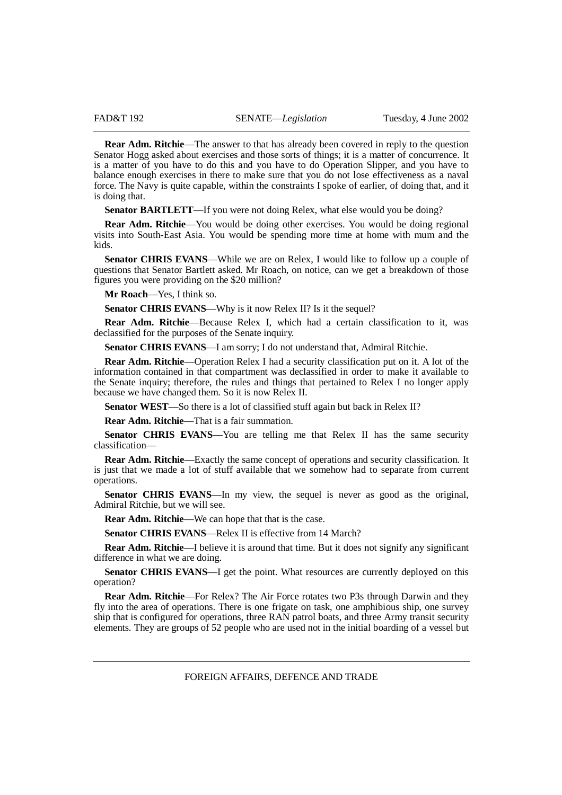**Rear Adm. Ritchie—The answer to that has already been covered in reply to the question** Senator Hogg asked about exercises and those sorts of things; it is a matter of concurrence. It is a matter of you have to do this and you have to do Operation Slipper, and you have to balance enough exercises in there to make sure that you do not lose effectiveness as a naval force. The Navy is quite capable, within the constraints I spoke of earlier, of doing that, and it is doing that.

**Senator BARTLETT**—If you were not doing Relex, what else would you be doing?

**Rear Adm. Ritchie—You** would be doing other exercises. You would be doing regional visits into South-East Asia. You would be spending more time at home with mum and the kids.

**Senator CHRIS EVANS—While** we are on Relex, I would like to follow up a couple of questions that Senator Bartlett asked. Mr Roach, on notice, can we get a breakdown of those figures you were providing on the \$20 million?

**Mr Roach**—Yes, I think so.

**Senator CHRIS EVANS—Why is it now Relex II? Is it the sequel?** 

**Rear Adm. Ritchie**—Because Relex I, which had a certain classification to it, was declassified for the purposes of the Senate inquiry.

Senator CHRIS EVANS-I am sorry; I do not understand that, Admiral Ritchie.

**Rear Adm. Ritchie**—Operation Relex I had a security classification put on it. A lot of the information contained in that compartment was declassified in order to make it available to the Senate inquiry; therefore, the rules and things that pertained to Relex I no longer apply because we have changed them. So it is now Relex II.

Senator WEST—So there is a lot of classified stuff again but back in Relex II?

**Rear Adm. Ritchie**—That is a fair summation.

**Senator CHRIS EVANS**—You are telling me that Relex II has the same security classification—

**Rear Adm. Ritchie**—Exactly the same concept of operations and security classification. It is just that we made a lot of stuff available that we somehow had to separate from current operations.

Senator CHRIS EVANS—In my view, the sequel is never as good as the original, Admiral Ritchie, but we will see.

**Rear Adm. Ritchie—We can hope that that is the case.** 

**Senator CHRIS EVANS—Relex II is effective from 14 March?** 

**Rear Adm. Ritchie—I** believe it is around that time. But it does not signify any significant difference in what we are doing.

**Senator CHRIS EVANS—I** get the point. What resources are currently deployed on this operation?

**Rear Adm. Ritchie**—For Relex? The Air Force rotates two P3s through Darwin and they fly into the area of operations. There is one frigate on task, one amphibious ship, one survey ship that is configured for operations, three RAN patrol boats, and three Army transit security elements. They are groups of 52 people who are used not in the initial boarding of a vessel but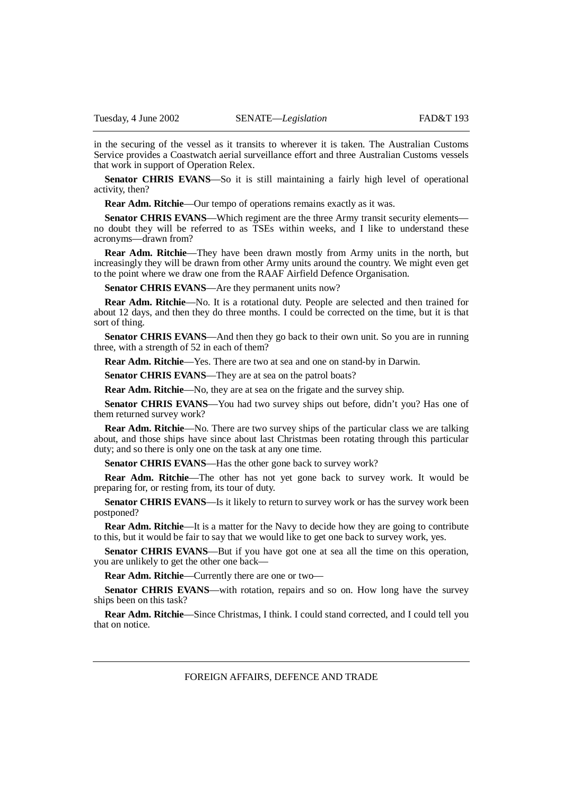in the securing of the vessel as it transits to wherever it is taken. The Australian Customs Service provides a Coastwatch aerial surveillance effort and three Australian Customs vessels that work in support of Operation Relex.

**Senator CHRIS EVANS**—So it is still maintaining a fairly high level of operational activity, then?

**Rear Adm. Ritchie**—Our tempo of operations remains exactly as it was.

**Senator CHRIS EVANS—Which regiment are the three Army transit security elements** no doubt they will be referred to as TSEs within weeks, and I like to understand these acronyms—drawn from?

**Rear Adm. Ritchie**—They have been drawn mostly from Army units in the north, but increasingly they will be drawn from other Army units around the country. We might even get to the point where we draw one from the RAAF Airfield Defence Organisation.

**Senator CHRIS EVANS—Are they permanent units now?** 

**Rear Adm. Ritchie**—No. It is a rotational duty. People are selected and then trained for about 12 days, and then they do three months. I could be corrected on the time, but it is that sort of thing.

**Senator CHRIS EVANS—And then they go back to their own unit. So you are in running** three, with a strength of 52 in each of them?

**Rear Adm. Ritchie**—Yes. There are two at sea and one on stand-by in Darwin.

**Senator CHRIS EVANS—They are at sea on the patrol boats?** 

**Rear Adm. Ritchie**—No, they are at sea on the frigate and the survey ship.

**Senator CHRIS EVANS**—You had two survey ships out before, didn't you? Has one of them returned survey work?

**Rear Adm. Ritchie**—No. There are two survey ships of the particular class we are talking about, and those ships have since about last Christmas been rotating through this particular duty; and so there is only one on the task at any one time.

**Senator CHRIS EVANS—Has the other gone back to survey work?** 

**Rear Adm. Ritchie**—The other has not yet gone back to survey work. It would be preparing for, or resting from, its tour of duty.

**Senator CHRIS EVANS**—Is it likely to return to survey work or has the survey work been postponed?

**Rear Adm. Ritchie—It** is a matter for the Navy to decide how they are going to contribute to this, but it would be fair to say that we would like to get one back to survey work, yes.

**Senator CHRIS EVANS**—But if you have got one at sea all the time on this operation, you are unlikely to get the other one back—

**Rear Adm. Ritchie**—Currently there are one or two—

Senator CHRIS EVANS—with rotation, repairs and so on. How long have the survey ships been on this task?

**Rear Adm. Ritchie**—Since Christmas, I think. I could stand corrected, and I could tell you that on notice.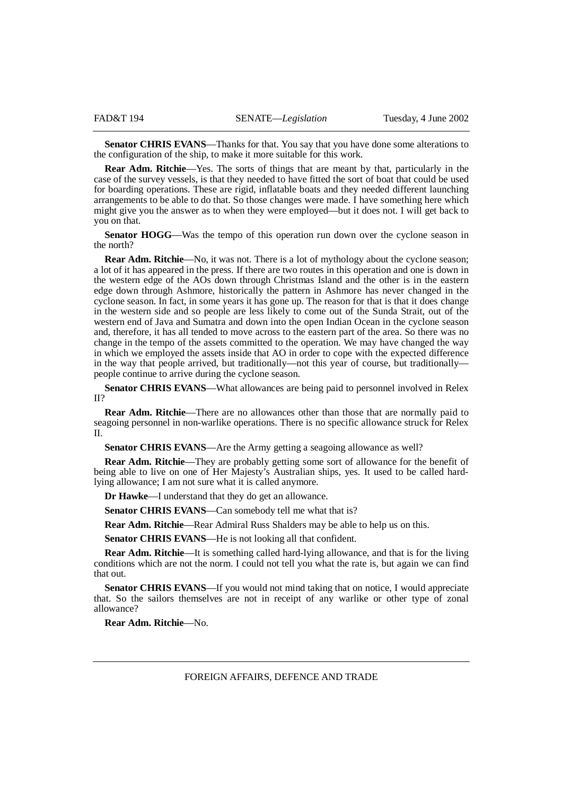**Senator CHRIS EVANS**—Thanks for that. You say that you have done some alterations to the configuration of the ship, to make it more suitable for this work.

**Rear Adm. Ritchie**—Yes. The sorts of things that are meant by that, particularly in the case of the survey vessels, is that they needed to have fitted the sort of boat that could be used for boarding operations. These are rigid, inflatable boats and they needed different launching arrangements to be able to do that. So those changes were made. I have something here which might give you the answer as to when they were employed—but it does not. I will get back to you on that.

**Senator HOGG**—Was the tempo of this operation run down over the cyclone season in the north?

**Rear Adm. Ritchie—No**, it was not. There is a lot of mythology about the cyclone season; a lot of it has appeared in the press. If there are two routes in this operation and one is down in the western edge of the AOs down through Christmas Island and the other is in the eastern edge down through Ashmore, historically the pattern in Ashmore has never changed in the cyclone season. In fact, in some years it has gone up. The reason for that is that it does change in the western side and so people are less likely to come out of the Sunda Strait, out of the western end of Java and Sumatra and down into the open Indian Ocean in the cyclone season and, therefore, it has all tended to move across to the eastern part of the area. So there was no change in the tempo of the assets committed to the operation. We may have changed the way in which we employed the assets inside that AO in order to cope with the expected difference in the way that people arrived, but traditionally—not this year of course, but traditionally people continue to arrive during the cyclone season.

**Senator CHRIS EVANS**—What allowances are being paid to personnel involved in Relex II?

**Rear Adm. Ritchie**—There are no allowances other than those that are normally paid to seagoing personnel in non-warlike operations. There is no specific allowance struck for Relex  $\mathbf{I}$ 

**Senator CHRIS EVANS—Are the Army getting a seagoing allowance as well?** 

**Rear Adm. Ritchie**—They are probably getting some sort of allowance for the benefit of being able to live on one of Her Majesty's Australian ships, yes. It used to be called hardlying allowance; I am not sure what it is called anymore.

**Dr Hawke**—I understand that they do get an allowance.

**Senator CHRIS EVANS**—Can somebody tell me what that is?

**Rear Adm. Ritchie**—Rear Admiral Russ Shalders may be able to help us on this.

**Senator CHRIS EVANS**—He is not looking all that confident.

**Rear Adm. Ritchie**—It is something called hard-lying allowance, and that is for the living conditions which are not the norm. I could not tell you what the rate is, but again we can find that out.

**Senator CHRIS EVANS—If** you would not mind taking that on notice, I would appreciate that. So the sailors themselves are not in receipt of any warlike or other type of zonal allowance?

**Rear Adm. Ritchie**—No.

FOREIGN AFFAIRS, DEFENCE AND TRADE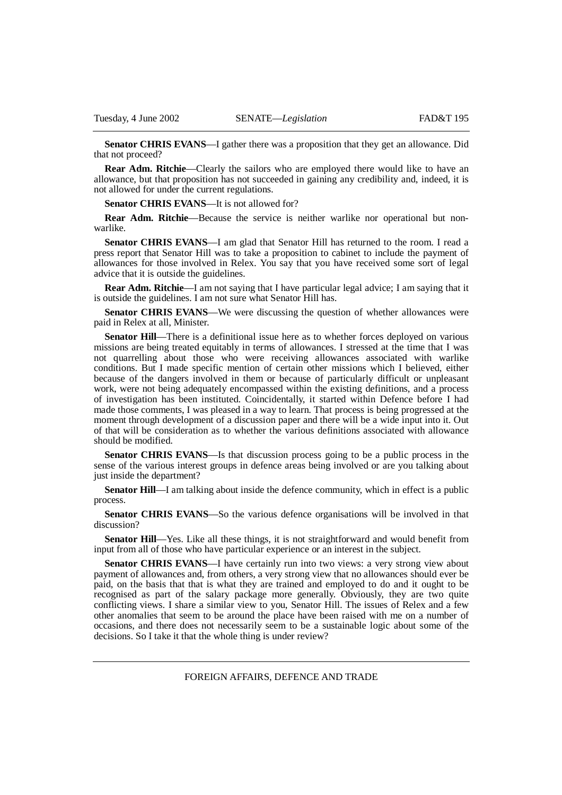**Senator CHRIS EVANS**—I gather there was a proposition that they get an allowance. Did that not proceed?

**Rear Adm. Ritchie—Clearly the sailors who are employed there would like to have an** allowance, but that proposition has not succeeded in gaining any credibility and, indeed, it is not allowed for under the current regulations.

**Senator CHRIS EVANS—It is not allowed for?** 

**Rear Adm. Ritchie**—Because the service is neither warlike nor operational but nonwarlike.

**Senator CHRIS EVANS**—I am glad that Senator Hill has returned to the room. I read a press report that Senator Hill was to take a proposition to cabinet to include the payment of allowances for those involved in Relex. You say that you have received some sort of legal advice that it is outside the guidelines.

**Rear Adm. Ritchie**—I am not saying that I have particular legal advice; I am saying that it is outside the guidelines. I am not sure what Senator Hill has.

**Senator CHRIS EVANS—We** were discussing the question of whether allowances were paid in Relex at all, Minister.

**Senator Hill**—There is a definitional issue here as to whether forces deployed on various missions are being treated equitably in terms of allowances. I stressed at the time that I was not quarrelling about those who were receiving allowances associated with warlike conditions. But I made specific mention of certain other missions which I believed, either because of the dangers involved in them or because of particularly difficult or unpleasant work, were not being adequately encompassed within the existing definitions, and a process of investigation has been instituted. Coincidentally, it started within Defence before I had made those comments, I was pleased in a way to learn. That process is being progressed at the moment through development of a discussion paper and there will be a wide input into it. Out of that will be consideration as to whether the various definitions associated with allowance should be modified.

**Senator CHRIS EVANS**—Is that discussion process going to be a public process in the sense of the various interest groups in defence areas being involved or are you talking about just inside the department?

**Senator Hill**—I am talking about inside the defence community, which in effect is a public process.

**Senator CHRIS EVANS**—So the various defence organisations will be involved in that discussion?

**Senator Hill**—Yes. Like all these things, it is not straightforward and would benefit from input from all of those who have particular experience or an interest in the subject.

**Senator CHRIS EVANS**—I have certainly run into two views: a very strong view about payment of allowances and, from others, a very strong view that no allowances should ever be paid, on the basis that that is what they are trained and employed to do and it ought to be recognised as part of the salary package more generally. Obviously, they are two quite conflicting views. I share a similar view to you, Senator Hill. The issues of Relex and a few other anomalies that seem to be around the place have been raised with me on a number of occasions, and there does not necessarily seem to be a sustainable logic about some of the decisions. So I take it that the whole thing is under review?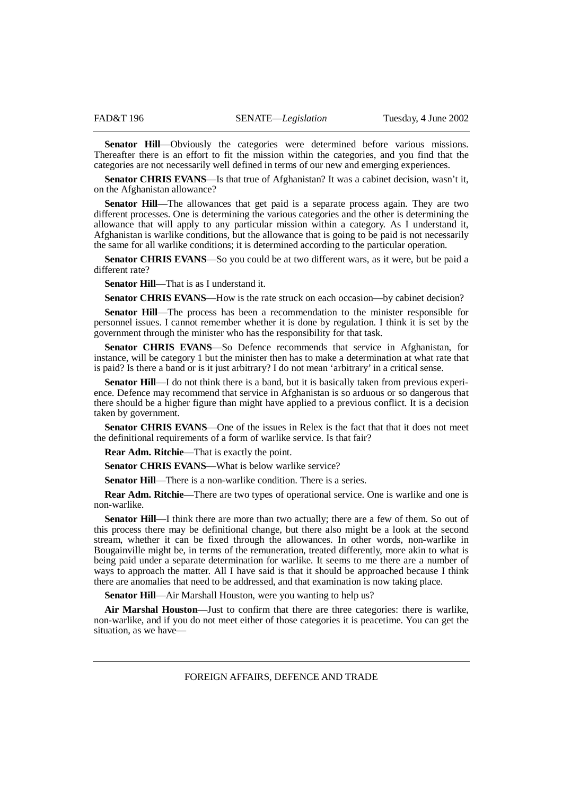**Senator Hill—Obviously** the categories were determined before various missions. Thereafter there is an effort to fit the mission within the categories, and you find that the categories are not necessarily well defined in terms of our new and emerging experiences.

Senator CHRIS EVANS-Is that true of Afghanistan? It was a cabinet decision, wasn't it, on the Afghanistan allowance?

**Senator Hill—The allowances that get paid is a separate process again. They are two** different processes. One is determining the various categories and the other is determining the allowance that will apply to any particular mission within a category. As I understand it, Afghanistan is warlike conditions, but the allowance that is going to be paid is not necessarily the same for all warlike conditions; it is determined according to the particular operation.

**Senator CHRIS EVANS**—So you could be at two different wars, as it were, but be paid a different rate?

**Senator Hill**—That is as I understand it.

**Senator CHRIS EVANS—How is the rate struck on each occasion—by cabinet decision?** 

**Senator Hill**—The process has been a recommendation to the minister responsible for personnel issues. I cannot remember whether it is done by regulation. I think it is set by the government through the minister who has the responsibility for that task.

**Senator CHRIS EVANS**—So Defence recommends that service in Afghanistan, for instance, will be category 1 but the minister then has to make a determination at what rate that is paid? Is there a band or is it just arbitrary? I do not mean 'arbitrary' in a critical sense.

**Senator Hill**—I do not think there is a band, but it is basically taken from previous experience. Defence may recommend that service in Afghanistan is so arduous or so dangerous that there should be a higher figure than might have applied to a previous conflict. It is a decision taken by government.

Senator CHRIS EVANS—One of the issues in Relex is the fact that that it does not meet the definitional requirements of a form of warlike service. Is that fair?

**Rear Adm. Ritchie**—That is exactly the point.

**Senator CHRIS EVANS—What is below warlike service?** 

**Senator Hill—There is a non-warlike condition. There is a series.** 

**Rear Adm. Ritchie**—There are two types of operational service. One is warlike and one is non-warlike.

**Senator Hill**—I think there are more than two actually; there are a few of them. So out of this process there may be definitional change, but there also might be a look at the second stream, whether it can be fixed through the allowances. In other words, non-warlike in Bougainville might be, in terms of the remuneration, treated differently, more akin to what is being paid under a separate determination for warlike. It seems to me there are a number of ways to approach the matter. All I have said is that it should be approached because I think there are anomalies that need to be addressed, and that examination is now taking place.

**Senator Hill—Air Marshall Houston, were you wanting to help us?** 

**Air Marshal Houston**—Just to confirm that there are three categories: there is warlike, non-warlike, and if you do not meet either of those categories it is peacetime. You can get the situation, as we have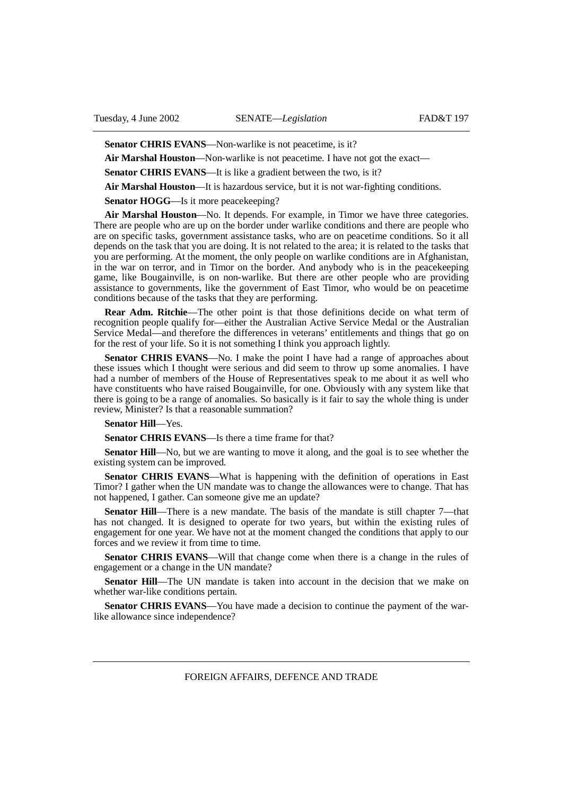Senator CHRIS EVANS—Non-warlike is not peacetime, is it?

**Air Marshal Houston**—Non-warlike is not peacetime. I have not got the exact—

**Senator CHRIS EVANS—It** is like a gradient between the two, is it?

**Air Marshal Houston**—It is hazardous service, but it is not war-fighting conditions.

**Senator HOGG—Is** it more peacekeeping?

**Air Marshal Houston**—No. It depends. For example, in Timor we have three categories. There are people who are up on the border under warlike conditions and there are people who are on specific tasks, government assistance tasks, who are on peacetime conditions. So it all depends on the task that you are doing. It is not related to the area; it is related to the tasks that you are performing. At the moment, the only people on warlike conditions are in Afghanistan, in the war on terror, and in Timor on the border. And anybody who is in the peacekeeping game, like Bougainville, is on non-warlike. But there are other people who are providing assistance to governments, like the government of East Timor, who would be on peacetime conditions because of the tasks that they are performing.

**Rear Adm. Ritchie**—The other point is that those definitions decide on what term of recognition people qualify for—either the Australian Active Service Medal or the Australian Service Medal—and therefore the differences in veterans' entitlements and things that go on for the rest of your life. So it is not something I think you approach lightly.

**Senator CHRIS EVANS**—No. I make the point I have had a range of approaches about these issues which I thought were serious and did seem to throw up some anomalies. I have had a number of members of the House of Representatives speak to me about it as well who have constituents who have raised Bougainville, for one. Obviously with any system like that there is going to be a range of anomalies. So basically is it fair to say the whole thing is under review, Minister? Is that a reasonable summation?

**Senator Hill**—Yes.

**Senator CHRIS EVANS**—Is there a time frame for that?

**Senator Hill—No**, but we are wanting to move it along, and the goal is to see whether the existing system can be improved.

**Senator CHRIS EVANS**—What is happening with the definition of operations in East Timor? I gather when the UN mandate was to change the allowances were to change. That has not happened, I gather. Can someone give me an update?

**Senator Hill—There is a new mandate. The basis of the mandate is still chapter 7—that** has not changed. It is designed to operate for two years, but within the existing rules of engagement for one year. We have not at the moment changed the conditions that apply to our forces and we review it from time to time.

**Senator CHRIS EVANS**—Will that change come when there is a change in the rules of engagement or a change in the UN mandate?

**Senator Hill**—The UN mandate is taken into account in the decision that we make on whether war-like conditions pertain.

**Senator CHRIS EVANS**—You have made a decision to continue the payment of the warlike allowance since independence?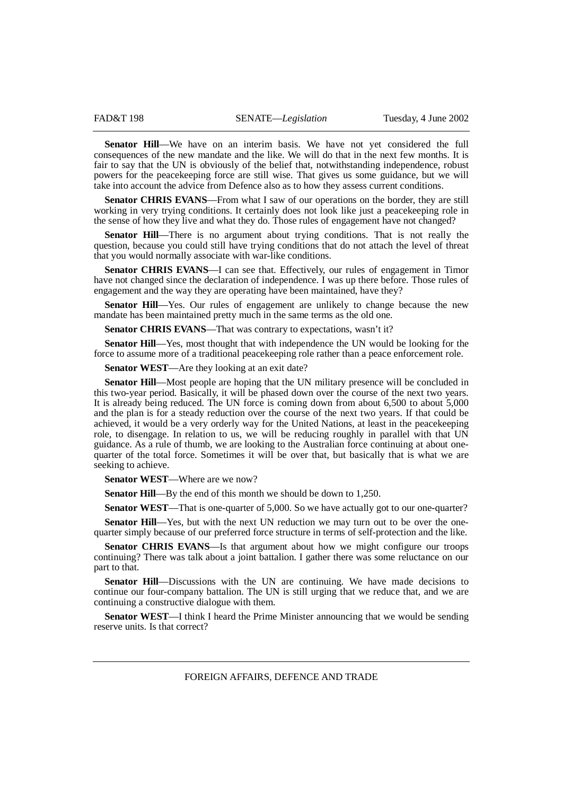**Senator Hill**—We have on an interim basis. We have not yet considered the full consequences of the new mandate and the like. We will do that in the next few months. It is fair to say that the UN is obviously of the belief that, notwithstanding independence, robust powers for the peacekeeping force are still wise. That gives us some guidance, but we will take into account the advice from Defence also as to how they assess current conditions.

**Senator CHRIS EVANS**—From what I saw of our operations on the border, they are still working in very trying conditions. It certainly does not look like just a peacekeeping role in the sense of how they live and what they do. Those rules of engagement have not changed?

**Senator Hill**—There is no argument about trying conditions. That is not really the question, because you could still have trying conditions that do not attach the level of threat that you would normally associate with war-like conditions.

**Senator CHRIS EVANS**—I can see that. Effectively, our rules of engagement in Timor have not changed since the declaration of independence. I was up there before. Those rules of engagement and the way they are operating have been maintained, have they?

**Senator Hill**—Yes. Our rules of engagement are unlikely to change because the new mandate has been maintained pretty much in the same terms as the old one.

Senator CHRIS EVANS—That was contrary to expectations, wasn't it?

**Senator Hill—Yes**, most thought that with independence the UN would be looking for the force to assume more of a traditional peacekeeping role rather than a peace enforcement role.

**Senator WEST—Are they looking at an exit date?** 

**Senator Hill**—Most people are hoping that the UN military presence will be concluded in this two-year period. Basically, it will be phased down over the course of the next two years. It is already being reduced. The UN force is coming down from about 6,500 to about 5,000 and the plan is for a steady reduction over the course of the next two years. If that could be achieved, it would be a very orderly way for the United Nations, at least in the peacekeeping role, to disengage. In relation to us, we will be reducing roughly in parallel with that UN guidance. As a rule of thumb, we are looking to the Australian force continuing at about onequarter of the total force. Sometimes it will be over that, but basically that is what we are seeking to achieve.

**Senator WEST**—Where are we now?

**Senator Hill—By** the end of this month we should be down to 1,250.

**Senator WEST—That is one-quarter of 5,000. So we have actually got to our one-quarter?** 

**Senator Hill—Yes, but with the next UN reduction we may turn out to be over the one**quarter simply because of our preferred force structure in terms of self-protection and the like.

**Senator CHRIS EVANS**—Is that argument about how we might configure our troops continuing? There was talk about a joint battalion. I gather there was some reluctance on our part to that.

**Senator Hill**—Discussions with the UN are continuing. We have made decisions to continue our four-company battalion. The UN is still urging that we reduce that, and we are continuing a constructive dialogue with them.

**Senator WEST—I** think I heard the Prime Minister announcing that we would be sending reserve units. Is that correct?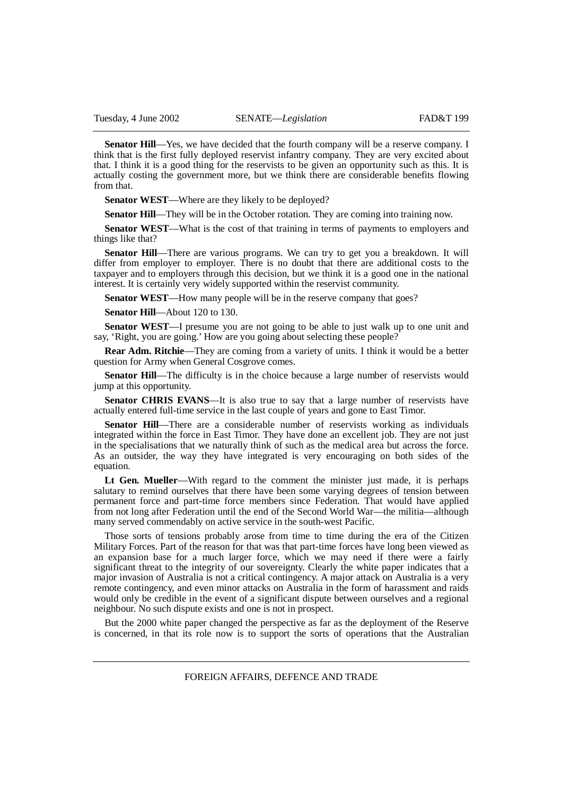**Senator Hill**—Yes, we have decided that the fourth company will be a reserve company. I think that is the first fully deployed reservist infantry company. They are very excited about that. I think it is a good thing for the reservists to be given an opportunity such as this. It is actually costing the government more, but we think there are considerable benefits flowing from that.

**Senator WEST**—Where are they likely to be deployed?

**Senator Hill—They will be in the October rotation. They are coming into training now.** 

**Senator WEST**—What is the cost of that training in terms of payments to employers and things like that?

**Senator Hill**—There are various programs. We can try to get you a breakdown. It will differ from employer to employer. There is no doubt that there are additional costs to the taxpayer and to employers through this decision, but we think it is a good one in the national interest. It is certainly very widely supported within the reservist community.

**Senator WEST—How many people will be in the reserve company that goes?** 

**Senator Hill**—About 120 to 130.

**Senator WEST**—I presume you are not going to be able to just walk up to one unit and say, 'Right, you are going.' How are you going about selecting these people?

**Rear Adm. Ritchie**—They are coming from a variety of units. I think it would be a better question for Army when General Cosgrove comes.

**Senator Hill—The difficulty is in the choice because a large number of reservists would** jump at this opportunity.

**Senator CHRIS EVANS—It** is also true to say that a large number of reservists have actually entered full-time service in the last couple of years and gone to East Timor.

**Senator Hill—There are a considerable number of reservists working as individuals** integrated within the force in East Timor. They have done an excellent job. They are not just in the specialisations that we naturally think of such as the medical area but across the force. As an outsider, the way they have integrated is very encouraging on both sides of the equation.

**Lt Gen. Mueller**—With regard to the comment the minister just made, it is perhaps salutary to remind ourselves that there have been some varying degrees of tension between permanent force and part-time force members since Federation. That would have applied from not long after Federation until the end of the Second World War—the militia—although many served commendably on active service in the south-west Pacific.

Those sorts of tensions probably arose from time to time during the era of the Citizen Military Forces. Part of the reason for that was that part-time forces have long been viewed as an expansion base for a much larger force, which we may need if there were a fairly significant threat to the integrity of our sovereignty. Clearly the white paper indicates that a major invasion of Australia is not a critical contingency. A major attack on Australia is a very remote contingency, and even minor attacks on Australia in the form of harassment and raids would only be credible in the event of a significant dispute between ourselves and a regional neighbour. No such dispute exists and one is not in prospect.

But the 2000 white paper changed the perspective as far as the deployment of the Reserve is concerned, in that its role now is to support the sorts of operations that the Australian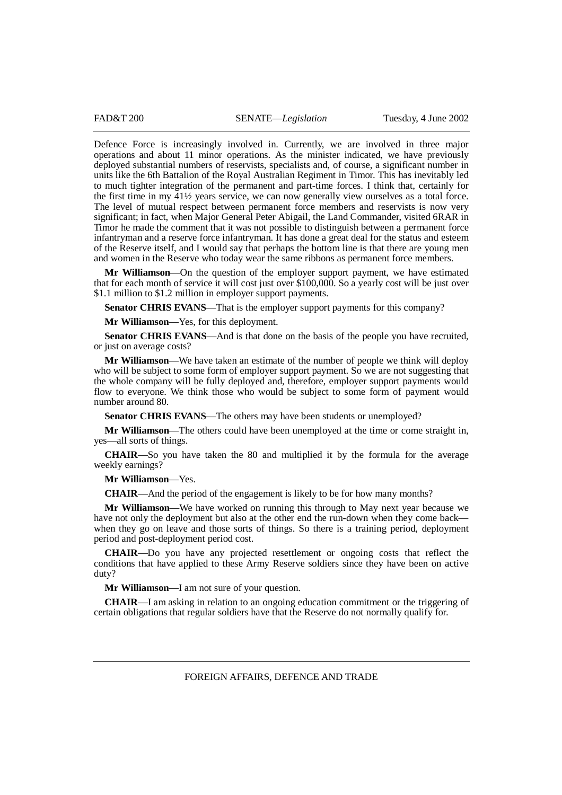Defence Force is increasingly involved in. Currently, we are involved in three major operations and about 11 minor operations. As the minister indicated, we have previously deployed substantial numbers of reservists, specialists and, of course, a significant number in units like the 6th Battalion of the Royal Australian Regiment in Timor. This has inevitably led to much tighter integration of the permanent and part-time forces. I think that, certainly for the first time in my 41½ years service, we can now generally view ourselves as a total force. The level of mutual respect between permanent force members and reservists is now very significant; in fact, when Major General Peter Abigail, the Land Commander, visited 6RAR in Timor he made the comment that it was not possible to distinguish between a permanent force infantryman and a reserve force infantryman. It has done a great deal for the status and esteem of the Reserve itself, and I would say that perhaps the bottom line is that there are young men and women in the Reserve who today wear the same ribbons as permanent force members.

**Mr Williamson**—On the question of the employer support payment, we have estimated that for each month of service it will cost just over \$100,000. So a yearly cost will be just over \$1.1 million to \$1.2 million in employer support payments.

**Senator CHRIS EVANS—That is the employer support payments for this company?** 

**Mr Williamson**—Yes, for this deployment.

**Senator CHRIS EVANS—And is that done on the basis of the people you have recruited,** or just on average costs?

**Mr Williamson**—We have taken an estimate of the number of people we think will deploy who will be subject to some form of employer support payment. So we are not suggesting that the whole company will be fully deployed and, therefore, employer support payments would flow to everyone. We think those who would be subject to some form of payment would number around 80.

**Senator CHRIS EVANS**—The others may have been students or unemployed?

**Mr Williamson**—The others could have been unemployed at the time or come straight in, yes—all sorts of things.

**CHAIR**—So you have taken the 80 and multiplied it by the formula for the average weekly earnings?

**Mr Williamson**—Yes.

**CHAIR**—And the period of the engagement is likely to be for how many months?

**Mr Williamson**—We have worked on running this through to May next year because we have not only the deployment but also at the other end the run-down when they come back when they go on leave and those sorts of things. So there is a training period, deployment period and post-deployment period cost.

**CHAIR**—Do you have any projected resettlement or ongoing costs that reflect the conditions that have applied to these Army Reserve soldiers since they have been on active duty?

**Mr Williamson**—I am not sure of your question.

**CHAIR**—I am asking in relation to an ongoing education commitment or the triggering of certain obligations that regular soldiers have that the Reserve do not normally qualify for.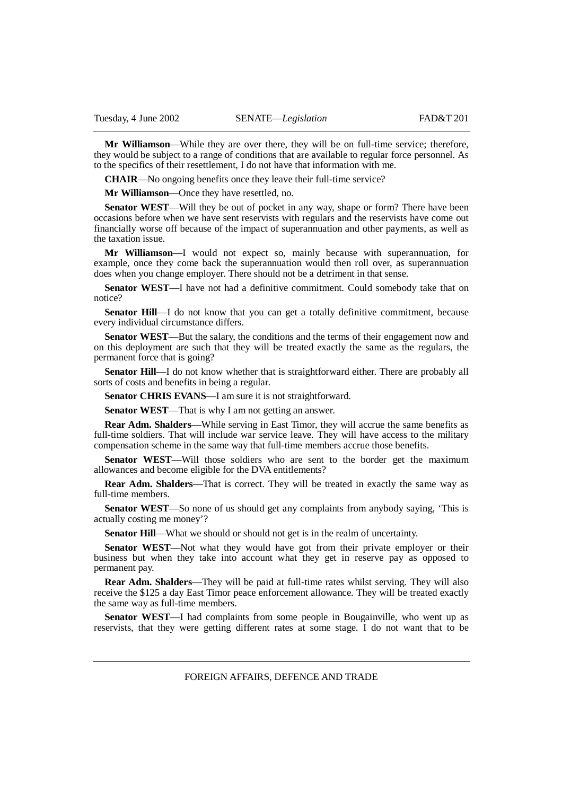**Mr Williamson**—While they are over there, they will be on full-time service; therefore, they would be subject to a range of conditions that are available to regular force personnel. As to the specifics of their resettlement, I do not have that information with me.

**CHAIR**—No ongoing benefits once they leave their full-time service?

**Mr Williamson**—Once they have resettled, no.

**Senator WEST—Will they be out of pocket in any way, shape or form? There have been** occasions before when we have sent reservists with regulars and the reservists have come out financially worse off because of the impact of superannuation and other payments, as well as the taxation issue.

**Mr Williamson**—I would not expect so, mainly because with superannuation, for example, once they come back the superannuation would then roll over, as superannuation does when you change employer. There should not be a detriment in that sense.

**Senator WEST**—I have not had a definitive commitment. Could somebody take that on notice?

**Senator Hill—I** do not know that you can get a totally definitive commitment, because every individual circumstance differs.

**Senator WEST**—But the salary, the conditions and the terms of their engagement now and on this deployment are such that they will be treated exactly the same as the regulars, the permanent force that is going?

**Senator Hill**—I do not know whether that is straightforward either. There are probably all sorts of costs and benefits in being a regular.

**Senator CHRIS EVANS**—I am sure it is not straightforward.

**Senator WEST**—That is why I am not getting an answer.

**Rear Adm. Shalders**—While serving in East Timor, they will accrue the same benefits as full-time soldiers. That will include war service leave. They will have access to the military compensation scheme in the same way that full-time members accrue those benefits.

**Senator WEST**—Will those soldiers who are sent to the border get the maximum allowances and become eligible for the DVA entitlements?

**Rear Adm. Shalders**—That is correct. They will be treated in exactly the same way as full-time members.

**Senator WEST**—So none of us should get any complaints from anybody saying, 'This is actually costing me money'?

**Senator Hill—What we should or should not get is in the realm of uncertainty.** 

Senator WEST—Not what they would have got from their private employer or their business but when they take into account what they get in reserve pay as opposed to permanent pay.

**Rear Adm. Shalders**—They will be paid at full-time rates whilst serving. They will also receive the \$125 a day East Timor peace enforcement allowance. They will be treated exactly the same way as full-time members.

**Senator WEST**—I had complaints from some people in Bougainville, who went up as reservists, that they were getting different rates at some stage. I do not want that to be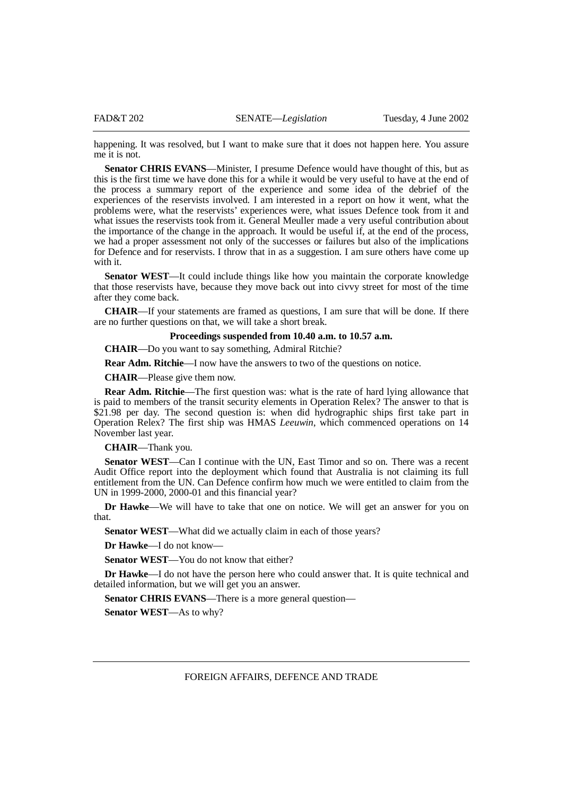happening. It was resolved, but I want to make sure that it does not happen here. You assure me it is not.

**Senator CHRIS EVANS**—Minister, I presume Defence would have thought of this, but as this is the first time we have done this for a while it would be very useful to have at the end of the process a summary report of the experience and some idea of the debrief of the experiences of the reservists involved. I am interested in a report on how it went, what the problems were, what the reservists' experiences were, what issues Defence took from it and what issues the reservists took from it. General Meuller made a very useful contribution about the importance of the change in the approach. It would be useful if, at the end of the process, we had a proper assessment not only of the successes or failures but also of the implications for Defence and for reservists. I throw that in as a suggestion. I am sure others have come up with it.

**Senator WEST**—It could include things like how you maintain the corporate knowledge that those reservists have, because they move back out into civvy street for most of the time after they come back.

**CHAIR**—If your statements are framed as questions, I am sure that will be done. If there are no further questions on that, we will take a short break.

# **Proceedings suspended from 10.40 a.m. to 10.57 a.m.**

**CHAIR**—Do you want to say something, Admiral Ritchie?

**Rear Adm. Ritchie**—I now have the answers to two of the questions on notice.

**CHAIR**—Please give them now.

**Rear Adm. Ritchie**—The first question was: what is the rate of hard lying allowance that is paid to members of the transit security elements in Operation Relex? The answer to that is \$21.98 per day. The second question is: when did hydrographic ships first take part in Operation Relex? The first ship was HMAS *Leeuwin*, which commenced operations on 14 November last year.

# **CHAIR**—Thank you.

**Senator WEST**—Can I continue with the UN, East Timor and so on. There was a recent Audit Office report into the deployment which found that Australia is not claiming its full entitlement from the UN. Can Defence confirm how much we were entitled to claim from the UN in 1999-2000, 2000-01 and this financial year?

**Dr Hawke**—We will have to take that one on notice. We will get an answer for you on that.

**Senator WEST**—What did we actually claim in each of those years?

**Dr Hawke**—I do not know—

**Senator WEST—You do not know that either?** 

**Dr Hawke—I** do not have the person here who could answer that. It is quite technical and detailed information, but we will get you an answer.

**Senator CHRIS EVANS—There is a more general question—** 

**Senator WEST**—As to why?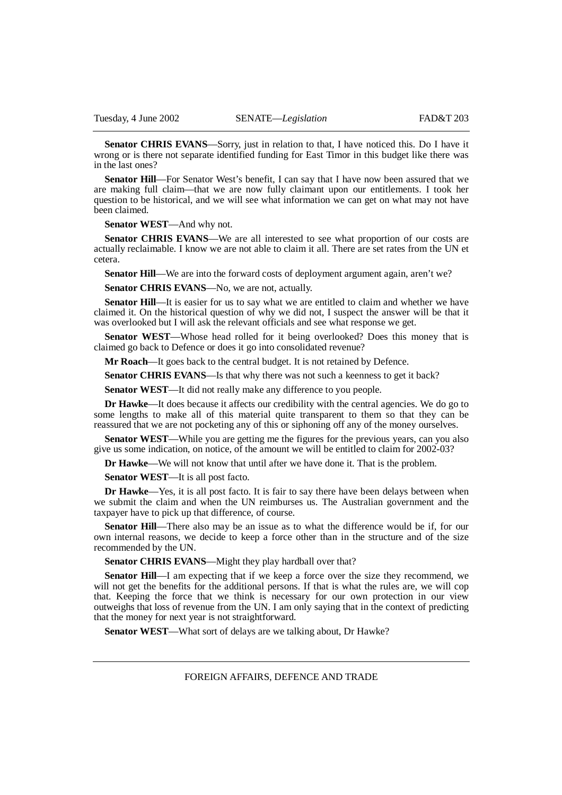**Senator CHRIS EVANS**—Sorry, just in relation to that, I have noticed this. Do I have it wrong or is there not separate identified funding for East Timor in this budget like there was in the last ones?

**Senator Hill**—For Senator West's benefit, I can say that I have now been assured that we are making full claim—that we are now fully claimant upon our entitlements. I took her question to be historical, and we will see what information we can get on what may not have been claimed.

**Senator WEST**—And why not.

**Senator CHRIS EVANS**—We are all interested to see what proportion of our costs are actually reclaimable. I know we are not able to claim it all. There are set rates from the UN et cetera.

**Senator Hill—We** are into the forward costs of deployment argument again, aren't we?

**Senator CHRIS EVANS—No, we are not, actually.** 

**Senator Hill**—It is easier for us to say what we are entitled to claim and whether we have claimed it. On the historical question of why we did not, I suspect the answer will be that it was overlooked but I will ask the relevant officials and see what response we get.

**Senator WEST**—Whose head rolled for it being overlooked? Does this money that is claimed go back to Defence or does it go into consolidated revenue?

**Mr Roach**—It goes back to the central budget. It is not retained by Defence.

**Senator CHRIS EVANS**—Is that why there was not such a keenness to get it back?

**Senator WEST**—It did not really make any difference to you people.

**Dr Hawke**—It does because it affects our credibility with the central agencies. We do go to some lengths to make all of this material quite transparent to them so that they can be reassured that we are not pocketing any of this or siphoning off any of the money ourselves.

**Senator WEST**—While you are getting me the figures for the previous years, can you also give us some indication, on notice, of the amount we will be entitled to claim for 2002-03?

**Dr Hawke**—We will not know that until after we have done it. That is the problem.

**Senator WEST**—It is all post facto.

**Dr Hawke**—Yes, it is all post facto. It is fair to say there have been delays between when we submit the claim and when the UN reimburses us. The Australian government and the taxpayer have to pick up that difference, of course.

**Senator Hill**—There also may be an issue as to what the difference would be if, for our own internal reasons, we decide to keep a force other than in the structure and of the size recommended by the UN.

Senator CHRIS EVANS—Might they play hardball over that?

**Senator Hill**—I am expecting that if we keep a force over the size they recommend, we will not get the benefits for the additional persons. If that is what the rules are, we will cop that. Keeping the force that we think is necessary for our own protection in our view outweighs that loss of revenue from the UN. I am only saying that in the context of predicting that the money for next year is not straightforward.

**Senator WEST**—What sort of delays are we talking about, Dr Hawke?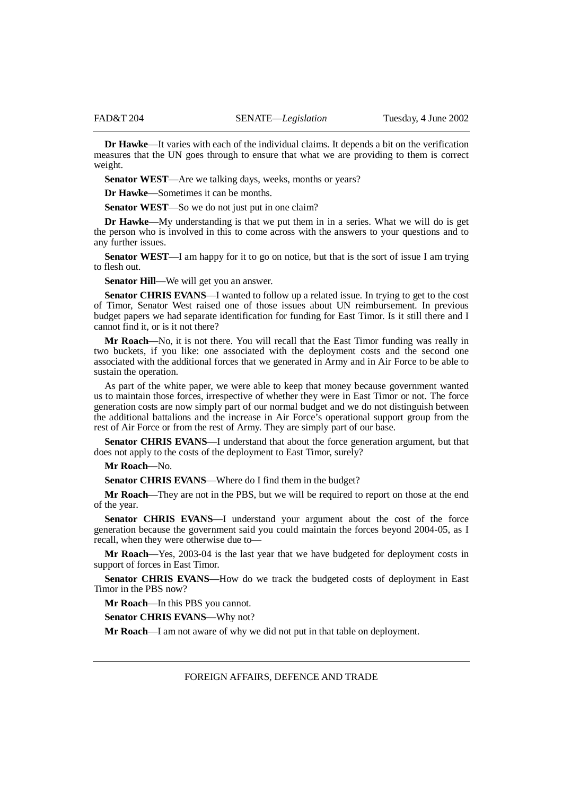**Dr Hawke**—It varies with each of the individual claims. It depends a bit on the verification measures that the UN goes through to ensure that what we are providing to them is correct weight.

**Senator WEST**—Are we talking days, weeks, months or years?

**Dr Hawke**—Sometimes it can be months.

**Senator WEST**—So we do not just put in one claim?

**Dr Hawke**—My understanding is that we put them in in a series. What we will do is get the person who is involved in this to come across with the answers to your questions and to any further issues.

**Senator WEST**—I am happy for it to go on notice, but that is the sort of issue I am trying to flesh out.

**Senator Hill**—We will get you an answer.

**Senator CHRIS EVANS—I** wanted to follow up a related issue. In trying to get to the cost of Timor, Senator West raised one of those issues about UN reimbursement. In previous budget papers we had separate identification for funding for East Timor. Is it still there and I cannot find it, or is it not there?

**Mr Roach**—No, it is not there. You will recall that the East Timor funding was really in two buckets, if you like: one associated with the deployment costs and the second one associated with the additional forces that we generated in Army and in Air Force to be able to sustain the operation.

As part of the white paper, we were able to keep that money because government wanted us to maintain those forces, irrespective of whether they were in East Timor or not. The force generation costs are now simply part of our normal budget and we do not distinguish between the additional battalions and the increase in Air Force's operational support group from the rest of Air Force or from the rest of Army. They are simply part of our base.

**Senator CHRIS EVANS—I** understand that about the force generation argument, but that does not apply to the costs of the deployment to East Timor, surely?

# **Mr Roach**—No.

**Senator CHRIS EVANS**—Where do I find them in the budget?

**Mr Roach**—They are not in the PBS, but we will be required to report on those at the end of the year.

**Senator CHRIS EVANS**—I understand your argument about the cost of the force generation because the government said you could maintain the forces beyond 2004-05, as I recall, when they were otherwise due to—

**Mr Roach**—Yes, 2003-04 is the last year that we have budgeted for deployment costs in support of forces in East Timor.

**Senator CHRIS EVANS**—How do we track the budgeted costs of deployment in East Timor in the PBS now?

**Mr Roach**—In this PBS you cannot.

**Senator CHRIS EVANS**—Why not?

**Mr Roach**—I am not aware of why we did not put in that table on deployment.

FOREIGN AFFAIRS, DEFENCE AND TRADE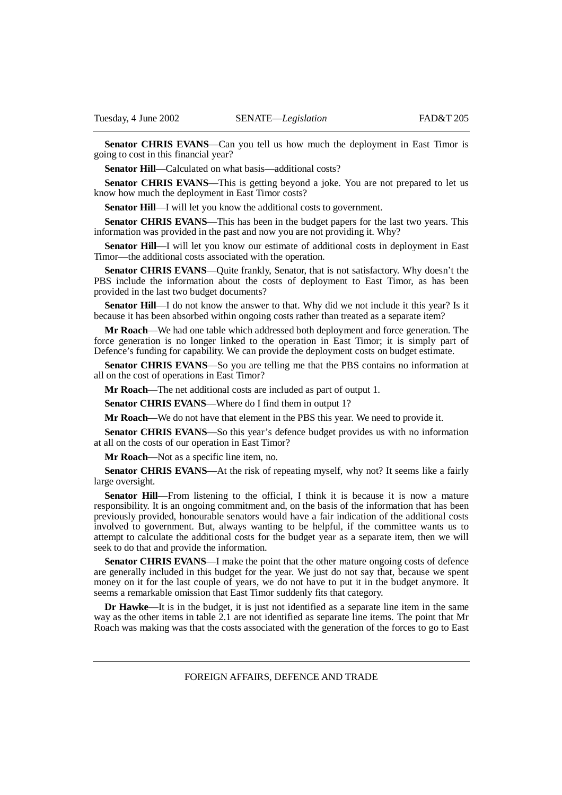**Senator CHRIS EVANS**—Can you tell us how much the deployment in East Timor is going to cost in this financial year?

**Senator Hill—Calculated on what basis—additional costs?** 

**Senator CHRIS EVANS—This is getting beyond a joke. You are not prepared to let us** know how much the deployment in East Timor costs?

**Senator Hill—I** will let you know the additional costs to government.

**Senator CHRIS EVANS**—This has been in the budget papers for the last two years. This information was provided in the past and now you are not providing it. Why?

**Senator Hill**—I will let you know our estimate of additional costs in deployment in East Timor—the additional costs associated with the operation.

**Senator CHRIS EVANS**—Quite frankly, Senator, that is not satisfactory. Why doesn't the PBS include the information about the costs of deployment to East Timor, as has been provided in the last two budget documents?

**Senator Hill**—I do not know the answer to that. Why did we not include it this year? Is it because it has been absorbed within ongoing costs rather than treated as a separate item?

**Mr Roach**—We had one table which addressed both deployment and force generation. The force generation is no longer linked to the operation in East Timor; it is simply part of Defence's funding for capability. We can provide the deployment costs on budget estimate.

**Senator CHRIS EVANS**—So you are telling me that the PBS contains no information at all on the cost of operations in East Timor?

**Mr Roach**—The net additional costs are included as part of output 1.

**Senator CHRIS EVANS—Where do I find them in output 1?** 

**Mr Roach**—We do not have that element in the PBS this year. We need to provide it.

**Senator CHRIS EVANS—S** this year's defence budget provides us with no information at all on the costs of our operation in East Timor?

**Mr Roach**—Not as a specific line item, no.

**Senator CHRIS EVANS—At the risk of repeating myself, why not? It seems like a fairly** large oversight.

**Senator Hill**—From listening to the official, I think it is because it is now a mature responsibility. It is an ongoing commitment and, on the basis of the information that has been previously provided, honourable senators would have a fair indication of the additional costs involved to government. But, always wanting to be helpful, if the committee wants us to attempt to calculate the additional costs for the budget year as a separate item, then we will seek to do that and provide the information.

**Senator CHRIS EVANS—I** make the point that the other mature ongoing costs of defence are generally included in this budget for the year. We just do not say that, because we spent money on it for the last couple of years, we do not have to put it in the budget anymore. It seems a remarkable omission that East Timor suddenly fits that category.

**Dr Hawke**—It is in the budget, it is just not identified as a separate line item in the same way as the other items in table 2.1 are not identified as separate line items. The point that Mr Roach was making was that the costs associated with the generation of the forces to go to East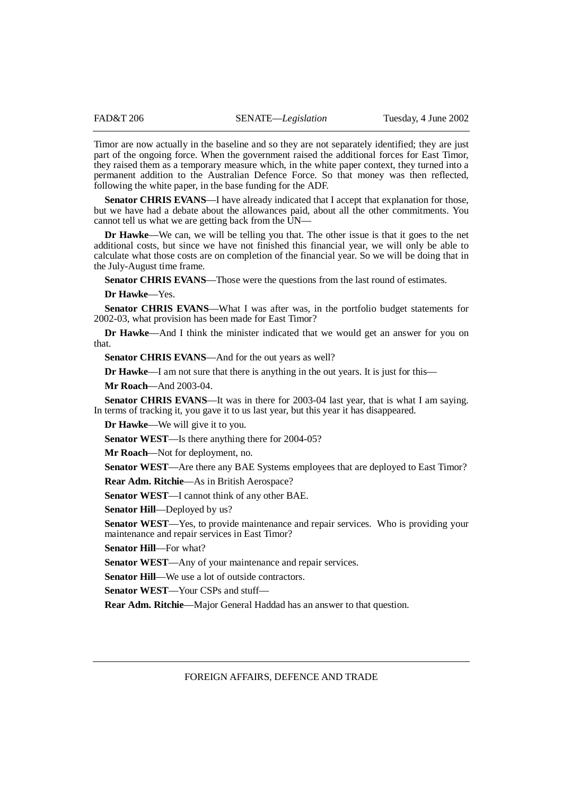Timor are now actually in the baseline and so they are not separately identified; they are just part of the ongoing force. When the government raised the additional forces for East Timor, they raised them as a temporary measure which, in the white paper context, they turned into a permanent addition to the Australian Defence Force. So that money was then reflected, following the white paper, in the base funding for the ADF.

Senator CHRIS EVANS—I have already indicated that I accept that explanation for those, but we have had a debate about the allowances paid, about all the other commitments. You cannot tell us what we are getting back from the UN—

**Dr Hawke**—We can, we will be telling you that. The other issue is that it goes to the net additional costs, but since we have not finished this financial year, we will only be able to calculate what those costs are on completion of the financial year. So we will be doing that in the July-August time frame.

**Senator CHRIS EVANS—Those** were the questions from the last round of estimates.

**Dr Hawke**—Yes.

**Senator CHRIS EVANS**—What I was after was, in the portfolio budget statements for 2002-03, what provision has been made for East Timor?

**Dr Hawke—And I think the minister indicated that we would get an answer for you on** that.

**Senator CHRIS EVANS**—And for the out years as well?

**Dr Hawke**—I am not sure that there is anything in the out years. It is just for this—

**Mr Roach**—And 2003-04.

**Senator CHRIS EVANS—It** was in there for 2003-04 last year, that is what I am saying. In terms of tracking it, you gave it to us last year, but this year it has disappeared.

**Dr Hawke**—We will give it to you.

**Senator WEST**—Is there anything there for 2004-05?

**Mr Roach**—Not for deployment, no.

**Senator WEST**—Are there any BAE Systems employees that are deployed to East Timor? **Rear Adm. Ritchie**—As in British Aerospace?

**Senator WEST**—I cannot think of any other BAE.

**Senator Hill**—Deployed by us?

**Senator WEST**—Yes, to provide maintenance and repair services. Who is providing your maintenance and repair services in East Timor?

**Senator Hill**—For what?

**Senator WEST**—Any of your maintenance and repair services.

**Senator Hill**—We use a lot of outside contractors.

**Senator WEST**—Your CSPs and stuff—

**Rear Adm. Ritchie**—Major General Haddad has an answer to that question.

FOREIGN AFFAIRS, DEFENCE AND TRADE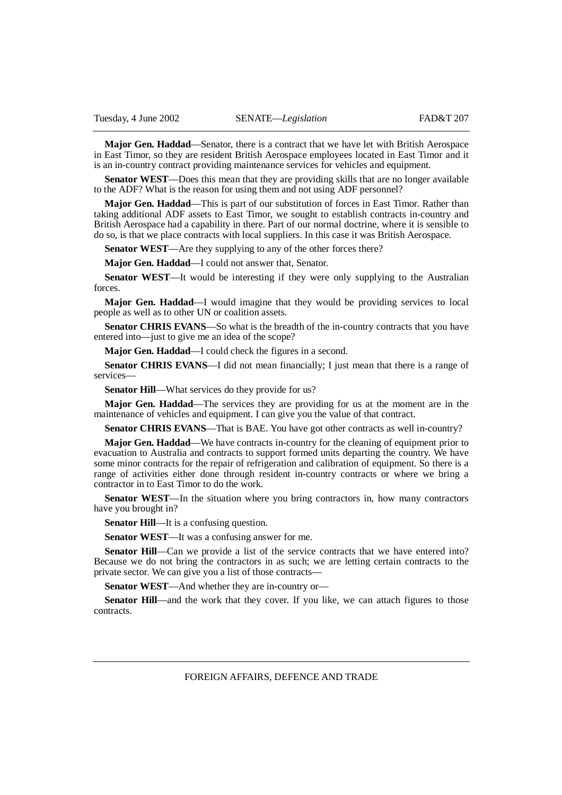**Major Gen. Haddad**—Senator, there is a contract that we have let with British Aerospace in East Timor, so they are resident British Aerospace employees located in East Timor and it is an in-country contract providing maintenance services for vehicles and equipment.

**Senator WEST**—Does this mean that they are providing skills that are no longer available to the ADF? What is the reason for using them and not using ADF personnel?

**Major Gen. Haddad**—This is part of our substitution of forces in East Timor. Rather than taking additional ADF assets to East Timor, we sought to establish contracts in-country and British Aerospace had a capability in there. Part of our normal doctrine, where it is sensible to do so, is that we place contracts with local suppliers. In this case it was British Aerospace.

**Senator WEST**—Are they supplying to any of the other forces there?

**Major Gen. Haddad**—I could not answer that, Senator.

**Senator WEST—It** would be interesting if they were only supplying to the Australian forces.

**Major Gen. Haddad**—I would imagine that they would be providing services to local people as well as to other UN or coalition assets.

**Senator CHRIS EVANS**—So what is the breadth of the in-country contracts that you have entered into—just to give me an idea of the scope?

**Major Gen. Haddad**—I could check the figures in a second.

**Senator CHRIS EVANS**—I did not mean financially; I just mean that there is a range of services—

**Senator Hill—What services do they provide for us?** 

**Major Gen. Haddad**—The services they are providing for us at the moment are in the maintenance of vehicles and equipment. I can give you the value of that contract.

**Senator CHRIS EVANS**—That is BAE. You have got other contracts as well in-country?

**Major Gen. Haddad**—We have contracts in-country for the cleaning of equipment prior to evacuation to Australia and contracts to support formed units departing the country. We have some minor contracts for the repair of refrigeration and calibration of equipment. So there is a range of activities either done through resident in-country contracts or where we bring a contractor in to East Timor to do the work.

**Senator WEST**—In the situation where you bring contractors in, how many contractors have you brought in?

**Senator Hill**—It is a confusing question.

**Senator WEST**—It was a confusing answer for me.

**Senator Hill—Can** we provide a list of the service contracts that we have entered into? Because we do not bring the contractors in as such; we are letting certain contracts to the private sector. We can give you a list of those contracts—

**Senator WEST**—And whether they are in-country or—

**Senator Hill—and the work that they cover.** If you like, we can attach figures to those contracts.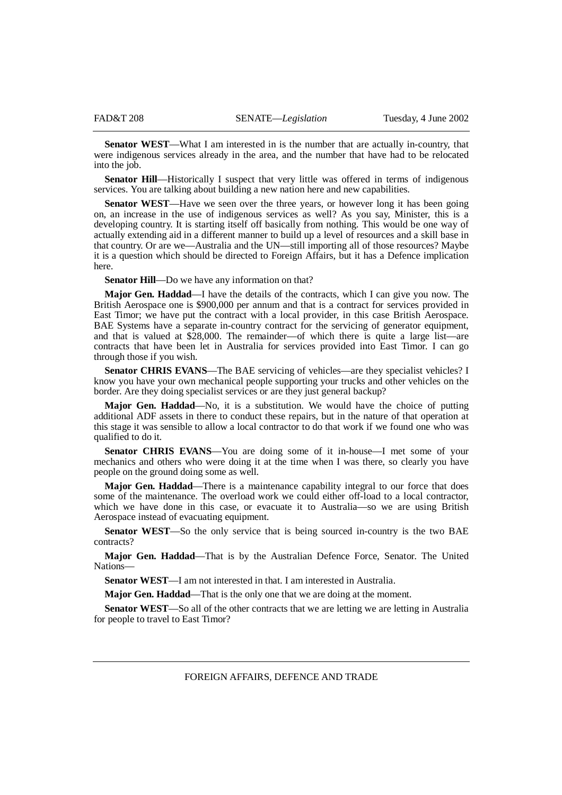**Senator WEST**—What I am interested in is the number that are actually in-country, that were indigenous services already in the area, and the number that have had to be relocated into the job.

**Senator Hill**—Historically I suspect that very little was offered in terms of indigenous services. You are talking about building a new nation here and new capabilities.

**Senator WEST**—Have we seen over the three years, or however long it has been going on, an increase in the use of indigenous services as well? As you say, Minister, this is a developing country. It is starting itself off basically from nothing. This would be one way of actually extending aid in a different manner to build up a level of resources and a skill base in that country. Or are we—Australia and the UN—still importing all of those resources? Maybe it is a question which should be directed to Foreign Affairs, but it has a Defence implication here.

**Senator Hill—Do** we have any information on that?

**Major Gen. Haddad**—I have the details of the contracts, which I can give you now. The British Aerospace one is \$900,000 per annum and that is a contract for services provided in East Timor; we have put the contract with a local provider, in this case British Aerospace. BAE Systems have a separate in-country contract for the servicing of generator equipment, and that is valued at  $$28,000$ . The remainder—of which there is quite a large list—are contracts that have been let in Australia for services provided into East Timor. I can go through those if you wish.

**Senator CHRIS EVANS**—The BAE servicing of vehicles—are they specialist vehicles? I know you have your own mechanical people supporting your trucks and other vehicles on the border. Are they doing specialist services or are they just general backup?

**Major Gen. Haddad**—No, it is a substitution. We would have the choice of putting additional ADF assets in there to conduct these repairs, but in the nature of that operation at this stage it was sensible to allow a local contractor to do that work if we found one who was qualified to do it.

**Senator CHRIS EVANS**—You are doing some of it in-house—I met some of your mechanics and others who were doing it at the time when I was there, so clearly you have people on the ground doing some as well.

**Major Gen. Haddad**—There is a maintenance capability integral to our force that does some of the maintenance. The overload work we could either off-load to a local contractor, which we have done in this case, or evacuate it to Australia—so we are using British Aerospace instead of evacuating equipment.

**Senator WEST**—So the only service that is being sourced in-country is the two BAE contracts?

**Major Gen. Haddad**—That is by the Australian Defence Force, Senator. The United Nations—

**Senator WEST**—I am not interested in that. I am interested in Australia.

**Major Gen. Haddad**—That is the only one that we are doing at the moment.

**Senator WEST**—So all of the other contracts that we are letting we are letting in Australia for people to travel to East Timor?

FOREIGN AFFAIRS, DEFENCE AND TRADE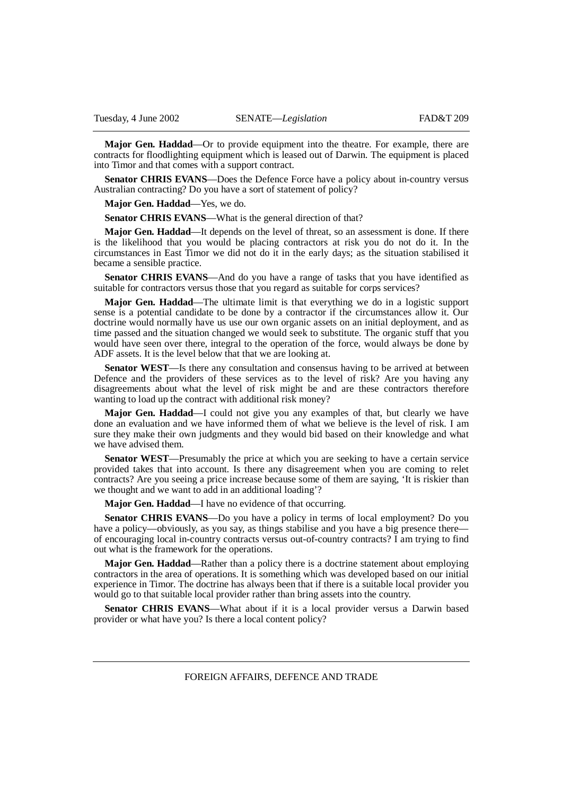**Major Gen. Haddad**—Or to provide equipment into the theatre. For example, there are contracts for floodlighting equipment which is leased out of Darwin. The equipment is placed into Timor and that comes with a support contract.

**Senator CHRIS EVANS**—Does the Defence Force have a policy about in-country versus Australian contracting? Do you have a sort of statement of policy?

**Major Gen. Haddad**—Yes, we do.

**Senator CHRIS EVANS—What is the general direction of that?** 

**Major Gen. Haddad**—It depends on the level of threat, so an assessment is done. If there is the likelihood that you would be placing contractors at risk you do not do it. In the circumstances in East Timor we did not do it in the early days; as the situation stabilised it became a sensible practice.

**Senator CHRIS EVANS**—And do you have a range of tasks that you have identified as suitable for contractors versus those that you regard as suitable for corps services?

**Major Gen. Haddad**—The ultimate limit is that everything we do in a logistic support sense is a potential candidate to be done by a contractor if the circumstances allow it. Our doctrine would normally have us use our own organic assets on an initial deployment, and as time passed and the situation changed we would seek to substitute. The organic stuff that you would have seen over there, integral to the operation of the force, would always be done by ADF assets. It is the level below that that we are looking at.

**Senator WEST**—Is there any consultation and consensus having to be arrived at between Defence and the providers of these services as to the level of risk? Are you having any disagreements about what the level of risk might be and are these contractors therefore wanting to load up the contract with additional risk money?

**Major Gen. Haddad**—I could not give you any examples of that, but clearly we have done an evaluation and we have informed them of what we believe is the level of risk. I am sure they make their own judgments and they would bid based on their knowledge and what we have advised them.

**Senator WEST**—Presumably the price at which you are seeking to have a certain service provided takes that into account. Is there any disagreement when you are coming to relet contracts? Are you seeing a price increase because some of them are saying, 'It is riskier than we thought and we want to add in an additional loading'?

**Major Gen. Haddad**—I have no evidence of that occurring.

**Senator CHRIS EVANS**—Do you have a policy in terms of local employment? Do you have a policy—obviously, as you say, as things stabilise and you have a big presence there of encouraging local in-country contracts versus out-of-country contracts? I am trying to find out what is the framework for the operations.

**Major Gen. Haddad**—Rather than a policy there is a doctrine statement about employing contractors in the area of operations. It is something which was developed based on our initial experience in Timor. The doctrine has always been that if there is a suitable local provider you would go to that suitable local provider rather than bring assets into the country.

**Senator CHRIS EVANS—What about if it is a local provider versus a Darwin based** provider or what have you? Is there a local content policy?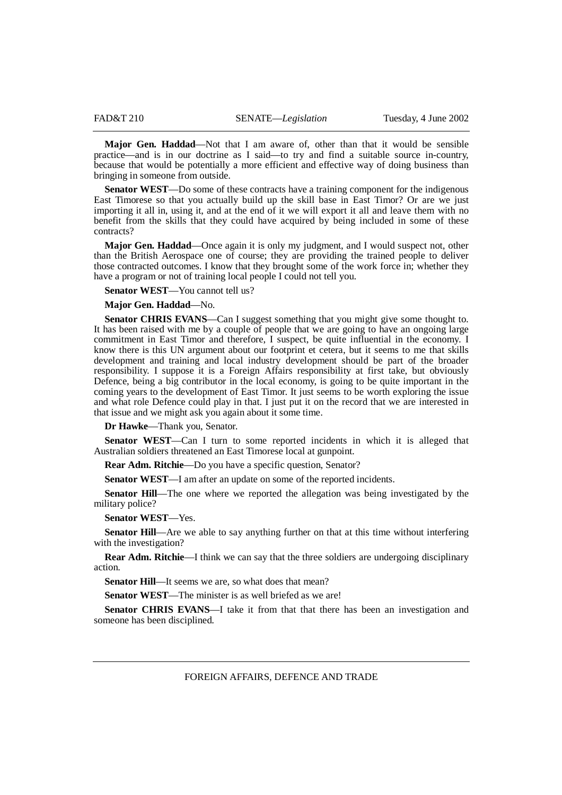**Major Gen. Haddad**—Not that I am aware of, other than that it would be sensible practice—and is in our doctrine as I said—to try and find a suitable source in-country, because that would be potentially a more efficient and effective way of doing business than bringing in someone from outside.

**Senator WEST**—Do some of these contracts have a training component for the indigenous East Timorese so that you actually build up the skill base in East Timor? Or are we just importing it all in, using it, and at the end of it we will export it all and leave them with no benefit from the skills that they could have acquired by being included in some of these contracts?

**Major Gen. Haddad**—Once again it is only my judgment, and I would suspect not, other than the British Aerospace one of course; they are providing the trained people to deliver those contracted outcomes. I know that they brought some of the work force in; whether they have a program or not of training local people I could not tell you.

**Senator WEST**—You cannot tell us?

# **Major Gen. Haddad**—No.

**Senator CHRIS EVANS**—Can I suggest something that you might give some thought to. It has been raised with me by a couple of people that we are going to have an ongoing large commitment in East Timor and therefore, I suspect, be quite influential in the economy. I know there is this UN argument about our footprint et cetera, but it seems to me that skills development and training and local industry development should be part of the broader responsibility. I suppose it is a Foreign Affairs responsibility at first take, but obviously Defence, being a big contributor in the local economy, is going to be quite important in the coming years to the development of East Timor. It just seems to be worth exploring the issue and what role Defence could play in that. I just put it on the record that we are interested in that issue and we might ask you again about it some time.

**Dr Hawke**—Thank you, Senator.

**Senator WEST**—Can I turn to some reported incidents in which it is alleged that Australian soldiers threatened an East Timorese local at gunpoint.

**Rear Adm. Ritchie**—Do you have a specific question, Senator?

**Senator WEST**—I am after an update on some of the reported incidents.

**Senator Hill**—The one where we reported the allegation was being investigated by the military police?

**Senator WEST**—Yes.

**Senator Hill**—Are we able to say anything further on that at this time without interfering with the investigation?

**Rear Adm. Ritchie—I** think we can say that the three soldiers are undergoing disciplinary action.

**Senator Hill—It seems we are, so what does that mean?** 

**Senator WEST—The minister is as well briefed as we are!** 

**Senator CHRIS EVANS**—I take it from that that there has been an investigation and someone has been disciplined.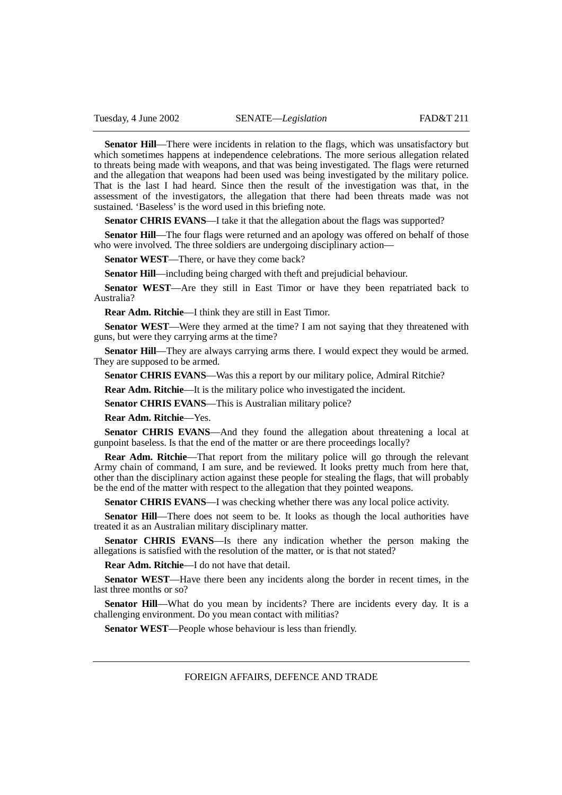**Senator Hill**—There were incidents in relation to the flags, which was unsatisfactory but which sometimes happens at independence celebrations. The more serious allegation related to threats being made with weapons, and that was being investigated. The flags were returned and the allegation that weapons had been used was being investigated by the military police. That is the last I had heard. Since then the result of the investigation was that, in the assessment of the investigators, the allegation that there had been threats made was not sustained. 'Baseless' is the word used in this briefing note.

**Senator CHRIS EVANS—I** take it that the allegation about the flags was supported?

**Senator Hill**—The four flags were returned and an apology was offered on behalf of those who were involved. The three soldiers are undergoing disciplinary action—

**Senator WEST**—There, or have they come back?

**Senator Hill**—including being charged with theft and prejudicial behaviour.

**Senator WEST**—Are they still in East Timor or have they been repatriated back to Australia?

**Rear Adm. Ritchie**—I think they are still in East Timor.

**Senator WEST—Were they armed at the time? I am not saying that they threatened with** guns, but were they carrying arms at the time?

**Senator Hill—They are always carrying arms there.** I would expect they would be armed. They are supposed to be armed.

**Senator CHRIS EVANS—Was this a report by our military police, Admiral Ritchie?** 

**Rear Adm. Ritchie**—It is the military police who investigated the incident.

**Senator CHRIS EVANS—This is Australian military police?** 

**Rear Adm. Ritchie**—Yes.

**Senator CHRIS EVANS**—And they found the allegation about threatening a local at gunpoint baseless. Is that the end of the matter or are there proceedings locally?

**Rear Adm. Ritchie**—That report from the military police will go through the relevant Army chain of command, I am sure, and be reviewed. It looks pretty much from here that, other than the disciplinary action against these people for stealing the flags, that will probably be the end of the matter with respect to the allegation that they pointed weapons.

**Senator CHRIS EVANS**—I was checking whether there was any local police activity.

**Senator Hill—There does not seem to be.** It looks as though the local authorities have treated it as an Australian military disciplinary matter.

**Senator CHRIS EVANS**—Is there any indication whether the person making the allegations is satisfied with the resolution of the matter, or is that not stated?

**Rear Adm. Ritchie**—I do not have that detail.

**Senator WEST**—Have there been any incidents along the border in recent times, in the last three months or so?

**Senator Hill**—What do you mean by incidents? There are incidents every day. It is a challenging environment. Do you mean contact with militias?

**Senator WEST—People whose behaviour is less than friendly.**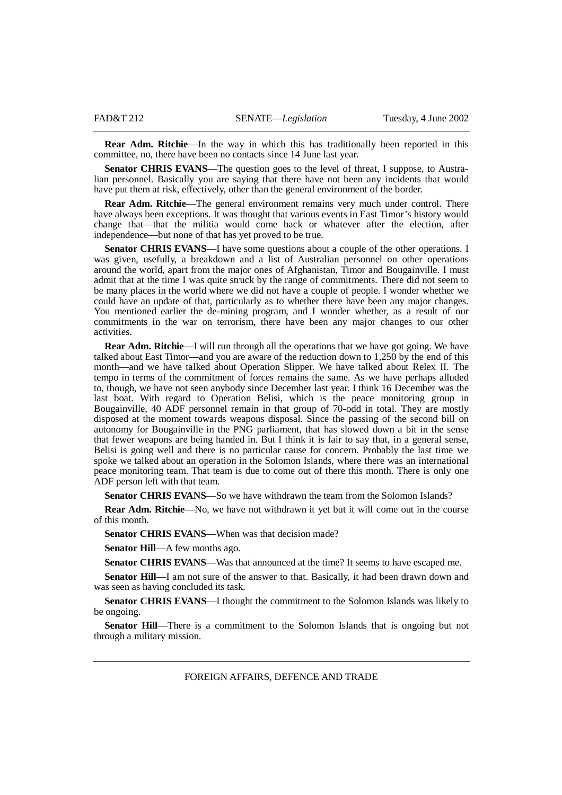**Rear Adm. Ritchie**—In the way in which this has traditionally been reported in this committee, no, there have been no contacts since 14 June last year.

**Senator CHRIS EVANS—The question goes to the level of threat, I suppose, to Austra**lian personnel. Basically you are saying that there have not been any incidents that would have put them at risk, effectively, other than the general environment of the border.

**Rear Adm. Ritchie**—The general environment remains very much under control. There have always been exceptions. It was thought that various events in East Timor's history would change that—that the militia would come back or whatever after the election, after independence—but none of that has yet proved to be true.

**Senator CHRIS EVANS—I** have some questions about a couple of the other operations. I was given, usefully, a breakdown and a list of Australian personnel on other operations around the world, apart from the major ones of Afghanistan, Timor and Bougainville. I must admit that at the time I was quite struck by the range of commitments. There did not seem to be many places in the world where we did not have a couple of people. I wonder whether we could have an update of that, particularly as to whether there have been any major changes. You mentioned earlier the de-mining program, and I wonder whether, as a result of our commitments in the war on terrorism, there have been any major changes to our other activities.

**Rear Adm. Ritchie—I** will run through all the operations that we have got going. We have talked about East Timor—and you are aware of the reduction down to 1,250 by the end of this month—and we have talked about Operation Slipper. We have talked about Relex II. The tempo in terms of the commitment of forces remains the same. As we have perhaps alluded to, though, we have not seen anybody since December last year. I think 16 December was the last boat. With regard to Operation Belisi, which is the peace monitoring group in Bougainville, 40 ADF personnel remain in that group of 70-odd in total. They are mostly disposed at the moment towards weapons disposal. Since the passing of the second bill on autonomy for Bougainville in the PNG parliament, that has slowed down a bit in the sense that fewer weapons are being handed in. But I think it is fair to say that, in a general sense, Belisi is going well and there is no particular cause for concern. Probably the last time we spoke we talked about an operation in the Solomon Islands, where there was an international peace monitoring team. That team is due to come out of there this month. There is only one ADF person left with that team.

**Senator CHRIS EVANS**—So we have withdrawn the team from the Solomon Islands?

**Rear Adm. Ritchie—No, we have not withdrawn it yet but it will come out in the course** of this month.

Senator CHRIS EVANS—When was that decision made?

**Senator Hill**—A few months ago.

**Senator CHRIS EVANS**—Was that announced at the time? It seems to have escaped me.

**Senator Hill**—I am not sure of the answer to that. Basically, it had been drawn down and was seen as having concluded its task.

**Senator CHRIS EVANS**—I thought the commitment to the Solomon Islands was likely to be ongoing.

**Senator Hill**—There is a commitment to the Solomon Islands that is ongoing but not through a military mission.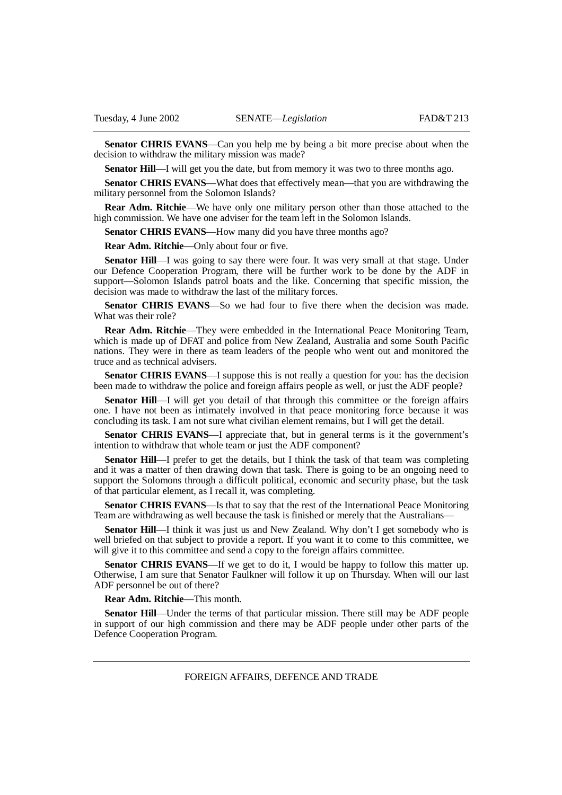**Senator CHRIS EVANS**—Can you help me by being a bit more precise about when the decision to withdraw the military mission was made?

**Senator Hill—I** will get you the date, but from memory it was two to three months ago.

**Senator CHRIS EVANS**—What does that effectively mean—that you are withdrawing the military personnel from the Solomon Islands?

**Rear Adm. Ritchie**—We have only one military person other than those attached to the high commission. We have one adviser for the team left in the Solomon Islands.

**Senator CHRIS EVANS—How many did you have three months ago?** 

**Rear Adm. Ritchie**—Only about four or five.

**Senator Hill**—I was going to say there were four. It was very small at that stage. Under our Defence Cooperation Program, there will be further work to be done by the ADF in support—Solomon Islands patrol boats and the like. Concerning that specific mission, the decision was made to withdraw the last of the military forces.

**Senator CHRIS EVANS**—So we had four to five there when the decision was made. What was their role?

**Rear Adm. Ritchie**—They were embedded in the International Peace Monitoring Team, which is made up of DFAT and police from New Zealand, Australia and some South Pacific nations. They were in there as team leaders of the people who went out and monitored the truce and as technical advisers.

**Senator CHRIS EVANS**—I suppose this is not really a question for you: has the decision been made to withdraw the police and foreign affairs people as well, or just the ADF people?

**Senator Hill—I** will get you detail of that through this committee or the foreign affairs one. I have not been as intimately involved in that peace monitoring force because it was concluding its task. I am not sure what civilian element remains, but I will get the detail.

**Senator CHRIS EVANS**—I appreciate that, but in general terms is it the government's intention to withdraw that whole team or just the ADF component?

**Senator Hill**—I prefer to get the details, but I think the task of that team was completing and it was a matter of then drawing down that task. There is going to be an ongoing need to support the Solomons through a difficult political, economic and security phase, but the task of that particular element, as I recall it, was completing.

**Senator CHRIS EVANS**—Is that to say that the rest of the International Peace Monitoring Team are withdrawing as well because the task is finished or merely that the Australians—

**Senator Hill**—I think it was just us and New Zealand. Why don't I get somebody who is well briefed on that subject to provide a report. If you want it to come to this committee, we will give it to this committee and send a copy to the foreign affairs committee.

**Senator CHRIS EVANS—If** we get to do it, I would be happy to follow this matter up. Otherwise, I am sure that Senator Faulkner will follow it up on Thursday. When will our last ADF personnel be out of there?

**Rear Adm. Ritchie**—This month.

**Senator Hill**—Under the terms of that particular mission. There still may be ADF people in support of our high commission and there may be ADF people under other parts of the Defence Cooperation Program.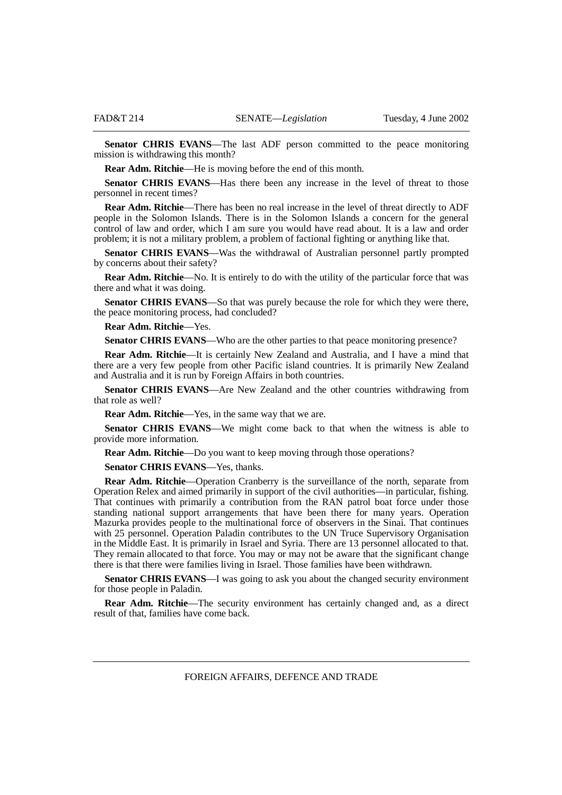**Senator CHRIS EVANS—The last ADF person committed to the peace monitoring** mission is withdrawing this month?

**Rear Adm. Ritchie**—He is moving before the end of this month.

**Senator CHRIS EVANS—Has there been any increase in the level of threat to those** personnel in recent times?

**Rear Adm. Ritchie**—There has been no real increase in the level of threat directly to ADF people in the Solomon Islands. There is in the Solomon Islands a concern for the general control of law and order, which I am sure you would have read about. It is a law and order problem; it is not a military problem, a problem of factional fighting or anything like that.

**Senator CHRIS EVANS—Was the withdrawal of Australian personnel partly prompted** by concerns about their safety?

**Rear Adm. Ritchie**—No. It is entirely to do with the utility of the particular force that was there and what it was doing.

**Senator CHRIS EVANS**—So that was purely because the role for which they were there, the peace monitoring process, had concluded?

**Rear Adm. Ritchie**—Yes.

**Senator CHRIS EVANS—Who are the other parties to that peace monitoring presence?** 

**Rear Adm. Ritchie**—It is certainly New Zealand and Australia, and I have a mind that there are a very few people from other Pacific island countries. It is primarily New Zealand and Australia and it is run by Foreign Affairs in both countries.

**Senator CHRIS EVANS**—Are New Zealand and the other countries withdrawing from that role as well?

**Rear Adm. Ritchie**—Yes, in the same way that we are.

**Senator CHRIS EVANS**—We might come back to that when the witness is able to provide more information.

**Rear Adm. Ritchie**—Do you want to keep moving through those operations?

**Senator CHRIS EVANS**—Yes, thanks.

**Rear Adm. Ritchie**—Operation Cranberry is the surveillance of the north, separate from Operation Relex and aimed primarily in support of the civil authorities—in particular, fishing. That continues with primarily a contribution from the RAN patrol boat force under those standing national support arrangements that have been there for many years. Operation Mazurka provides people to the multinational force of observers in the Sinai. That continues with 25 personnel. Operation Paladin contributes to the UN Truce Supervisory Organisation in the Middle East. It is primarily in Israel and Syria. There are 13 personnel allocated to that. They remain allocated to that force. You may or may not be aware that the significant change there is that there were families living in Israel. Those families have been withdrawn.

**Senator CHRIS EVANS**—I was going to ask you about the changed security environment for those people in Paladin.

**Rear Adm. Ritchie**—The security environment has certainly changed and, as a direct result of that, families have come back.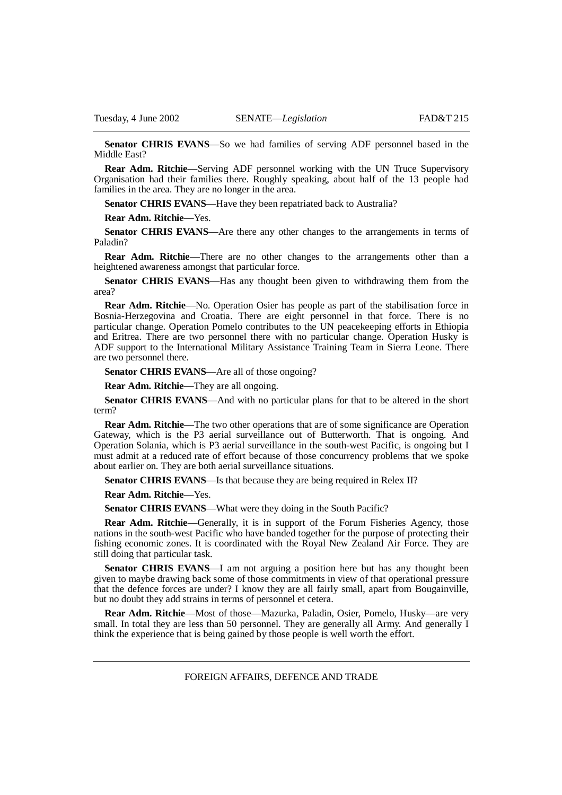**Senator CHRIS EVANS**—So we had families of serving ADF personnel based in the Middle East?

**Rear Adm. Ritchie**—Serving ADF personnel working with the UN Truce Supervisory Organisation had their families there. Roughly speaking, about half of the 13 people had families in the area. They are no longer in the area.

**Senator CHRIS EVANS—Have they been repatriated back to Australia?** 

**Rear Adm. Ritchie**—Yes.

Senator CHRIS EVANS—Are there any other changes to the arrangements in terms of Paladin?

**Rear Adm. Ritchie**—There are no other changes to the arrangements other than a heightened awareness amongst that particular force.

**Senator CHRIS EVANS**—Has any thought been given to withdrawing them from the area?

**Rear Adm. Ritchie**—No. Operation Osier has people as part of the stabilisation force in Bosnia-Herzegovina and Croatia. There are eight personnel in that force. There is no particular change. Operation Pomelo contributes to the UN peacekeeping efforts in Ethiopia and Eritrea. There are two personnel there with no particular change. Operation Husky is ADF support to the International Military Assistance Training Team in Sierra Leone. There are two personnel there.

**Senator CHRIS EVANS**—Are all of those ongoing?

**Rear Adm. Ritchie**—They are all ongoing.

**Senator CHRIS EVANS**—And with no particular plans for that to be altered in the short term?

**Rear Adm. Ritchie—The two other operations that are of some significance are Operation** Gateway, which is the P3 aerial surveillance out of Butterworth. That is ongoing. And Operation Solania, which is P3 aerial surveillance in the south-west Pacific, is ongoing but I must admit at a reduced rate of effort because of those concurrency problems that we spoke about earlier on. They are both aerial surveillance situations.

**Senator CHRIS EVANS**—Is that because they are being required in Relex II?

**Rear Adm. Ritchie**—Yes.

**Senator CHRIS EVANS—What were they doing in the South Pacific?** 

**Rear Adm. Ritchie**—Generally, it is in support of the Forum Fisheries Agency, those nations in the south-west Pacific who have banded together for the purpose of protecting their fishing economic zones. It is coordinated with the Royal New Zealand Air Force. They are still doing that particular task.

Senator CHRIS EVANS—I am not arguing a position here but has any thought been given to maybe drawing back some of those commitments in view of that operational pressure that the defence forces are under? I know they are all fairly small, apart from Bougainville, but no doubt they add strains in terms of personnel et cetera.

**Rear Adm. Ritchie**—Most of those—Mazurka, Paladin, Osier, Pomelo, Husky—are very small. In total they are less than 50 personnel. They are generally all Army. And generally I think the experience that is being gained by those people is well worth the effort.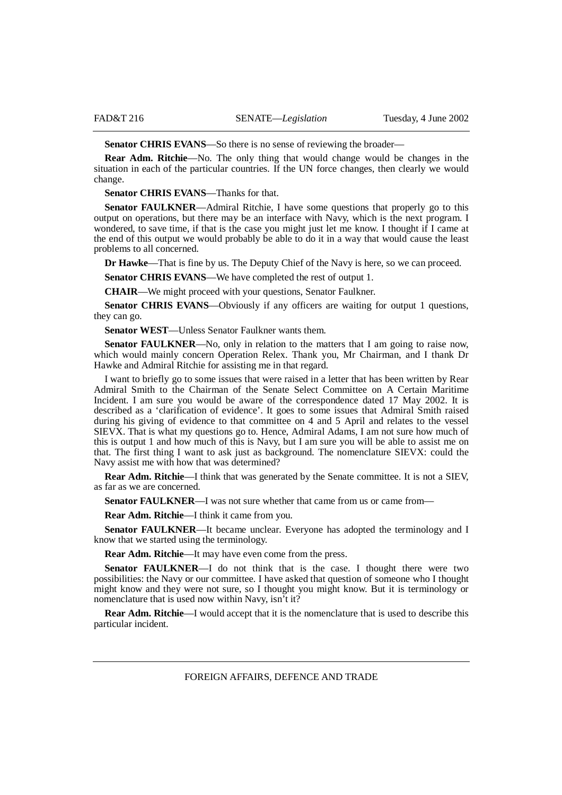**Senator CHRIS EVANS**—So there is no sense of reviewing the broader—

**Rear Adm. Ritchie**—No. The only thing that would change would be changes in the situation in each of the particular countries. If the UN force changes, then clearly we would change.

**Senator CHRIS EVANS**—Thanks for that.

**Senator FAULKNER**—Admiral Ritchie, I have some questions that properly go to this output on operations, but there may be an interface with Navy, which is the next program. I wondered, to save time, if that is the case you might just let me know. I thought if I came at the end of this output we would probably be able to do it in a way that would cause the least problems to all concerned.

**Dr Hawke**—That is fine by us. The Deputy Chief of the Navy is here, so we can proceed. **Senator CHRIS EVANS—We have completed the rest of output 1.** 

**CHAIR**—We might proceed with your questions, Senator Faulkner.

**Senator CHRIS EVANS**—Obviously if any officers are waiting for output 1 questions, they can go.

**Senator WEST**—Unless Senator Faulkner wants them.

**Senator FAULKNER—No**, only in relation to the matters that I am going to raise now, which would mainly concern Operation Relex. Thank you, Mr Chairman, and I thank Dr Hawke and Admiral Ritchie for assisting me in that regard.

I want to briefly go to some issues that were raised in a letter that has been written by Rear Admiral Smith to the Chairman of the Senate Select Committee on A Certain Maritime Incident. I am sure you would be aware of the correspondence dated 17 May 2002. It is described as a 'clarification of evidence'. It goes to some issues that Admiral Smith raised during his giving of evidence to that committee on 4 and 5 April and relates to the vessel SIEVX. That is what my questions go to. Hence, Admiral Adams, I am not sure how much of this is output 1 and how much of this is Navy, but I am sure you will be able to assist me on that. The first thing I want to ask just as background. The nomenclature SIEVX: could the Navy assist me with how that was determined?

**Rear Adm. Ritchie**—I think that was generated by the Senate committee. It is not a SIEV, as far as we are concerned.

**Senator FAULKNER—I** was not sure whether that came from us or came from—

**Rear Adm. Ritchie**—I think it came from you.

**Senator FAULKNER—It** became unclear. Everyone has adopted the terminology and I know that we started using the terminology.

**Rear Adm. Ritchie**—It may have even come from the press.

Senator FAULKNER—I do not think that is the case. I thought there were two possibilities: the Navy or our committee. I have asked that question of someone who I thought might know and they were not sure, so I thought you might know. But it is terminology or nomenclature that is used now within Navy, isn't it?

**Rear Adm. Ritchie**—I would accept that it is the nomenclature that is used to describe this particular incident.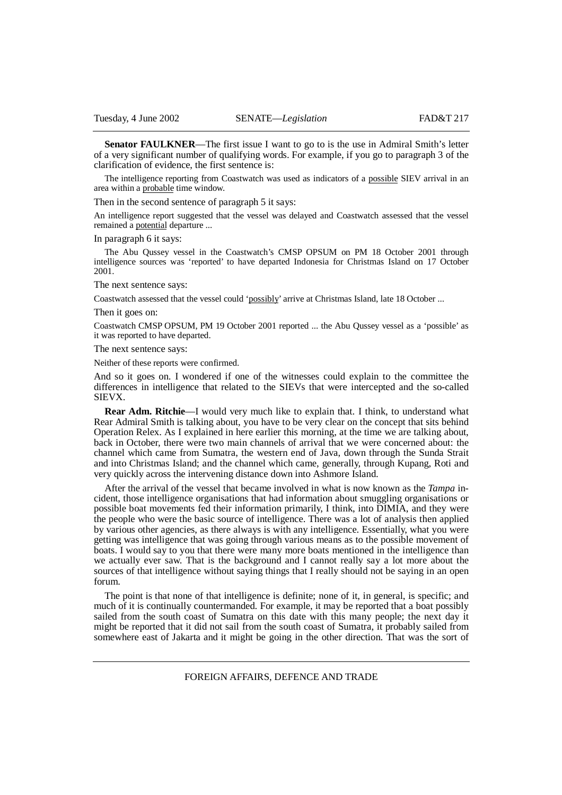**Senator FAULKNER—The first issue I want to go to is the use in Admiral Smith's letter** of a very significant number of qualifying words. For example, if you go to paragraph 3 of the clarification of evidence, the first sentence is:

The intelligence reporting from Coastwatch was used as indicators of a possible SIEV arrival in an area within a probable time window.

Then in the second sentence of paragraph 5 it says:

An intelligence report suggested that the vessel was delayed and Coastwatch assessed that the vessel remained a potential departure ...

In paragraph 6 it says:

The Abu Qussey vessel in the Coastwatch's CMSP OPSUM on PM 18 October 2001 through intelligence sources was 'reported' to have departed Indonesia for Christmas Island on 17 October 2001.

The next sentence says:

Coastwatch assessed that the vessel could 'possibly' arrive at Christmas Island, late 18 October ...

Then it goes on:

Coastwatch CMSP OPSUM, PM 19 October 2001 reported ... the Abu Qussey vessel as a 'possible' as it was reported to have departed.

The next sentence says:

Neither of these reports were confirmed.

And so it goes on. I wondered if one of the witnesses could explain to the committee the differences in intelligence that related to the SIEVs that were intercepted and the so-called SIEVX.

**Rear Adm. Ritchie—I** would very much like to explain that. I think, to understand what Rear Admiral Smith is talking about, you have to be very clear on the concept that sits behind Operation Relex. As I explained in here earlier this morning, at the time we are talking about, back in October, there were two main channels of arrival that we were concerned about: the channel which came from Sumatra, the western end of Java, down through the Sunda Strait and into Christmas Island; and the channel which came, generally, through Kupang, Roti and very quickly across the intervening distance down into Ashmore Island.

After the arrival of the vessel that became involved in what is now known as the *Tampa* incident, those intelligence organisations that had information about smuggling organisations or possible boat movements fed their information primarily, I think, into DIMIA, and they were the people who were the basic source of intelligence. There was a lot of analysis then applied by various other agencies, as there always is with any intelligence. Essentially, what you were getting was intelligence that was going through various means as to the possible movement of boats. I would say to you that there were many more boats mentioned in the intelligence than we actually ever saw. That is the background and I cannot really say a lot more about the sources of that intelligence without saying things that I really should not be saying in an open forum.

The point is that none of that intelligence is definite; none of it, in general, is specific; and much of it is continually countermanded. For example, it may be reported that a boat possibly sailed from the south coast of Sumatra on this date with this many people; the next day it might be reported that it did not sail from the south coast of Sumatra, it probably sailed from somewhere east of Jakarta and it might be going in the other direction. That was the sort of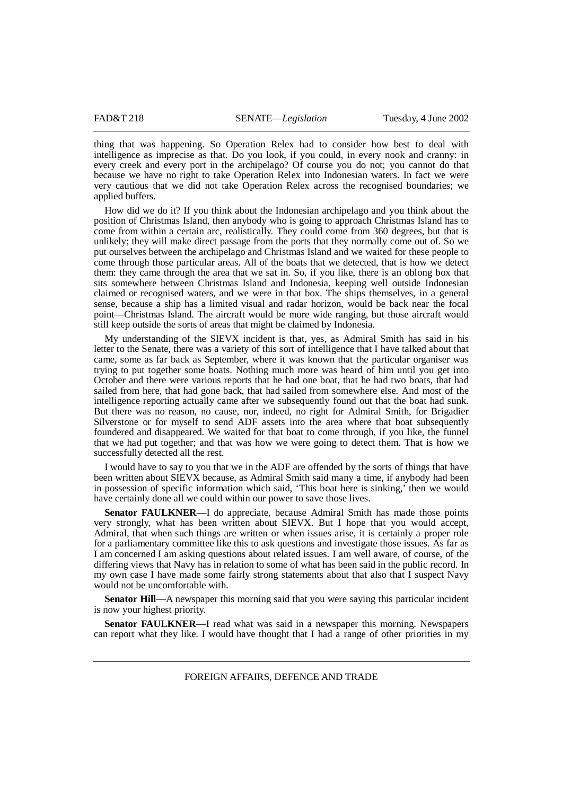thing that was happening. So Operation Relex had to consider how best to deal with intelligence as imprecise as that. Do you look, if you could, in every nook and cranny: in every creek and every port in the archipelago? Of course you do not; you cannot do that because we have no right to take Operation Relex into Indonesian waters. In fact we were very cautious that we did not take Operation Relex across the recognised boundaries; we applied buffers.

How did we do it? If you think about the Indonesian archipelago and you think about the position of Christmas Island, then anybody who is going to approach Christmas Island has to come from within a certain arc, realistically. They could come from 360 degrees, but that is unlikely; they will make direct passage from the ports that they normally come out of. So we put ourselves between the archipelago and Christmas Island and we waited for these people to come through those particular areas. All of the boats that we detected, that is how we detect them: they came through the area that we sat in. So, if you like, there is an oblong box that sits somewhere between Christmas Island and Indonesia, keeping well outside Indonesian claimed or recognised waters, and we were in that box. The ships themselves, in a general sense, because a ship has a limited visual and radar horizon, would be back near the focal point—Christmas Island. The aircraft would be more wide ranging, but those aircraft would still keep outside the sorts of areas that might be claimed by Indonesia.

My understanding of the SIEVX incident is that, yes, as Admiral Smith has said in his letter to the Senate, there was a variety of this sort of intelligence that I have talked about that came, some as far back as September, where it was known that the particular organiser was trying to put together some boats. Nothing much more was heard of him until you get into October and there were various reports that he had one boat, that he had two boats, that had sailed from here, that had gone back, that had sailed from somewhere else. And most of the intelligence reporting actually came after we subsequently found out that the boat had sunk. But there was no reason, no cause, nor, indeed, no right for Admiral Smith, for Brigadier Silverstone or for myself to send ADF assets into the area where that boat subsequently foundered and disappeared. We waited for that boat to come through, if you like, the funnel that we had put together; and that was how we were going to detect them. That is how we successfully detected all the rest.

I would have to say to you that we in the ADF are offended by the sorts of things that have been written about SIEVX because, as Admiral Smith said many a time, if anybody had been in possession of specific information which said, 'This boat here is sinking,' then we would have certainly done all we could within our power to save those lives.

**Senator FAULKNER**—I do appreciate, because Admiral Smith has made those points very strongly, what has been written about SIEVX. But I hope that you would accept, Admiral, that when such things are written or when issues arise, it is certainly a proper role for a parliamentary committee like this to ask questions and investigate those issues. As far as I am concerned I am asking questions about related issues. I am well aware, of course, of the differing views that Navy has in relation to some of what has been said in the public record. In my own case I have made some fairly strong statements about that also that I suspect Navy would not be uncomfortable with.

**Senator Hill**—A newspaper this morning said that you were saying this particular incident is now your highest priority.

**Senator FAULKNER**—I read what was said in a newspaper this morning. Newspapers can report what they like. I would have thought that I had a range of other priorities in my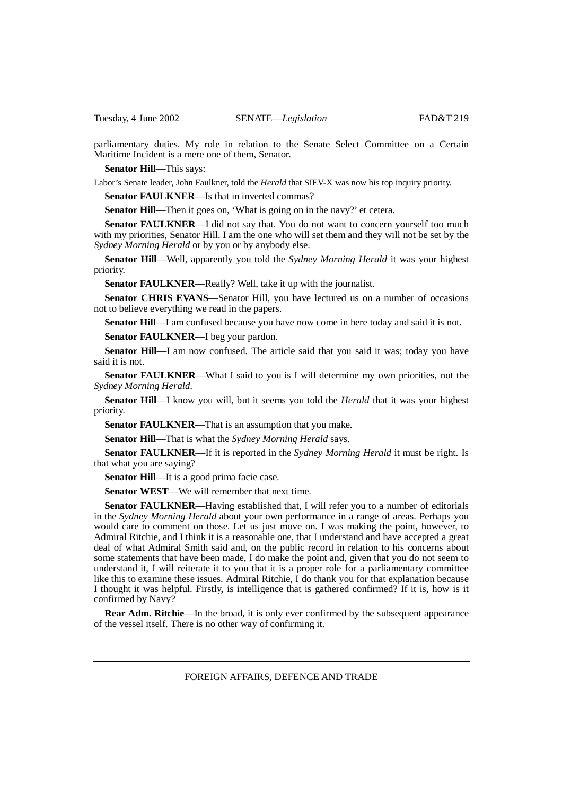parliamentary duties. My role in relation to the Senate Select Committee on a Certain Maritime Incident is a mere one of them, Senator.

**Senator Hill**—This says:

Labor's Senate leader, John Faulkner, told the *Herald* that SIEV-X was now his top inquiry priority.

**Senator FAULKNER—Is that in inverted commas?** 

**Senator Hill—Then** it goes on, 'What is going on in the navy?' et cetera.

**Senator FAULKNER—I** did not say that. You do not want to concern yourself too much with my priorities, Senator Hill. I am the one who will set them and they will not be set by the *Sydney Morning Herald* or by you or by anybody else.

**Senator Hill**—Well, apparently you told the *Sydney Morning Herald* it was your highest priority.

**Senator FAULKNER**—Really? Well, take it up with the journalist.

**Senator CHRIS EVANS**—Senator Hill, you have lectured us on a number of occasions not to believe everything we read in the papers.

**Senator Hill**—I am confused because you have now come in here today and said it is not.

**Senator FAULKNER**—I beg your pardon.

**Senator Hill**—I am now confused. The article said that you said it was; today you have said it is not.

**Senator FAULKNER—What I said to you is I will determine my own priorities, not the** *Sydney Morning Herald*.

**Senator Hill**—I know you will, but it seems you told the *Herald* that it was your highest priority.

**Senator FAULKNER**—That is an assumption that you make.

**Senator Hill**—That is what the *Sydney Morning Herald* says.

**Senator FAULKNER**—If it is reported in the *Sydney Morning Herald* it must be right. Is that what you are saying?

**Senator Hill—It** is a good prima facie case.

**Senator WEST**—We will remember that next time.

**Senator FAULKNER—Having established that, I will refer you to a number of editorials** in the *Sydney Morning Herald* about your own performance in a range of areas. Perhaps you would care to comment on those. Let us just move on. I was making the point, however, to Admiral Ritchie, and I think it is a reasonable one, that I understand and have accepted a great deal of what Admiral Smith said and, on the public record in relation to his concerns about some statements that have been made, I do make the point and, given that you do not seem to understand it, I will reiterate it to you that it is a proper role for a parliamentary committee like this to examine these issues. Admiral Ritchie, I do thank you for that explanation because I thought it was helpful. Firstly, is intelligence that is gathered confirmed? If it is, how is it confirmed by Navy?

**Rear Adm. Ritchie—In** the broad, it is only ever confirmed by the subsequent appearance of the vessel itself. There is no other way of confirming it.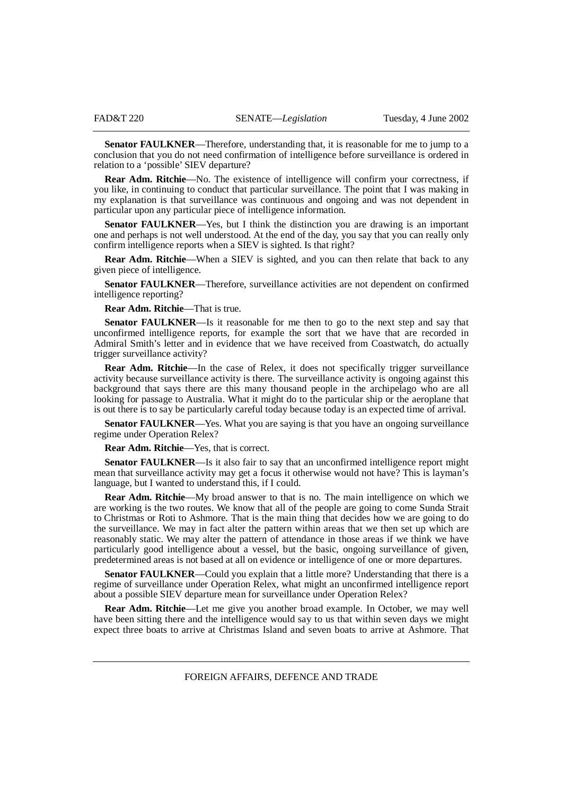**Senator FAULKNER—Therefore, understanding that, it is reasonable for me to jump to a** conclusion that you do not need confirmation of intelligence before surveillance is ordered in relation to a 'possible' SIEV departure?

**Rear Adm. Ritchie**—No. The existence of intelligence will confirm your correctness, if you like, in continuing to conduct that particular surveillance. The point that I was making in my explanation is that surveillance was continuous and ongoing and was not dependent in particular upon any particular piece of intelligence information.

**Senator FAULKNER**—Yes, but I think the distinction you are drawing is an important one and perhaps is not well understood. At the end of the day, you say that you can really only confirm intelligence reports when a SIEV is sighted. Is that right?

**Rear Adm. Ritchie**—When a SIEV is sighted, and you can then relate that back to any given piece of intelligence.

**Senator FAULKNER**—Therefore, surveillance activities are not dependent on confirmed intelligence reporting?

**Rear Adm. Ritchie**—That is true.

**Senator FAULKNER**—Is it reasonable for me then to go to the next step and say that unconfirmed intelligence reports, for example the sort that we have that are recorded in Admiral Smith's letter and in evidence that we have received from Coastwatch, do actually trigger surveillance activity?

**Rear Adm. Ritchie—In** the case of Relex, it does not specifically trigger surveillance activity because surveillance activity is there. The surveillance activity is ongoing against this background that says there are this many thousand people in the archipelago who are all looking for passage to Australia. What it might do to the particular ship or the aeroplane that is out there is to say be particularly careful today because today is an expected time of arrival.

**Senator FAULKNER**—Yes. What you are saying is that you have an ongoing surveillance regime under Operation Relex?

**Rear Adm. Ritchie**—Yes, that is correct.

**Senator FAULKNER**—Is it also fair to say that an unconfirmed intelligence report might mean that surveillance activity may get a focus it otherwise would not have? This is layman's language, but I wanted to understand this, if I could.

**Rear Adm. Ritchie**—My broad answer to that is no. The main intelligence on which we are working is the two routes. We know that all of the people are going to come Sunda Strait to Christmas or Roti to Ashmore. That is the main thing that decides how we are going to do the surveillance. We may in fact alter the pattern within areas that we then set up which are reasonably static. We may alter the pattern of attendance in those areas if we think we have particularly good intelligence about a vessel, but the basic, ongoing surveillance of given, predetermined areas is not based at all on evidence or intelligence of one or more departures.

**Senator FAULKNER**—Could you explain that a little more? Understanding that there is a regime of surveillance under Operation Relex, what might an unconfirmed intelligence report about a possible SIEV departure mean for surveillance under Operation Relex?

**Rear Adm. Ritchie**—Let me give you another broad example. In October, we may well have been sitting there and the intelligence would say to us that within seven days we might expect three boats to arrive at Christmas Island and seven boats to arrive at Ashmore. That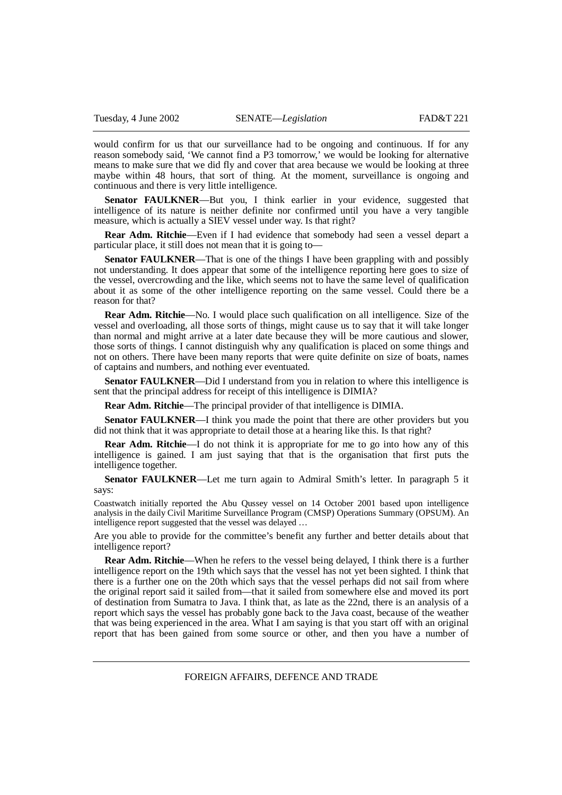would confirm for us that our surveillance had to be ongoing and continuous. If for any reason somebody said, 'We cannot find a P3 tomorrow,' we would be looking for alternative means to make sure that we did fly and cover that area because we would be looking at three maybe within 48 hours, that sort of thing. At the moment, surveillance is ongoing and continuous and there is very little intelligence.

**Senator FAULKNER**—But you, I think earlier in your evidence, suggested that intelligence of its nature is neither definite nor confirmed until you have a very tangible measure, which is actually a SIEV vessel under way. Is that right?

**Rear Adm. Ritchie**—Even if I had evidence that somebody had seen a vessel depart a particular place, it still does not mean that it is going to—

**Senator FAULKNER**—That is one of the things I have been grappling with and possibly not understanding. It does appear that some of the intelligence reporting here goes to size of the vessel, overcrowding and the like, which seems not to have the same level of qualification about it as some of the other intelligence reporting on the same vessel. Could there be a reason for that?

**Rear Adm. Ritchie—No.** I would place such qualification on all intelligence. Size of the vessel and overloading, all those sorts of things, might cause us to say that it will take longer than normal and might arrive at a later date because they will be more cautious and slower, those sorts of things. I cannot distinguish why any qualification is placed on some things and not on others. There have been many reports that were quite definite on size of boats, names of captains and numbers, and nothing ever eventuated.

**Senator FAULKNER—Did I** understand from you in relation to where this intelligence is sent that the principal address for receipt of this intelligence is DIMIA?

**Rear Adm. Ritchie**—The principal provider of that intelligence is DIMIA.

**Senator FAULKNER—I** think you made the point that there are other providers but you did not think that it was appropriate to detail those at a hearing like this. Is that right?

**Rear Adm. Ritchie—I** do not think it is appropriate for me to go into how any of this intelligence is gained. I am just saying that that is the organisation that first puts the intelligence together.

**Senator FAULKNER**—Let me turn again to Admiral Smith's letter. In paragraph 5 it says:

Coastwatch initially reported the Abu Qussey vessel on 14 October 2001 based upon intelligence analysis in the daily Civil Maritime Surveillance Program (CMSP) Operations Summary (OPSUM). An intelligence report suggested that the vessel was delayed ...

Are you able to provide for the committee's benefit any further and better details about that intelligence report?

**Rear Adm. Ritchie**—When he refers to the vessel being delayed, I think there is a further intelligence report on the 19th which says that the vessel has not yet been sighted. I think that there is a further one on the 20th which says that the vessel perhaps did not sail from where the original report said it sailed from—that it sailed from somewhere else and moved its port of destination from Sumatra to Java. I think that, as late as the 22nd, there is an analysis of a report which says the vessel has probably gone back to the Java coast, because of the weather that was being experienced in the area. What I am saying is that you start off with an original report that has been gained from some source or other, and then you have a number of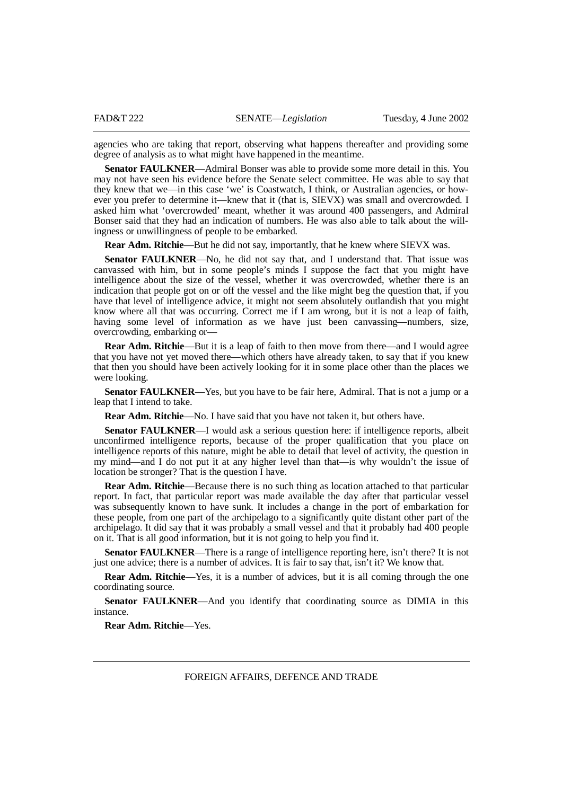agencies who are taking that report, observing what happens thereafter and providing some degree of analysis as to what might have happened in the meantime.

**Senator FAULKNER**—Admiral Bonser was able to provide some more detail in this. You may not have seen his evidence before the Senate select committee. He was able to say that they knew that we—in this case 'we' is Coastwatch, I think, or Australian agencies, or however you prefer to determine it—knew that it (that is, SIEVX) was small and overcrowded. I asked him what 'overcrowded' meant, whether it was around 400 passengers, and Admiral Bonser said that they had an indication of numbers. He was also able to talk about the willingness or unwillingness of people to be embarked.

**Rear Adm. Ritchie**—But he did not say, importantly, that he knew where SIEVX was.

**Senator FAULKNER—No**, he did not say that, and I understand that. That issue was canvassed with him, but in some people's minds I suppose the fact that you might have intelligence about the size of the vessel, whether it was overcrowded, whether there is an indication that people got on or off the vessel and the like might beg the question that, if you have that level of intelligence advice, it might not seem absolutely outlandish that you might know where all that was occurring. Correct me if I am wrong, but it is not a leap of faith, having some level of information as we have just been canvassing—numbers, size, overcrowding, embarking or—

**Rear Adm. Ritchie—But it is a leap of faith to then move from there—and I would agree** that you have not yet moved there—which others have already taken, to say that if you knew that then you should have been actively looking for it in some place other than the places we were looking.

**Senator FAULKNER—Yes, but you have to be fair here, Admiral. That is not a jump or a** leap that I intend to take.

**Rear Adm. Ritchie**—No. I have said that you have not taken it, but others have.

**Senator FAULKNER—I** would ask a serious question here: if intelligence reports, albeit unconfirmed intelligence reports, because of the proper qualification that you place on intelligence reports of this nature, might be able to detail that level of activity, the question in my mind—and I do not put it at any higher level than that—is why wouldn't the issue of location be stronger? That is the question I have.

**Rear Adm. Ritchie—Because there is no such thing as location attached to that particular** report. In fact, that particular report was made available the day after that particular vessel was subsequently known to have sunk. It includes a change in the port of embarkation for these people, from one part of the archipelago to a significantly quite distant other part of the archipelago. It did say that it was probably a small vessel and that it probably had 400 people on it. That is all good information, but it is not going to help you find it.

**Senator FAULKNER**—There is a range of intelligence reporting here, isn't there? It is not just one advice; there is a number of advices. It is fair to say that, isn't it? We know that.

**Rear Adm. Ritchie**—Yes, it is a number of advices, but it is all coming through the one coordinating source.

**Senator FAULKNER**—And you identify that coordinating source as DIMIA in this instance.

**Rear Adm. Ritchie**—Yes.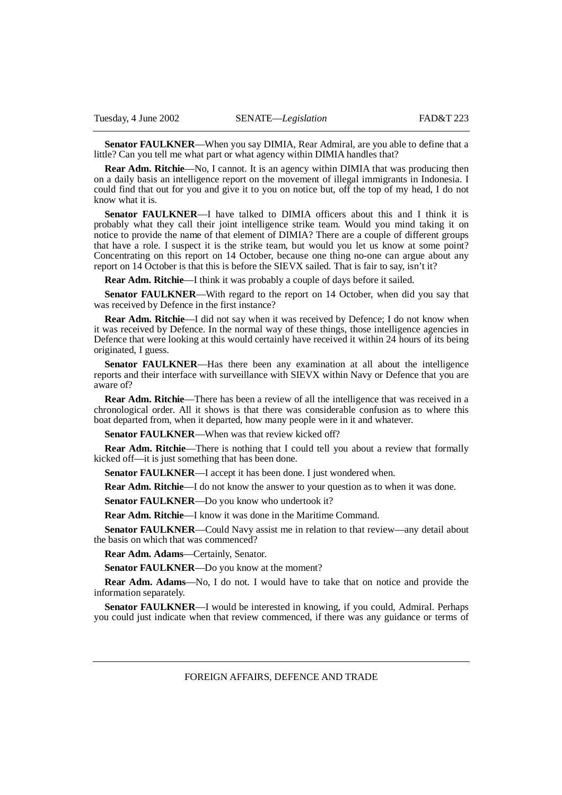**Senator FAULKNER**—When you say DIMIA, Rear Admiral, are you able to define that a little? Can you tell me what part or what agency within DIMIA handles that?

**Rear Adm. Ritchie—No, I cannot. It is an agency within DIMIA that was producing then** on a daily basis an intelligence report on the movement of illegal immigrants in Indonesia. I could find that out for you and give it to you on notice but, off the top of my head, I do not know what it is.

**Senator FAULKNER**—I have talked to DIMIA officers about this and I think it is probably what they call their joint intelligence strike team. Would you mind taking it on notice to provide the name of that element of DIMIA? There are a couple of different groups that have a role. I suspect it is the strike team, but would you let us know at some point? Concentrating on this report on 14 October, because one thing no-one can argue about any report on 14 October is that this is before the SIEVX sailed. That is fair to say, isn't it?

**Rear Adm. Ritchie**—I think it was probably a couple of days before it sailed.

**Senator FAULKNER**—With regard to the report on 14 October, when did you say that was received by Defence in the first instance?

**Rear Adm. Ritchie**—I did not say when it was received by Defence; I do not know when it was received by Defence. In the normal way of these things, those intelligence agencies in Defence that were looking at this would certainly have received it within 24 hours of its being originated, I guess.

**Senator FAULKNER**—Has there been any examination at all about the intelligence reports and their interface with surveillance with SIEVX within Navy or Defence that you are aware of?

**Rear Adm. Ritchie**—There has been a review of all the intelligence that was received in a chronological order. All it shows is that there was considerable confusion as to where this boat departed from, when it departed, how many people were in it and whatever.

**Senator FAULKNER—When was that review kicked off?** 

**Rear Adm. Ritchie**—There is nothing that I could tell you about a review that formally kicked off—it is just something that has been done.

**Senator FAULKNER**—I accept it has been done. I just wondered when.

**Rear Adm. Ritchie**—I do not know the answer to your question as to when it was done.

**Senator FAULKNER**—Do you know who undertook it?

**Rear Adm. Ritchie**—I know it was done in the Maritime Command.

**Senator FAULKNER**—Could Navy assist me in relation to that review—any detail about the basis on which that was commenced?

**Rear Adm. Adams**—Certainly, Senator.

**Senator FAULKNER**—Do you know at the moment?

**Rear Adm. Adams**—No, I do not. I would have to take that on notice and provide the information separately.

**Senator FAULKNER—I** would be interested in knowing, if you could, Admiral. Perhaps you could just indicate when that review commenced, if there was any guidance or terms of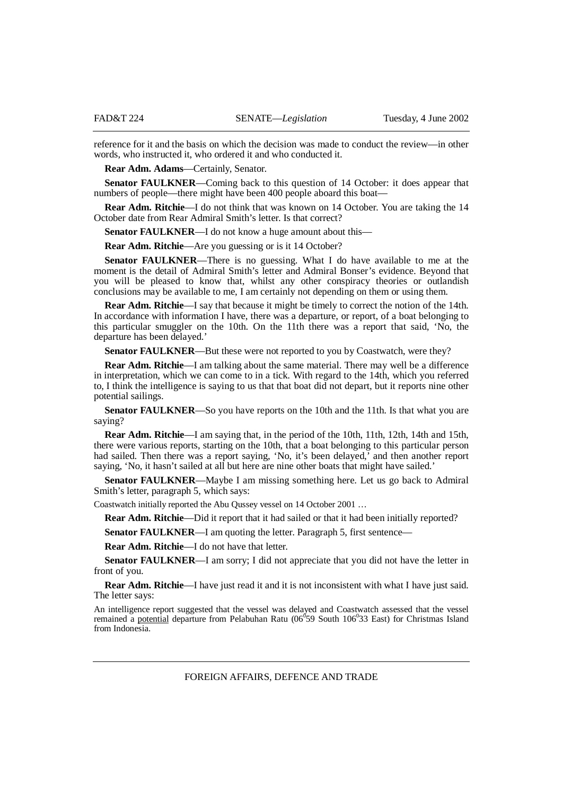reference for it and the basis on which the decision was made to conduct the review—in other words, who instructed it, who ordered it and who conducted it.

**Rear Adm. Adams**—Certainly, Senator.

**Senator FAULKNER**—Coming back to this question of 14 October: it does appear that numbers of people—there might have been 400 people aboard this boat—

**Rear Adm. Ritchie**—I do not think that was known on 14 October. You are taking the 14 October date from Rear Admiral Smith's letter. Is that correct?

**Senator FAULKNER**—I do not know a huge amount about this—

**Rear Adm. Ritchie—Are you guessing or is it 14 October?** 

**Senator FAULKNER**—There is no guessing. What I do have available to me at the moment is the detail of Admiral Smith's letter and Admiral Bonser's evidence. Beyond that you will be pleased to know that, whilst any other conspiracy theories or outlandish conclusions may be available to me, I am certainly not depending on them or using them.

**Rear Adm. Ritchie**—I say that because it might be timely to correct the notion of the 14th. In accordance with information I have, there was a departure, or report, of a boat belonging to this particular smuggler on the 10th. On the 11th there was a report that said, 'No, the departure has been delayed.'

**Senator FAULKNER—But these were not reported to you by Coastwatch, were they?** 

**Rear Adm. Ritchie**—I am talking about the same material. There may well be a difference in interpretation, which we can come to in a tick. With regard to the 14th, which you referred to, I think the intelligence is saying to us that that boat did not depart, but it reports nine other potential sailings.

**Senator FAULKNER—So** you have reports on the 10th and the 11th. Is that what you are saying?

**Rear Adm. Ritchie**—I am saying that, in the period of the 10th, 11th, 12th, 14th and 15th, there were various reports, starting on the 10th, that a boat belonging to this particular person had sailed. Then there was a report saying, 'No, it's been delayed,' and then another report saying, 'No, it hasn't sailed at all but here are nine other boats that might have sailed.'

**Senator FAULKNER**—Maybe I am missing something here. Let us go back to Admiral Smith's letter, paragraph 5, which says:

Coastwatch initially reported the Abu Qussey vessel on 14 October 2001 …

**Rear Adm. Ritchie—Did** it report that it had sailed or that it had been initially reported?

**Senator FAULKNER—I** am quoting the letter. Paragraph 5, first sentence—

**Rear Adm. Ritchie**—I do not have that letter.

**Senator FAULKNER—I** am sorry; I did not appreciate that you did not have the letter in front of you.

**Rear Adm. Ritchie—I** have just read it and it is not inconsistent with what I have just said. The letter says:

An intelligence report suggested that the vessel was delayed and Coastwatch assessed that the vessel remained a potential departure from Pelabuhan Ratu (06<sup>0</sup>59 South 106<sup>0</sup>33 East) for Christmas Island from Indonesia.

FOREIGN AFFAIRS, DEFENCE AND TRADE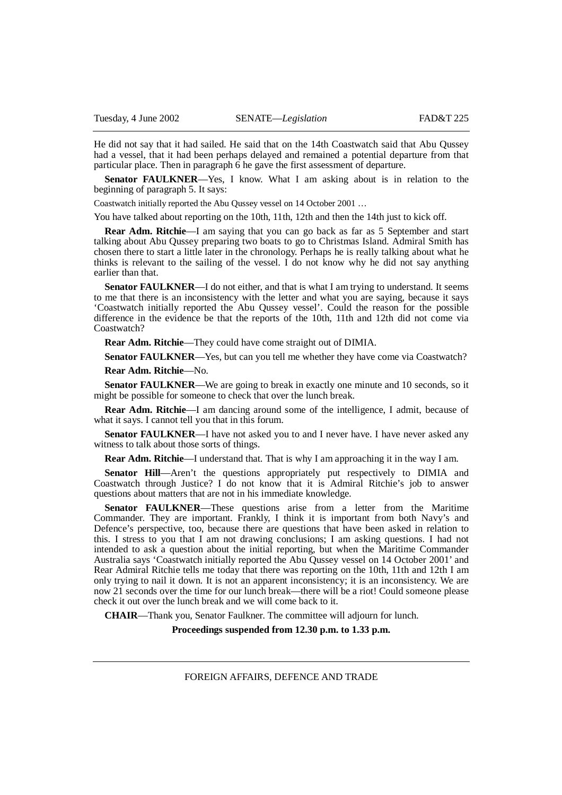He did not say that it had sailed. He said that on the 14th Coastwatch said that Abu Qussey had a vessel, that it had been perhaps delayed and remained a potential departure from that particular place. Then in paragraph 6 he gave the first assessment of departure.

**Senator FAULKNER**—Yes, I know. What I am asking about is in relation to the beginning of paragraph 5. It says:

Coastwatch initially reported the Abu Qussey vessel on 14 October 2001 …

You have talked about reporting on the 10th, 11th, 12th and then the 14th just to kick off.

**Rear Adm. Ritchie**—I am saying that you can go back as far as 5 September and start talking about Abu Qussey preparing two boats to go to Christmas Island. Admiral Smith has chosen there to start a little later in the chronology. Perhaps he is really talking about what he thinks is relevant to the sailing of the vessel. I do not know why he did not say anything earlier than that.

**Senator FAULKNER—I** do not either, and that is what I am trying to understand. It seems to me that there is an inconsistency with the letter and what you are saying, because it says 'Coastwatch initially reported the Abu Qussey vessel'. Could the reason for the possible difference in the evidence be that the reports of the 10th, 11th and 12th did not come via Coastwatch?

**Rear Adm. Ritchie**—They could have come straight out of DIMIA.

**Senator FAULKNER—Yes, but can you tell me whether they have come via Coastwatch?** 

**Rear Adm. Ritchie**—No.

**Senator FAULKNER—We** are going to break in exactly one minute and 10 seconds, so it might be possible for someone to check that over the lunch break.

**Rear Adm. Ritchie**—I am dancing around some of the intelligence, I admit, because of what it says. I cannot tell you that in this forum.

**Senator FAULKNER—I** have not asked you to and I never have. I have never asked any witness to talk about those sorts of things.

**Rear Adm. Ritchie**—I understand that. That is why I am approaching it in the way I am.

**Senator Hill**—Aren't the questions appropriately put respectively to DIMIA and Coastwatch through Justice? I do not know that it is Admiral Ritchie's job to answer questions about matters that are not in his immediate knowledge.

**Senator FAULKNER**—These questions arise from a letter from the Maritime Commander. They are important. Frankly, I think it is important from both Navy's and Defence's perspective, too, because there are questions that have been asked in relation to this. I stress to you that I am not drawing conclusions; I am asking questions. I had not intended to ask a question about the initial reporting, but when the Maritime Commander Australia says 'Coastwatch initially reported the Abu Qussey vessel on 14 October 2001' and Rear Admiral Ritchie tells me today that there was reporting on the 10th, 11th and 12th I am only trying to nail it down. It is not an apparent inconsistency; it is an inconsistency. We are now 21 seconds over the time for our lunch break—there will be a riot! Could someone please check it out over the lunch break and we will come back to it.

**CHAIR**—Thank you, Senator Faulkner. The committee will adjourn for lunch.

**Proceedings suspended from 12.30 p.m. to 1.33 p.m.**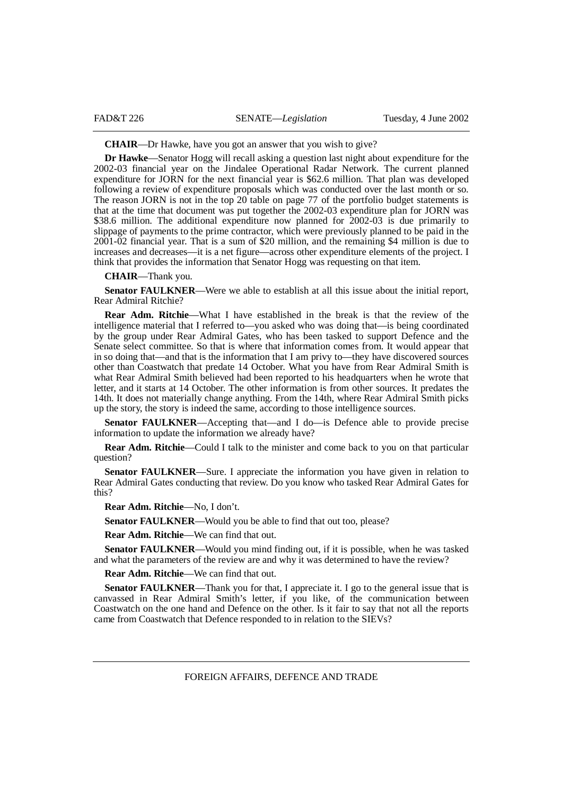**CHAIR**—Dr Hawke, have you got an answer that you wish to give?

**Dr Hawke**—Senator Hogg will recall asking a question last night about expenditure for the 2002-03 financial year on the Jindalee Operational Radar Network. The current planned expenditure for JORN for the next financial year is \$62.6 million. That plan was developed following a review of expenditure proposals which was conducted over the last month or so. The reason JORN is not in the top 20 table on page 77 of the portfolio budget statements is that at the time that document was put together the 2002-03 expenditure plan for JORN was \$38.6 million. The additional expenditure now planned for 2002-03 is due primarily to slippage of payments to the prime contractor, which were previously planned to be paid in the 2001-02 financial year. That is a sum of \$20 million, and the remaining \$4 million is due to increases and decreases—it is a net figure—across other expenditure elements of the project. I think that provides the information that Senator Hogg was requesting on that item.

**CHAIR**—Thank you.

**Senator FAULKNER**—Were we able to establish at all this issue about the initial report, Rear Admiral Ritchie?

**Rear Adm. Ritchie**—What I have established in the break is that the review of the intelligence material that I referred to—you asked who was doing that—is being coordinated by the group under Rear Admiral Gates, who has been tasked to support Defence and the Senate select committee. So that is where that information comes from. It would appear that in so doing that—and that is the information that I am privy to—they have discovered sources other than Coastwatch that predate 14 October. What you have from Rear Admiral Smith is what Rear Admiral Smith believed had been reported to his headquarters when he wrote that letter, and it starts at 14 October. The other information is from other sources. It predates the 14th. It does not materially change anything. From the 14th, where Rear Admiral Smith picks up the story, the story is indeed the same, according to those intelligence sources.

**Senator FAULKNER**—Accepting that—and I do—is Defence able to provide precise information to update the information we already have?

**Rear Adm. Ritchie—Could I talk to the minister and come back to you on that particular** question?

**Senator FAULKNER—Sure.** I appreciate the information you have given in relation to Rear Admiral Gates conducting that review. Do you know who tasked Rear Admiral Gates for this?

**Rear Adm. Ritchie**—No, I don't.

**Senator FAULKNER**—Would you be able to find that out too, please?

**Rear Adm. Ritchie**—We can find that out.

**Senator FAULKNER**—Would you mind finding out, if it is possible, when he was tasked and what the parameters of the review are and why it was determined to have the review?

**Rear Adm. Ritchie**—We can find that out.

**Senator FAULKNER—Thank** you for that, I appreciate it. I go to the general issue that is canvassed in Rear Admiral Smith's letter, if you like, of the communication between Coastwatch on the one hand and Defence on the other. Is it fair to say that not all the reports came from Coastwatch that Defence responded to in relation to the SIEVs?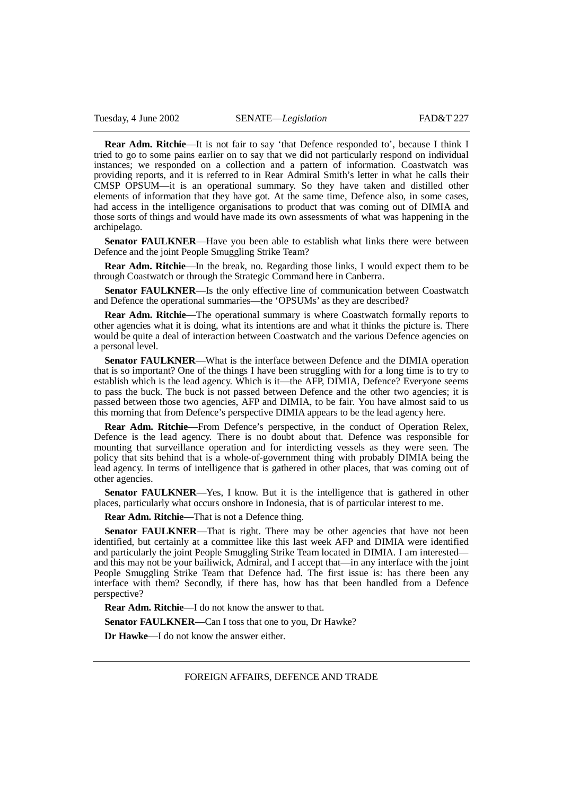**Rear Adm. Ritchie**—It is not fair to say 'that Defence responded to', because I think I tried to go to some pains earlier on to say that we did not particularly respond on individual instances; we responded on a collection and a pattern of information. Coastwatch was providing reports, and it is referred to in Rear Admiral Smith's letter in what he calls their CMSP OPSUM—it is an operational summary. So they have taken and distilled other elements of information that they have got. At the same time, Defence also, in some cases, had access in the intelligence organisations to product that was coming out of DIMIA and those sorts of things and would have made its own assessments of what was happening in the archipelago.

**Senator FAULKNER**—Have you been able to establish what links there were between Defence and the joint People Smuggling Strike Team?

**Rear Adm. Ritchie**—In the break, no. Regarding those links, I would expect them to be through Coastwatch or through the Strategic Command here in Canberra.

**Senator FAULKNER**—Is the only effective line of communication between Coastwatch and Defence the operational summaries—the 'OPSUMs' as they are described?

**Rear Adm. Ritchie—The operational summary is where Coastwatch formally reports to** other agencies what it is doing, what its intentions are and what it thinks the picture is. There would be quite a deal of interaction between Coastwatch and the various Defence agencies on a personal level.

**Senator FAULKNER**—What is the interface between Defence and the DIMIA operation that is so important? One of the things I have been struggling with for a long time is to try to establish which is the lead agency. Which is it—the AFP, DIMIA, Defence? Everyone seems to pass the buck. The buck is not passed between Defence and the other two agencies; it is passed between those two agencies, AFP and DIMIA, to be fair. You have almost said to us this morning that from Defence's perspective DIMIA appears to be the lead agency here.

**Rear Adm. Ritchie**—From Defence's perspective, in the conduct of Operation Relex, Defence is the lead agency. There is no doubt about that. Defence was responsible for mounting that surveillance operation and for interdicting vessels as they were seen. The policy that sits behind that is a whole-of-government thing with probably DIMIA being the lead agency. In terms of intelligence that is gathered in other places, that was coming out of other agencies.

**Senator FAULKNER**—Yes, I know. But it is the intelligence that is gathered in other places, particularly what occurs onshore in Indonesia, that is of particular interest to me.

**Rear Adm. Ritchie**—That is not a Defence thing.

Senator FAULKNER—That is right. There may be other agencies that have not been identified, but certainly at a committee like this last week AFP and DIMIA were identified and particularly the joint People Smuggling Strike Team located in DIMIA. I am interested and this may not be your bailiwick, Admiral, and I accept that—in any interface with the joint People Smuggling Strike Team that Defence had. The first issue is: has there been any interface with them? Secondly, if there has, how has that been handled from a Defence perspective?

**Rear Adm. Ritchie**—I do not know the answer to that.

**Senator FAULKNER—Can I toss that one to you, Dr Hawke?** 

**Dr Hawke**—I do not know the answer either.

FOREIGN AFFAIRS, DEFENCE AND TRADE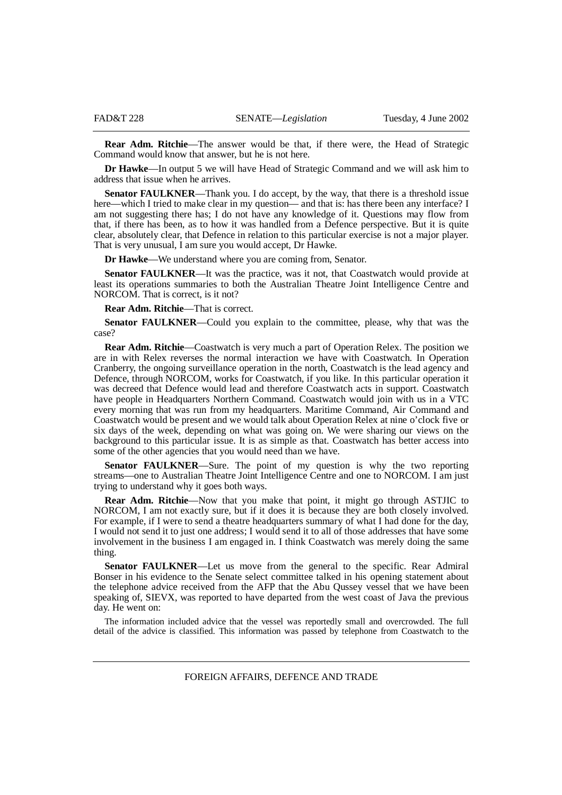**Rear Adm. Ritchie**—The answer would be that, if there were, the Head of Strategic Command would know that answer, but he is not here.

**Dr Hawke**—In output 5 we will have Head of Strategic Command and we will ask him to address that issue when he arrives.

**Senator FAULKNER—Thank you.** I do accept, by the way, that there is a threshold issue here—which I tried to make clear in my question— and that is: has there been any interface? I am not suggesting there has; I do not have any knowledge of it. Questions may flow from that, if there has been, as to how it was handled from a Defence perspective. But it is quite clear, absolutely clear, that Defence in relation to this particular exercise is not a major player. That is very unusual, I am sure you would accept, Dr Hawke.

**Dr Hawke**—We understand where you are coming from, Senator.

**Senator FAULKNER**—It was the practice, was it not, that Coastwatch would provide at least its operations summaries to both the Australian Theatre Joint Intelligence Centre and NORCOM. That is correct, is it not?

**Rear Adm. Ritchie**—That is correct.

**Senator FAULKNER**—Could you explain to the committee, please, why that was the case?

**Rear Adm. Ritchie**—Coastwatch is very much a part of Operation Relex. The position we are in with Relex reverses the normal interaction we have with Coastwatch. In Operation Cranberry, the ongoing surveillance operation in the north, Coastwatch is the lead agency and Defence, through NORCOM, works for Coastwatch, if you like. In this particular operation it was decreed that Defence would lead and therefore Coastwatch acts in support. Coastwatch have people in Headquarters Northern Command. Coastwatch would join with us in a VTC every morning that was run from my headquarters. Maritime Command, Air Command and Coastwatch would be present and we would talk about Operation Relex at nine o'clock five or six days of the week, depending on what was going on. We were sharing our views on the background to this particular issue. It is as simple as that. Coastwatch has better access into some of the other agencies that you would need than we have.

**Senator FAULKNER—Sure.** The point of my question is why the two reporting streams—one to Australian Theatre Joint Intelligence Centre and one to NORCOM. I am just trying to understand why it goes both ways.

**Rear Adm. Ritchie**—Now that you make that point, it might go through ASTJIC to NORCOM, I am not exactly sure, but if it does it is because they are both closely involved. For example, if I were to send a theatre headquarters summary of what I had done for the day, I would not send it to just one address; I would send it to all of those addresses that have some involvement in the business I am engaged in. I think Coastwatch was merely doing the same thing.

**Senator FAULKNER—Let** us move from the general to the specific. Rear Admiral Bonser in his evidence to the Senate select committee talked in his opening statement about the telephone advice received from the AFP that the Abu Qussey vessel that we have been speaking of, SIEVX, was reported to have departed from the west coast of Java the previous day. He went on:

The information included advice that the vessel was reportedly small and overcrowded. The full detail of the advice is classified. This information was passed by telephone from Coastwatch to the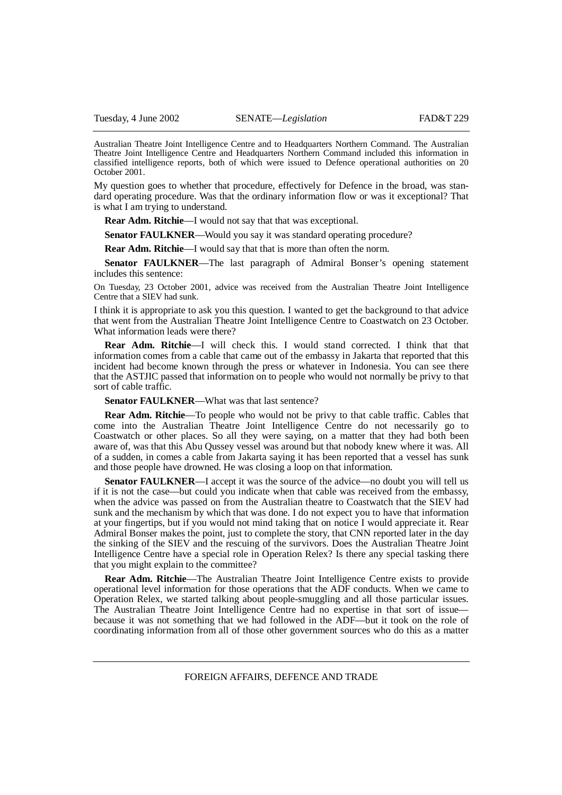Australian Theatre Joint Intelligence Centre and to Headquarters Northern Command. The Australian Theatre Joint Intelligence Centre and Headquarters Northern Command included this information in classified intelligence reports, both of which were issued to Defence operational authorities on 20 October 2001.

My question goes to whether that procedure, effectively for Defence in the broad, was standard operating procedure. Was that the ordinary information flow or was it exceptional? That is what I am trying to understand.

**Rear Adm. Ritchie**—I would not say that that was exceptional.

**Senator FAULKNER—Would you say it was standard operating procedure?** 

**Rear Adm. Ritchie—I** would say that that is more than often the norm.

**Senator FAULKNER**—The last paragraph of Admiral Bonser's opening statement includes this sentence:

On Tuesday, 23 October 2001, advice was received from the Australian Theatre Joint Intelligence Centre that a SIEV had sunk.

I think it is appropriate to ask you this question. I wanted to get the background to that advice that went from the Australian Theatre Joint Intelligence Centre to Coastwatch on 23 October. What information leads were there?

**Rear Adm. Ritchie**—I will check this. I would stand corrected. I think that that information comes from a cable that came out of the embassy in Jakarta that reported that this incident had become known through the press or whatever in Indonesia. You can see there that the ASTJIC passed that information on to people who would not normally be privy to that sort of cable traffic.

**Senator FAULKNER—What was that last sentence?** 

**Rear Adm. Ritchie**—To people who would not be privy to that cable traffic. Cables that come into the Australian Theatre Joint Intelligence Centre do not necessarily go to Coastwatch or other places. So all they were saying, on a matter that they had both been aware of, was that this Abu Qussey vessel was around but that nobody knew where it was. All of a sudden, in comes a cable from Jakarta saying it has been reported that a vessel has sunk and those people have drowned. He was closing a loop on that information.

**Senator FAULKNER**—I accept it was the source of the advice—no doubt you will tell us if it is not the case—but could you indicate when that cable was received from the embassy, when the advice was passed on from the Australian theatre to Coastwatch that the SIEV had sunk and the mechanism by which that was done. I do not expect you to have that information at your fingertips, but if you would not mind taking that on notice I would appreciate it. Rear Admiral Bonser makes the point, just to complete the story, that CNN reported later in the day the sinking of the SIEV and the rescuing of the survivors. Does the Australian Theatre Joint Intelligence Centre have a special role in Operation Relex? Is there any special tasking there that you might explain to the committee?

**Rear Adm. Ritchie**—The Australian Theatre Joint Intelligence Centre exists to provide operational level information for those operations that the ADF conducts. When we came to Operation Relex, we started talking about people-smuggling and all those particular issues. The Australian Theatre Joint Intelligence Centre had no expertise in that sort of issue because it was not something that we had followed in the ADF—but it took on the role of coordinating information from all of those other government sources who do this as a matter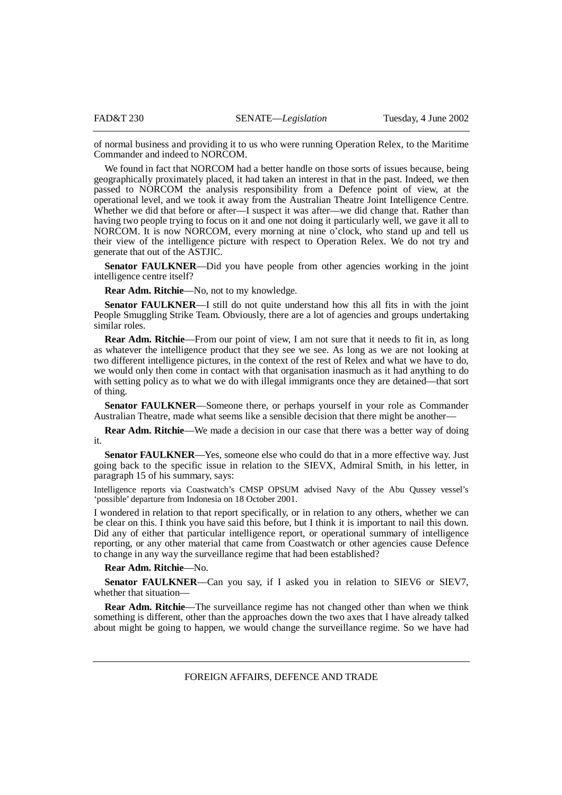of normal business and providing it to us who were running Operation Relex, to the Maritime Commander and indeed to NORCOM.

We found in fact that NORCOM had a better handle on those sorts of issues because, being geographically proximately placed, it had taken an interest in that in the past. Indeed, we then passed to NORCOM the analysis responsibility from a Defence point of view, at the operational level, and we took it away from the Australian Theatre Joint Intelligence Centre. Whether we did that before or after—I suspect it was after—we did change that. Rather than having two people trying to focus on it and one not doing it particularly well, we gave it all to NORCOM. It is now NORCOM, every morning at nine o'clock, who stand up and tell us their view of the intelligence picture with respect to Operation Relex. We do not try and generate that out of the ASTJIC.

**Senator FAULKNER—Did you have people from other agencies working in the joint** intelligence centre itself?

**Rear Adm. Ritchie**—No, not to my knowledge.

**Senator FAULKNER**—I still do not quite understand how this all fits in with the joint People Smuggling Strike Team. Obviously, there are a lot of agencies and groups undertaking similar roles.

**Rear Adm. Ritchie**—From our point of view, I am not sure that it needs to fit in, as long as whatever the intelligence product that they see we see. As long as we are not looking at two different intelligence pictures, in the context of the rest of Relex and what we have to do, we would only then come in contact with that organisation inasmuch as it had anything to do with setting policy as to what we do with illegal immigrants once they are detained—that sort of thing.

**Senator FAULKNER**—Someone there, or perhaps yourself in your role as Commander Australian Theatre, made what seems like a sensible decision that there might be another—

**Rear Adm. Ritchie—We** made a decision in our case that there was a better way of doing it.

**Senator FAULKNER**—Yes, someone else who could do that in a more effective way. Just going back to the specific issue in relation to the SIEVX, Admiral Smith, in his letter, in paragraph 15 of his summary, says:

Intelligence reports via Coastwatch's CMSP OPSUM advised Navy of the Abu Qussey vessel's 'possible' departure from Indonesia on 18 October 2001.

I wondered in relation to that report specifically, or in relation to any others, whether we can be clear on this. I think you have said this before, but I think it is important to nail this down. Did any of either that particular intelligence report, or operational summary of intelligence reporting, or any other material that came from Coastwatch or other agencies cause Defence to change in any way the surveillance regime that had been established?

## **Rear Adm. Ritchie**—No.

**Senator FAULKNER**—Can you say, if I asked you in relation to SIEV6 or SIEV7, whether that situation—

**Rear Adm. Ritchie**—The surveillance regime has not changed other than when we think something is different, other than the approaches down the two axes that I have already talked about might be going to happen, we would change the surveillance regime. So we have had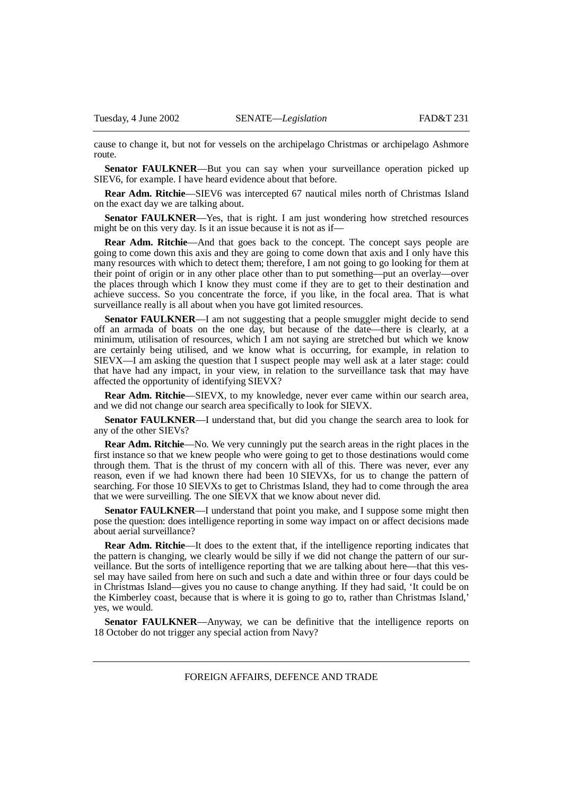cause to change it, but not for vessels on the archipelago Christmas or archipelago Ashmore route.

**Senator FAULKNER—But you can say when your surveillance operation picked up** SIEV6, for example. I have heard evidence about that before.

**Rear Adm. Ritchie**—SIEV6 was intercepted 67 nautical miles north of Christmas Island on the exact day we are talking about.

**Senator FAULKNER**—Yes, that is right. I am just wondering how stretched resources might be on this very day. Is it an issue because it is not as if—

**Rear Adm. Ritchie—And that goes back to the concept. The concept says people are** going to come down this axis and they are going to come down that axis and I only have this many resources with which to detect them; therefore, I am not going to go looking for them at their point of origin or in any other place other than to put something—put an overlay—over the places through which I know they must come if they are to get to their destination and achieve success. So you concentrate the force, if you like, in the focal area. That is what surveillance really is all about when you have got limited resources.

**Senator FAULKNER—I** am not suggesting that a people smuggler might decide to send off an armada of boats on the one day, but because of the date—there is clearly, at a minimum, utilisation of resources, which I am not saying are stretched but which we know are certainly being utilised, and we know what is occurring, for example, in relation to SIEVX—I am asking the question that I suspect people may well ask at a later stage: could that have had any impact, in your view, in relation to the surveillance task that may have affected the opportunity of identifying SIEVX?

**Rear Adm. Ritchie**—SIEVX, to my knowledge, never ever came within our search area, and we did not change our search area specifically to look for SIEVX.

**Senator FAULKNER**—I understand that, but did you change the search area to look for any of the other SIEVs?

**Rear Adm. Ritchie**—No. We very cunningly put the search areas in the right places in the first instance so that we knew people who were going to get to those destinations would come through them. That is the thrust of my concern with all of this. There was never, ever any reason, even if we had known there had been 10 SIEVXs, for us to change the pattern of searching. For those 10 SIEVXs to get to Christmas Island, they had to come through the area that we were surveilling. The one SIEVX that we know about never did.

**Senator FAULKNER**—I understand that point you make, and I suppose some might then pose the question: does intelligence reporting in some way impact on or affect decisions made about aerial surveillance?

**Rear Adm. Ritchie—It** does to the extent that, if the intelligence reporting indicates that the pattern is changing, we clearly would be silly if we did not change the pattern of our surveillance. But the sorts of intelligence reporting that we are talking about here—that this vessel may have sailed from here on such and such a date and within three or four days could be in Christmas Island—gives you no cause to change anything. If they had said, 'It could be on the Kimberley coast, because that is where it is going to go to, rather than Christmas Island,' yes, we would.

**Senator FAULKNER**—Anyway, we can be definitive that the intelligence reports on 18 October do not trigger any special action from Navy?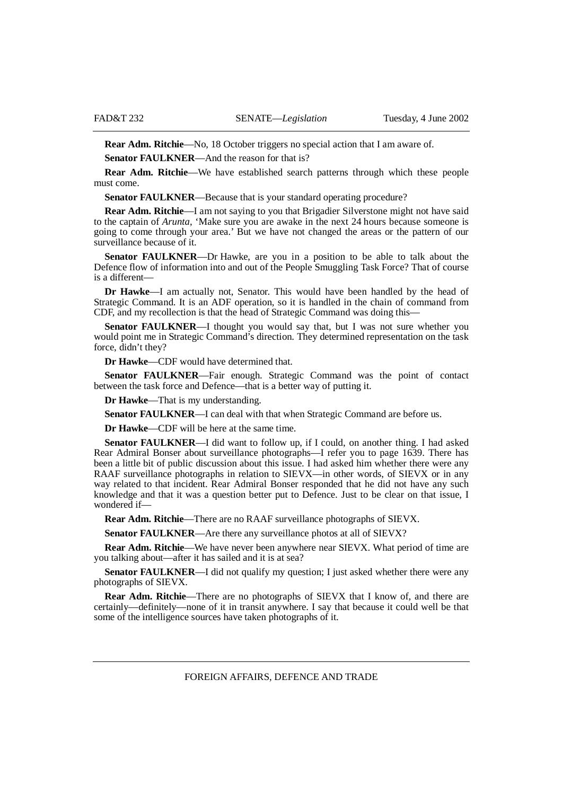**Rear Adm. Ritchie**—No, 18 October triggers no special action that I am aware of.

**Senator FAULKNER**—And the reason for that is?

**Rear Adm. Ritchie**—We have established search patterns through which these people must come.

**Senator FAULKNER**—Because that is your standard operating procedure?

**Rear Adm. Ritchie**—I am not saying to you that Brigadier Silverstone might not have said to the captain of *Arunta*, 'Make sure you are awake in the next 24 hours because someone is going to come through your area.' But we have not changed the areas or the pattern of our surveillance because of it.

**Senator FAULKNER**—Dr Hawke, are you in a position to be able to talk about the Defence flow of information into and out of the People Smuggling Task Force? That of course is a different—

**Dr Hawke**—I am actually not, Senator. This would have been handled by the head of Strategic Command. It is an ADF operation, so it is handled in the chain of command from CDF, and my recollection is that the head of Strategic Command was doing this—

**Senator FAULKNER**—I thought you would say that, but I was not sure whether you would point me in Strategic Command's direction. They determined representation on the task force, didn't they?

**Dr Hawke**—CDF would have determined that.

**Senator FAULKNER**—Fair enough. Strategic Command was the point of contact between the task force and Defence—that is a better way of putting it.

**Dr Hawke**—That is my understanding.

**Senator FAULKNER**—I can deal with that when Strategic Command are before us.

**Dr Hawke**—CDF will be here at the same time.

**Senator FAULKNER**—I did want to follow up, if I could, on another thing. I had asked Rear Admiral Bonser about surveillance photographs—I refer you to page 1639. There has been a little bit of public discussion about this issue. I had asked him whether there were any RAAF surveillance photographs in relation to SIEVX—in other words, of SIEVX or in any way related to that incident. Rear Admiral Bonser responded that he did not have any such knowledge and that it was a question better put to Defence. Just to be clear on that issue, I wondered if—

**Rear Adm. Ritchie**—There are no RAAF surveillance photographs of SIEVX.

**Senator FAULKNER**—Are there any surveillance photos at all of SIEVX?

**Rear Adm. Ritchie**—We have never been anywhere near SIEVX. What period of time are you talking about—after it has sailed and it is at sea?

**Senator FAULKNER—I** did not qualify my question; I just asked whether there were any photographs of SIEVX.

**Rear Adm. Ritchie**—There are no photographs of SIEVX that I know of, and there are certainly—definitely—none of it in transit anywhere. I say that because it could well be that some of the intelligence sources have taken photographs of it.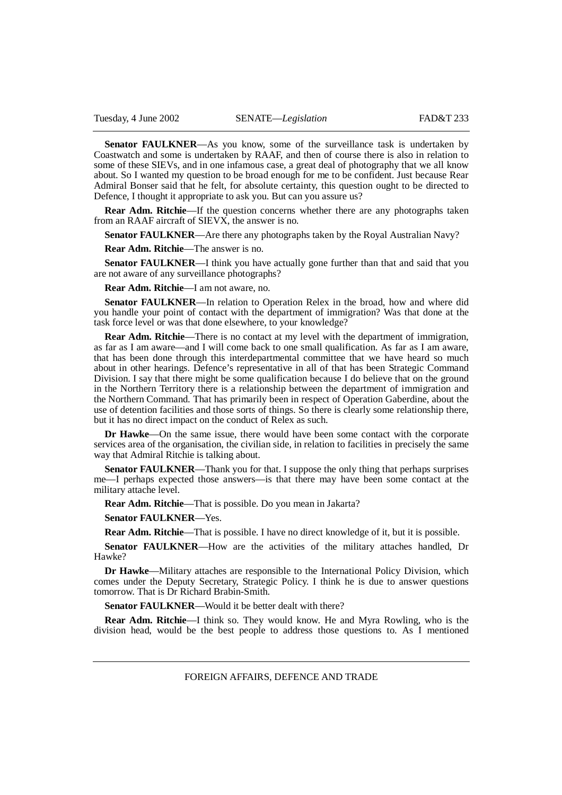Senator FAULKNER—As you know, some of the surveillance task is undertaken by Coastwatch and some is undertaken by RAAF, and then of course there is also in relation to some of these SIEVs, and in one infamous case, a great deal of photography that we all know about. So I wanted my question to be broad enough for me to be confident. Just because Rear Admiral Bonser said that he felt, for absolute certainty, this question ought to be directed to Defence, I thought it appropriate to ask you. But can you assure us?

**Rear Adm. Ritchie**—If the question concerns whether there are any photographs taken from an RAAF aircraft of SIEVX, the answer is no.

**Senator FAULKNER—Are there any photographs taken by the Royal Australian Navy?** 

**Rear Adm. Ritchie**—The answer is no.

**Senator FAULKNER**—I think you have actually gone further than that and said that you are not aware of any surveillance photographs?

**Rear Adm. Ritchie**—I am not aware, no.

**Senator FAULKNER**—In relation to Operation Relex in the broad, how and where did you handle your point of contact with the department of immigration? Was that done at the task force level or was that done elsewhere, to your knowledge?

**Rear Adm. Ritchie**—There is no contact at my level with the department of immigration, as far as I am aware—and I will come back to one small qualification. As far as I am aware, that has been done through this interdepartmental committee that we have heard so much about in other hearings. Defence's representative in all of that has been Strategic Command Division. I say that there might be some qualification because I do believe that on the ground in the Northern Territory there is a relationship between the department of immigration and the Northern Command. That has primarily been in respect of Operation Gaberdine, about the use of detention facilities and those sorts of things. So there is clearly some relationship there, but it has no direct impact on the conduct of Relex as such.

**Dr Hawke**—On the same issue, there would have been some contact with the corporate services area of the organisation, the civilian side, in relation to facilities in precisely the same way that Admiral Ritchie is talking about.

**Senator FAULKNER**—Thank you for that. I suppose the only thing that perhaps surprises me—I perhaps expected those answers—is that there may have been some contact at the military attache level.

**Rear Adm. Ritchie**—That is possible. Do you mean in Jakarta?

**Senator FAULKNER**—Yes.

**Rear Adm. Ritchie**—That is possible. I have no direct knowledge of it, but it is possible.

**Senator FAULKNER**—How are the activities of the military attaches handled, Dr Hawke?

**Dr Hawke**—Military attaches are responsible to the International Policy Division, which comes under the Deputy Secretary, Strategic Policy. I think he is due to answer questions tomorrow. That is Dr Richard Brabin-Smith.

**Senator FAULKNER—Would it be better dealt with there?** 

**Rear Adm. Ritchie**—I think so. They would know. He and Myra Rowling, who is the division head, would be the best people to address those questions to. As I mentioned